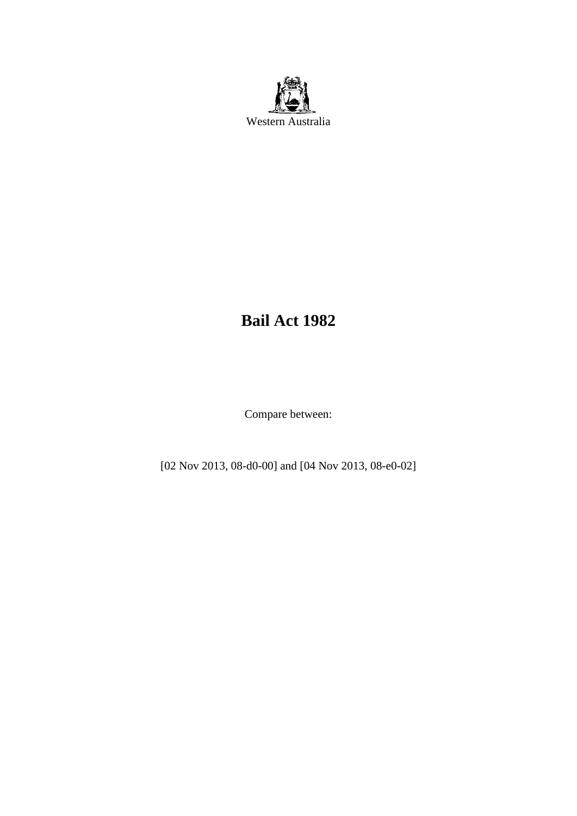

# **Bail Act 1982**

Compare between:

[02 Nov 2013, 08-d0-00] and [04 Nov 2013, 08-e0-02]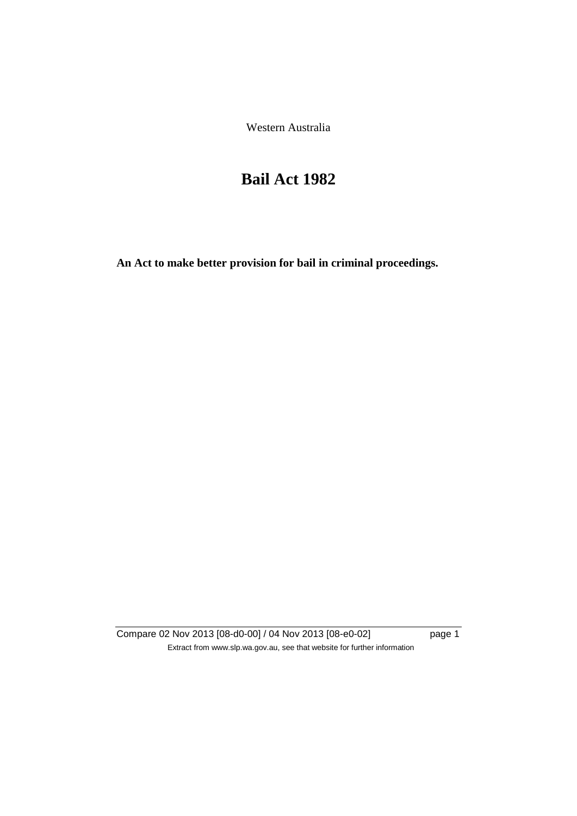Western Australia

# **Bail Act 1982**

**An Act to make better provision for bail in criminal proceedings.** 

Compare 02 Nov 2013 [08-d0-00] / 04 Nov 2013 [08-e0-02] page 1 Extract from www.slp.wa.gov.au, see that website for further information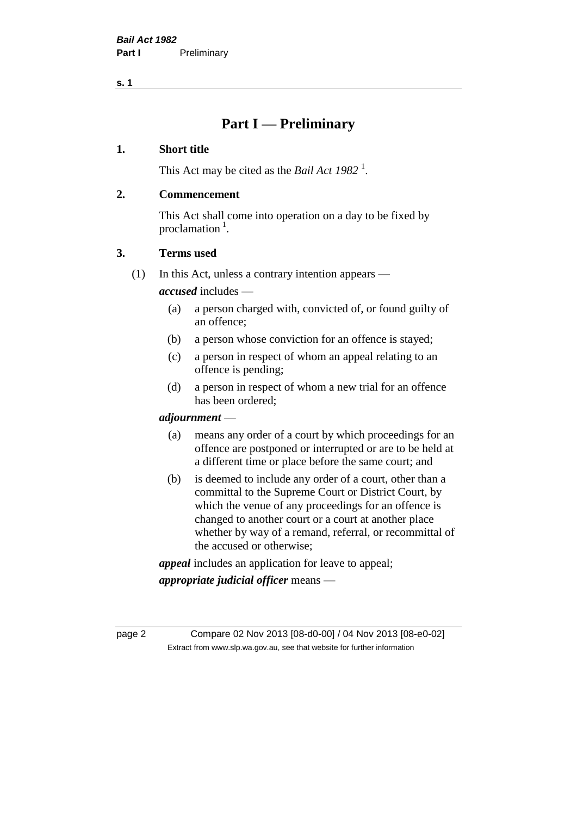# **Part I — Preliminary**

#### **1. Short title**

This Act may be cited as the *Bail Act* 1982<sup>1</sup>.

#### **2. Commencement**

This Act shall come into operation on a day to be fixed by proclamation  $<sup>1</sup>$ .</sup>

#### **3. Terms used**

(1) In this Act, unless a contrary intention appears —

*accused* includes —

- (a) a person charged with, convicted of, or found guilty of an offence;
- (b) a person whose conviction for an offence is stayed;
- (c) a person in respect of whom an appeal relating to an offence is pending;
- (d) a person in respect of whom a new trial for an offence has been ordered;

#### *adjournment* —

- (a) means any order of a court by which proceedings for an offence are postponed or interrupted or are to be held at a different time or place before the same court; and
- (b) is deemed to include any order of a court, other than a committal to the Supreme Court or District Court, by which the venue of any proceedings for an offence is changed to another court or a court at another place whether by way of a remand, referral, or recommittal of the accused or otherwise;

*appeal* includes an application for leave to appeal;

*appropriate judicial officer* means —

page 2 Compare 02 Nov 2013 [08-d0-00] / 04 Nov 2013 [08-e0-02] Extract from www.slp.wa.gov.au, see that website for further information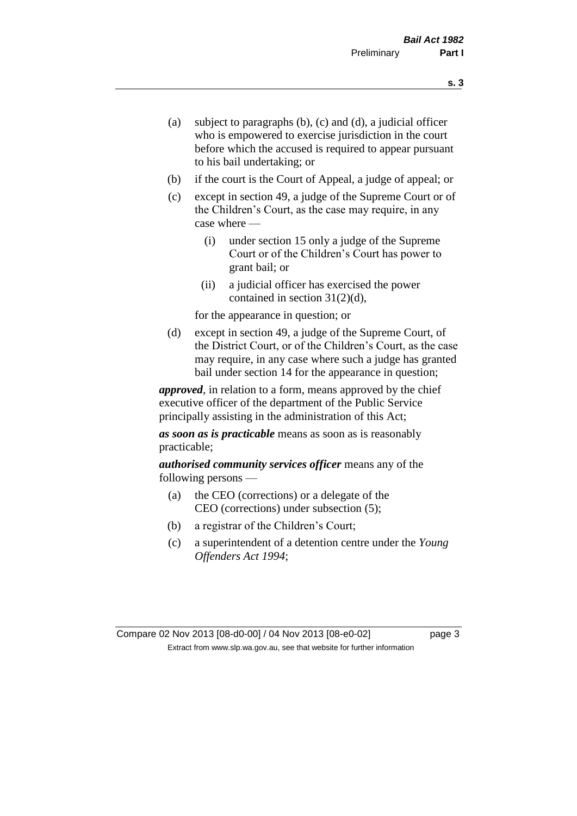- (a) subject to paragraphs (b), (c) and (d), a judicial officer who is empowered to exercise jurisdiction in the court before which the accused is required to appear pursuant to his bail undertaking; or
- (b) if the court is the Court of Appeal, a judge of appeal; or
- (c) except in section 49, a judge of the Supreme Court or of the Children's Court, as the case may require, in any case where —
	- (i) under section 15 only a judge of the Supreme Court or of the Children's Court has power to grant bail; or
	- (ii) a judicial officer has exercised the power contained in section 31(2)(d),

for the appearance in question; or

(d) except in section 49, a judge of the Supreme Court, of the District Court, or of the Children's Court, as the case may require, in any case where such a judge has granted bail under section 14 for the appearance in question;

*approved*, in relation to a form, means approved by the chief executive officer of the department of the Public Service principally assisting in the administration of this Act;

*as soon as is practicable* means as soon as is reasonably practicable;

*authorised community services officer* means any of the following persons —

- (a) the CEO (corrections) or a delegate of the CEO (corrections) under subsection (5);
- (b) a registrar of the Children's Court;
- (c) a superintendent of a detention centre under the *Young Offenders Act 1994*;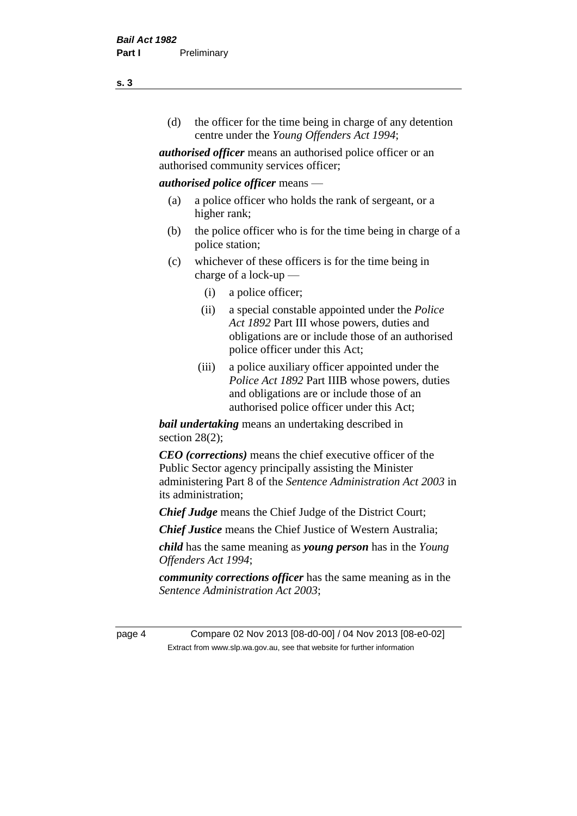(d) the officer for the time being in charge of any detention centre under the *Young Offenders Act 1994*;

*authorised officer* means an authorised police officer or an authorised community services officer;

#### *authorised police officer* means —

- (a) a police officer who holds the rank of sergeant, or a higher rank;
- (b) the police officer who is for the time being in charge of a police station;
- (c) whichever of these officers is for the time being in charge of a lock-up —
	- (i) a police officer;
	- (ii) a special constable appointed under the *Police Act 1892* Part III whose powers, duties and obligations are or include those of an authorised police officer under this Act;
	- (iii) a police auxiliary officer appointed under the *Police Act 1892* Part IIIB whose powers, duties and obligations are or include those of an authorised police officer under this Act;

*bail undertaking* means an undertaking described in section  $28(2)$ ;

*CEO (corrections)* means the chief executive officer of the Public Sector agency principally assisting the Minister administering Part 8 of the *Sentence Administration Act 2003* in its administration;

*Chief Judge* means the Chief Judge of the District Court;

*Chief Justice* means the Chief Justice of Western Australia;

*child* has the same meaning as *young person* has in the *Young Offenders Act 1994*;

*community corrections officer* has the same meaning as in the *Sentence Administration Act 2003*;

page 4 Compare 02 Nov 2013 [08-d0-00] / 04 Nov 2013 [08-e0-02] Extract from www.slp.wa.gov.au, see that website for further information

**s. 3**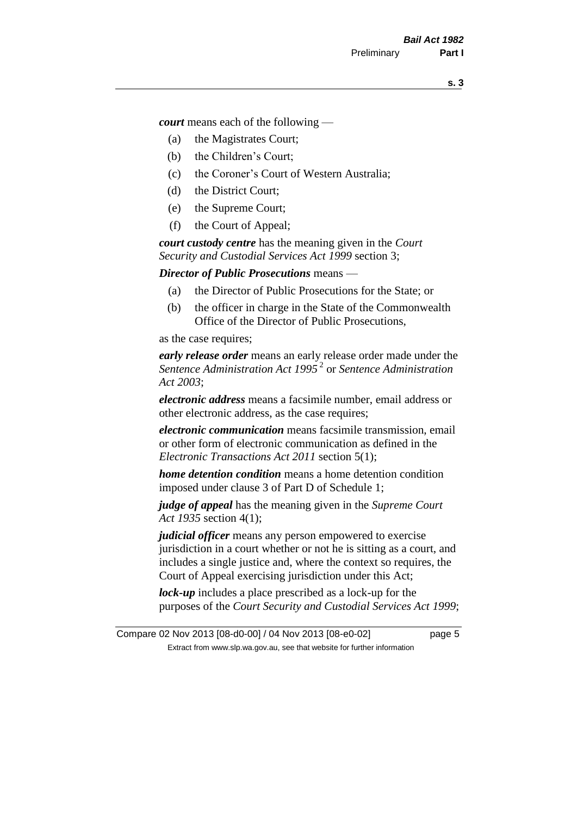*court* means each of the following —

- (a) the Magistrates Court;
- (b) the Children's Court;
- (c) the Coroner's Court of Western Australia;
- (d) the District Court;
- (e) the Supreme Court;
- (f) the Court of Appeal;

*court custody centre* has the meaning given in the *Court Security and Custodial Services Act 1999* section 3;

*Director of Public Prosecutions* means —

- (a) the Director of Public Prosecutions for the State; or
- (b) the officer in charge in the State of the Commonwealth Office of the Director of Public Prosecutions,

as the case requires;

*early release order* means an early release order made under the *Sentence Administration Act 1995* <sup>2</sup> or *Sentence Administration Act 2003*;

*electronic address* means a facsimile number, email address or other electronic address, as the case requires;

*electronic communication* means facsimile transmission, email or other form of electronic communication as defined in the *Electronic Transactions Act 2011* section 5(1);

*home detention condition* means a home detention condition imposed under clause 3 of Part D of Schedule 1;

*judge of appeal* has the meaning given in the *Supreme Court Act 1935* section 4(1);

*judicial officer* means any person empowered to exercise jurisdiction in a court whether or not he is sitting as a court, and includes a single justice and, where the context so requires, the Court of Appeal exercising jurisdiction under this Act;

*lock-up* includes a place prescribed as a lock-up for the purposes of the *Court Security and Custodial Services Act 1999*;

Compare 02 Nov 2013 [08-d0-00] / 04 Nov 2013 [08-e0-02] page 5 Extract from www.slp.wa.gov.au, see that website for further information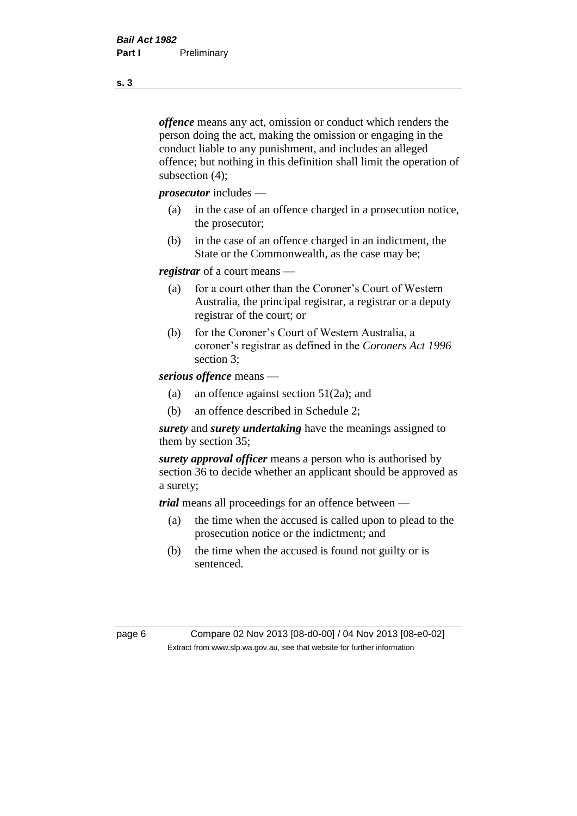*offence* means any act, omission or conduct which renders the person doing the act, making the omission or engaging in the conduct liable to any punishment, and includes an alleged offence; but nothing in this definition shall limit the operation of subsection (4);

*prosecutor* includes —

- (a) in the case of an offence charged in a prosecution notice, the prosecutor;
- (b) in the case of an offence charged in an indictment, the State or the Commonwealth, as the case may be;

*registrar* of a court means —

- (a) for a court other than the Coroner's Court of Western Australia, the principal registrar, a registrar or a deputy registrar of the court; or
- (b) for the Coroner's Court of Western Australia, a coroner's registrar as defined in the *Coroners Act 1996* section 3;

*serious offence* means —

- (a) an offence against section 51(2a); and
- (b) an offence described in Schedule 2;

*surety* and *surety undertaking* have the meanings assigned to them by section 35;

*surety approval officer* means a person who is authorised by section 36 to decide whether an applicant should be approved as a surety;

*trial* means all proceedings for an offence between —

- (a) the time when the accused is called upon to plead to the prosecution notice or the indictment; and
- (b) the time when the accused is found not guilty or is sentenced.

page 6 Compare 02 Nov 2013 [08-d0-00] / 04 Nov 2013 [08-e0-02] Extract from www.slp.wa.gov.au, see that website for further information

**s. 3**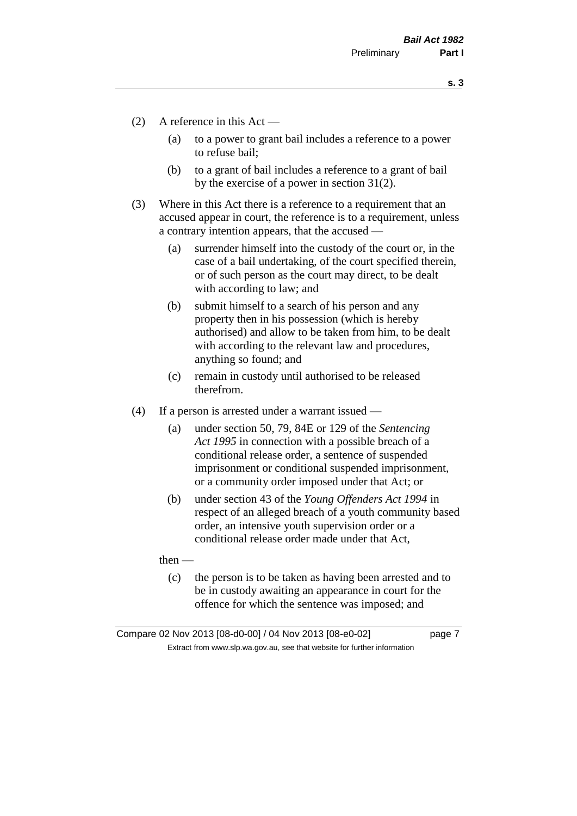- (2) A reference in this Act
	- (a) to a power to grant bail includes a reference to a power to refuse bail;
	- (b) to a grant of bail includes a reference to a grant of bail by the exercise of a power in section 31(2).
- (3) Where in this Act there is a reference to a requirement that an accused appear in court, the reference is to a requirement, unless a contrary intention appears, that the accused —
	- (a) surrender himself into the custody of the court or, in the case of a bail undertaking, of the court specified therein, or of such person as the court may direct, to be dealt with according to law; and
	- (b) submit himself to a search of his person and any property then in his possession (which is hereby authorised) and allow to be taken from him, to be dealt with according to the relevant law and procedures, anything so found; and
	- (c) remain in custody until authorised to be released therefrom.
- (4) If a person is arrested under a warrant issued
	- (a) under section 50, 79, 84E or 129 of the *Sentencing Act 1995* in connection with a possible breach of a conditional release order, a sentence of suspended imprisonment or conditional suspended imprisonment, or a community order imposed under that Act; or
	- (b) under section 43 of the *Young Offenders Act 1994* in respect of an alleged breach of a youth community based order, an intensive youth supervision order or a conditional release order made under that Act,

then —

(c) the person is to be taken as having been arrested and to be in custody awaiting an appearance in court for the offence for which the sentence was imposed; and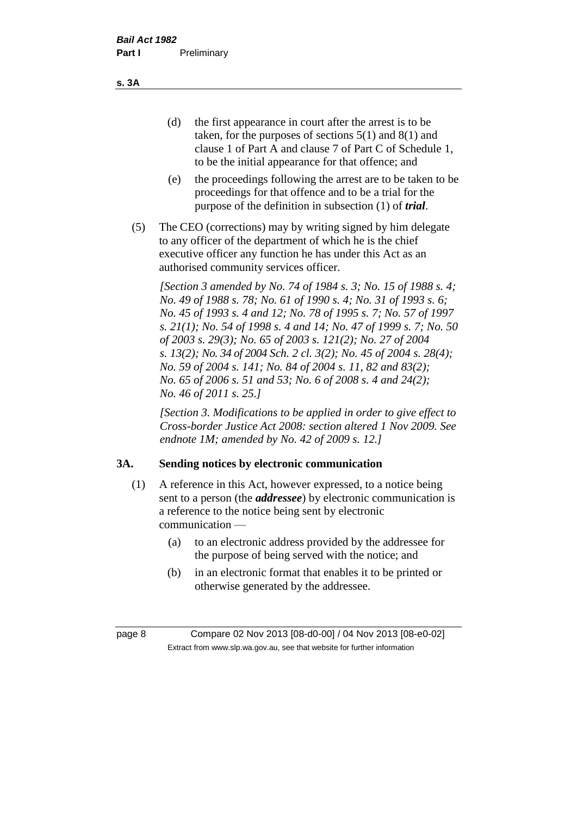(d) the first appearance in court after the arrest is to be taken, for the purposes of sections 5(1) and 8(1) and clause 1 of Part A and clause 7 of Part C of Schedule 1, to be the initial appearance for that offence; and

- (e) the proceedings following the arrest are to be taken to be proceedings for that offence and to be a trial for the purpose of the definition in subsection (1) of *trial*.
- (5) The CEO (corrections) may by writing signed by him delegate to any officer of the department of which he is the chief executive officer any function he has under this Act as an authorised community services officer.

*[Section 3 amended by No. 74 of 1984 s. 3; No. 15 of 1988 s. 4; No. 49 of 1988 s. 78; No. 61 of 1990 s. 4; No. 31 of 1993 s. 6; No. 45 of 1993 s. 4 and 12; No. 78 of 1995 s. 7; No. 57 of 1997 s. 21(1); No. 54 of 1998 s. 4 and 14; No. 47 of 1999 s. 7; No. 50 of 2003 s. 29(3); No. 65 of 2003 s. 121(2); No. 27 of 2004 s. 13(2); No. 34 of 2004 Sch. 2 cl. 3(2); No. 45 of 2004 s. 28(4); No. 59 of 2004 s. 141; No. 84 of 2004 s. 11, 82 and 83(2); No. 65 of 2006 s. 51 and 53; No. 6 of 2008 s. 4 and 24(2); No. 46 of 2011 s. 25.]* 

*[Section 3. Modifications to be applied in order to give effect to Cross-border Justice Act 2008: section altered 1 Nov 2009. See endnote 1M; amended by No. 42 of 2009 s. 12.]*

## **3A. Sending notices by electronic communication**

- (1) A reference in this Act, however expressed, to a notice being sent to a person (the *addressee*) by electronic communication is a reference to the notice being sent by electronic communication —
	- (a) to an electronic address provided by the addressee for the purpose of being served with the notice; and
	- (b) in an electronic format that enables it to be printed or otherwise generated by the addressee.

**s. 3A**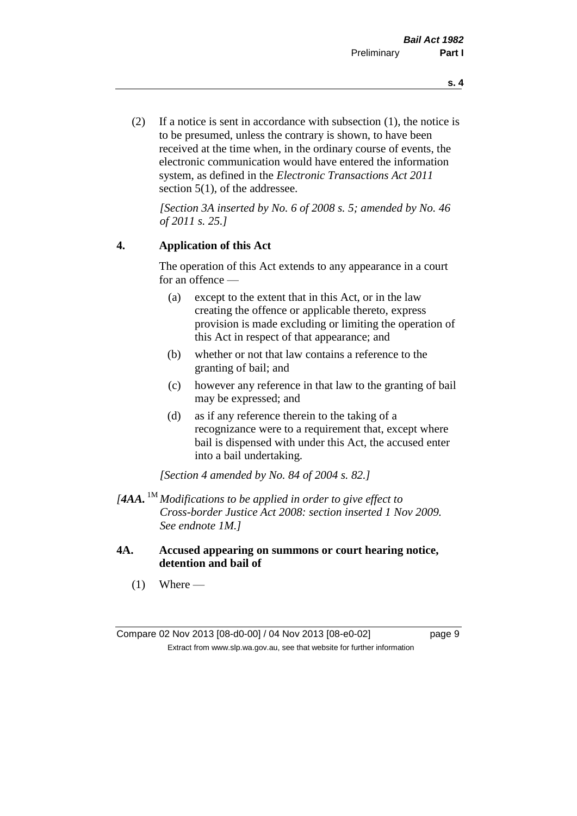(2) If a notice is sent in accordance with subsection (1), the notice is to be presumed, unless the contrary is shown, to have been received at the time when, in the ordinary course of events, the electronic communication would have entered the information system, as defined in the *Electronic Transactions Act 2011* section 5(1), of the addressee.

*[Section 3A inserted by No. 6 of 2008 s. 5; amended by No. 46 of 2011 s. 25.]*

#### **4. Application of this Act**

The operation of this Act extends to any appearance in a court for an offence —

- (a) except to the extent that in this Act, or in the law creating the offence or applicable thereto, express provision is made excluding or limiting the operation of this Act in respect of that appearance; and
- (b) whether or not that law contains a reference to the granting of bail; and
- (c) however any reference in that law to the granting of bail may be expressed; and
- (d) as if any reference therein to the taking of a recognizance were to a requirement that, except where bail is dispensed with under this Act, the accused enter into a bail undertaking.

*[Section 4 amended by No. 84 of 2004 s. 82.]*

- *[4AA.* 1M *Modifications to be applied in order to give effect to Cross-border Justice Act 2008: section inserted 1 Nov 2009. See endnote 1M.]*
- **4A. Accused appearing on summons or court hearing notice, detention and bail of**
	- $(1)$  Where —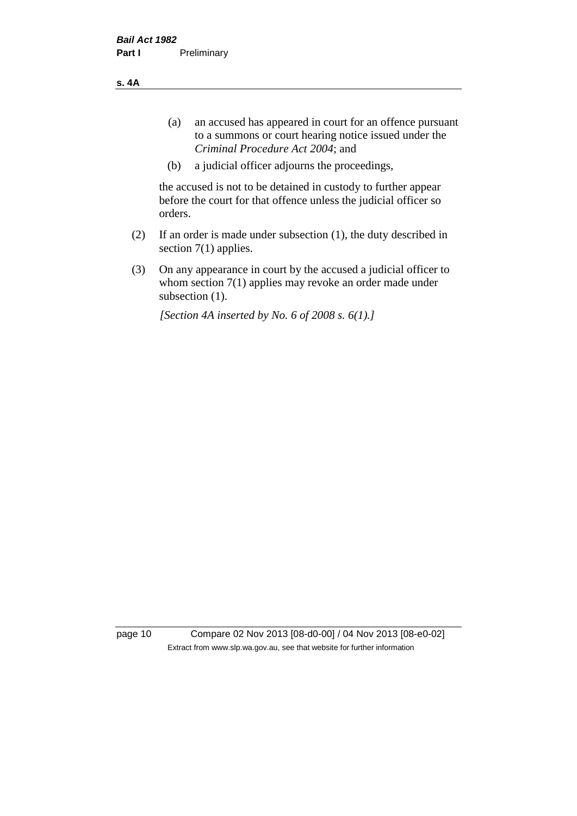**s. 4A**

- (a) an accused has appeared in court for an offence pursuant to a summons or court hearing notice issued under the *Criminal Procedure Act 2004*; and
- (b) a judicial officer adjourns the proceedings,

the accused is not to be detained in custody to further appear before the court for that offence unless the judicial officer so orders.

- (2) If an order is made under subsection (1), the duty described in section 7(1) applies.
- (3) On any appearance in court by the accused a judicial officer to whom section 7(1) applies may revoke an order made under subsection (1).

*[Section 4A inserted by No. 6 of 2008 s. 6(1).]*

page 10 Compare 02 Nov 2013 [08-d0-00] / 04 Nov 2013 [08-e0-02] Extract from www.slp.wa.gov.au, see that website for further information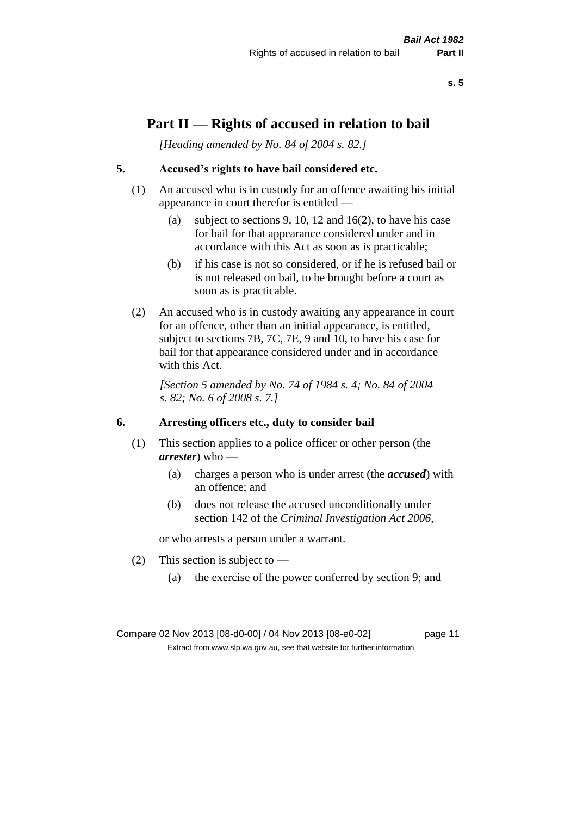# **Part II — Rights of accused in relation to bail**

*[Heading amended by No. 84 of 2004 s. 82.]* 

## **5. Accused's rights to have bail considered etc.**

- (1) An accused who is in custody for an offence awaiting his initial appearance in court therefor is entitled —
	- (a) subject to sections 9, 10, 12 and 16(2), to have his case for bail for that appearance considered under and in accordance with this Act as soon as is practicable;
	- (b) if his case is not so considered, or if he is refused bail or is not released on bail, to be brought before a court as soon as is practicable.
- (2) An accused who is in custody awaiting any appearance in court for an offence, other than an initial appearance, is entitled, subject to sections 7B, 7C, 7E, 9 and 10, to have his case for bail for that appearance considered under and in accordance with this Act.

*[Section 5 amended by No. 74 of 1984 s. 4; No. 84 of 2004 s. 82; No. 6 of 2008 s. 7.]* 

#### **6. Arresting officers etc., duty to consider bail**

- (1) This section applies to a police officer or other person (the *arrester*) who —
	- (a) charges a person who is under arrest (the *accused*) with an offence; and
	- (b) does not release the accused unconditionally under section 142 of the *Criminal Investigation Act 2006*,

or who arrests a person under a warrant.

- (2) This section is subject to  $-$ 
	- (a) the exercise of the power conferred by section 9; and

Compare 02 Nov 2013 [08-d0-00] / 04 Nov 2013 [08-e0-02] page 11 Extract from www.slp.wa.gov.au, see that website for further information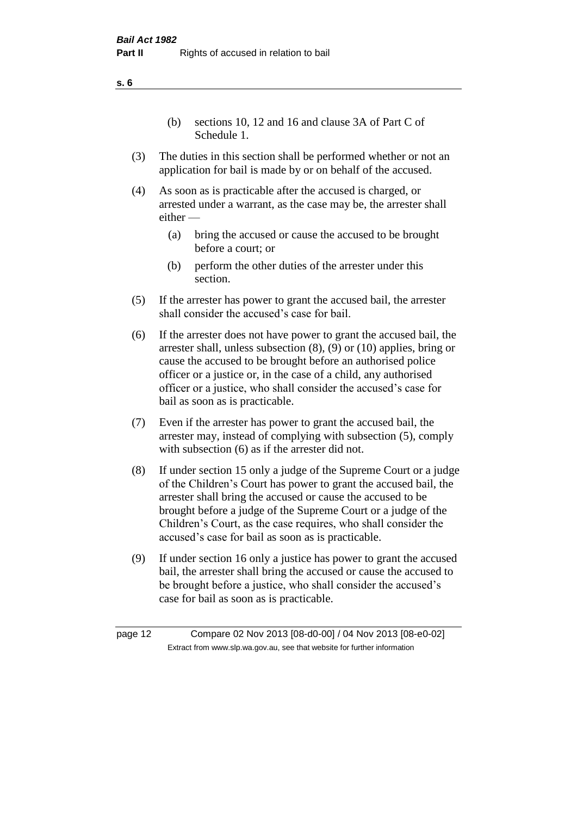(b) sections 10, 12 and 16 and clause 3A of Part C of Schedule 1.

- (3) The duties in this section shall be performed whether or not an application for bail is made by or on behalf of the accused.
- (4) As soon as is practicable after the accused is charged, or arrested under a warrant, as the case may be, the arrester shall either —
	- (a) bring the accused or cause the accused to be brought before a court; or
	- (b) perform the other duties of the arrester under this section.
- (5) If the arrester has power to grant the accused bail, the arrester shall consider the accused's case for bail.
- (6) If the arrester does not have power to grant the accused bail, the arrester shall, unless subsection (8), (9) or (10) applies, bring or cause the accused to be brought before an authorised police officer or a justice or, in the case of a child, any authorised officer or a justice, who shall consider the accused's case for bail as soon as is practicable.
- (7) Even if the arrester has power to grant the accused bail, the arrester may, instead of complying with subsection (5), comply with subsection  $(6)$  as if the arrester did not.
- (8) If under section 15 only a judge of the Supreme Court or a judge of the Children's Court has power to grant the accused bail, the arrester shall bring the accused or cause the accused to be brought before a judge of the Supreme Court or a judge of the Children's Court, as the case requires, who shall consider the accused's case for bail as soon as is practicable.
- (9) If under section 16 only a justice has power to grant the accused bail, the arrester shall bring the accused or cause the accused to be brought before a justice, who shall consider the accused's case for bail as soon as is practicable.

**s. 6**

page 12 Compare 02 Nov 2013 [08-d0-00] / 04 Nov 2013 [08-e0-02] Extract from www.slp.wa.gov.au, see that website for further information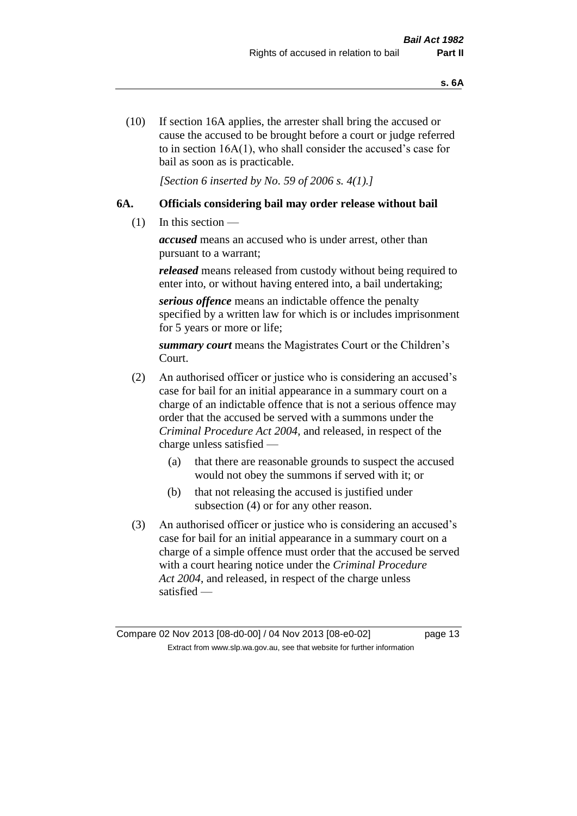(10) If section 16A applies, the arrester shall bring the accused or cause the accused to be brought before a court or judge referred to in section 16A(1), who shall consider the accused's case for bail as soon as is practicable.

*[Section 6 inserted by No. 59 of 2006 s. 4(1).]* 

## **6A. Officials considering bail may order release without bail**

(1) In this section —

*accused* means an accused who is under arrest, other than pursuant to a warrant;

*released* means released from custody without being required to enter into, or without having entered into, a bail undertaking;

*serious offence* means an indictable offence the penalty specified by a written law for which is or includes imprisonment for 5 years or more or life;

*summary court* means the Magistrates Court or the Children's Court.

- (2) An authorised officer or justice who is considering an accused's case for bail for an initial appearance in a summary court on a charge of an indictable offence that is not a serious offence may order that the accused be served with a summons under the *Criminal Procedure Act 2004*, and released, in respect of the charge unless satisfied —
	- (a) that there are reasonable grounds to suspect the accused would not obey the summons if served with it; or
	- (b) that not releasing the accused is justified under subsection (4) or for any other reason.
- (3) An authorised officer or justice who is considering an accused's case for bail for an initial appearance in a summary court on a charge of a simple offence must order that the accused be served with a court hearing notice under the *Criminal Procedure Act 2004*, and released, in respect of the charge unless satisfied —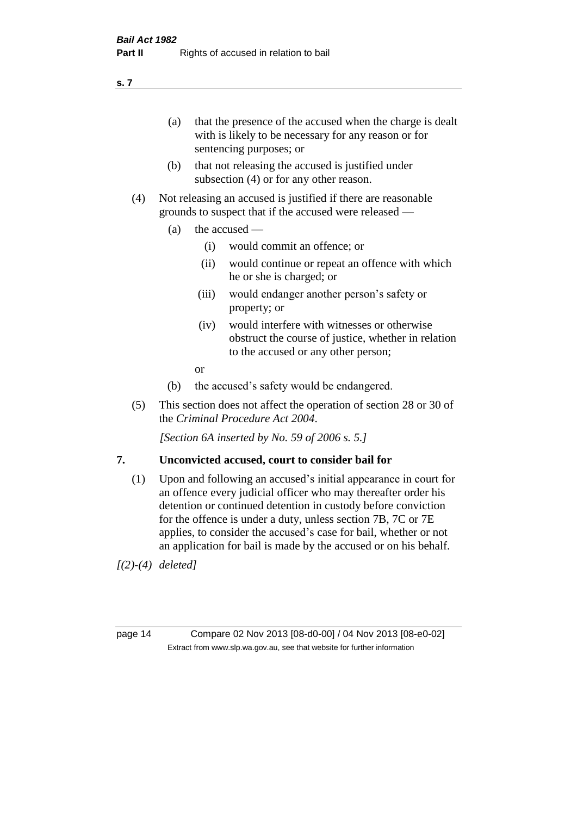(a) that the presence of the accused when the charge is dealt with is likely to be necessary for any reason or for sentencing purposes; or

- (b) that not releasing the accused is justified under subsection (4) or for any other reason.
- (4) Not releasing an accused is justified if there are reasonable grounds to suspect that if the accused were released —
	- (a) the accused  $\equiv$ 
		- (i) would commit an offence; or
		- (ii) would continue or repeat an offence with which he or she is charged; or
		- (iii) would endanger another person's safety or property; or
		- (iv) would interfere with witnesses or otherwise obstruct the course of justice, whether in relation to the accused or any other person;
		- or
	- (b) the accused's safety would be endangered.
- (5) This section does not affect the operation of section 28 or 30 of the *Criminal Procedure Act 2004*.

*[Section 6A inserted by No. 59 of 2006 s. 5.]* 

#### **7. Unconvicted accused, court to consider bail for**

(1) Upon and following an accused's initial appearance in court for an offence every judicial officer who may thereafter order his detention or continued detention in custody before conviction for the offence is under a duty, unless section 7B, 7C or 7E applies, to consider the accused's case for bail, whether or not an application for bail is made by the accused or on his behalf.

*[(2)-(4) deleted]*

page 14 Compare 02 Nov 2013 [08-d0-00] / 04 Nov 2013 [08-e0-02] Extract from www.slp.wa.gov.au, see that website for further information

**s. 7**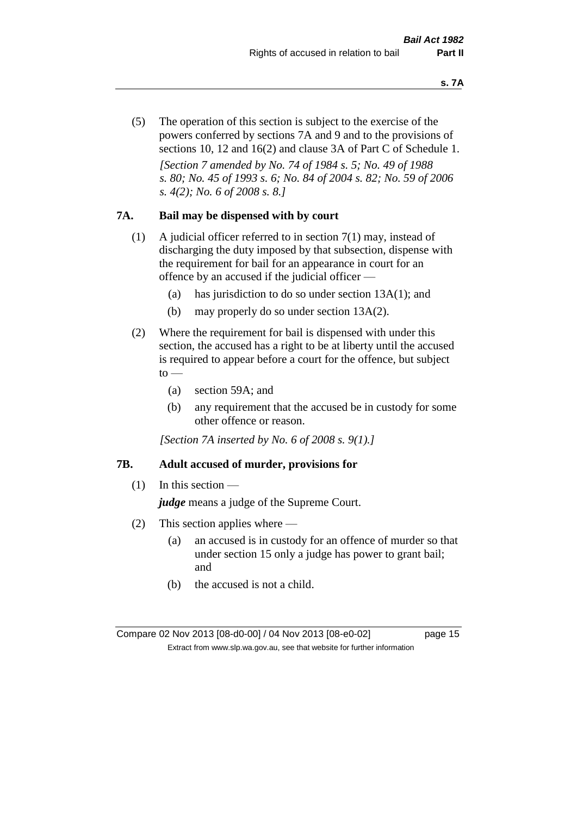(5) The operation of this section is subject to the exercise of the powers conferred by sections 7A and 9 and to the provisions of sections 10, 12 and 16(2) and clause 3A of Part C of Schedule 1. *[Section 7 amended by No. 74 of 1984 s. 5; No. 49 of 1988 s. 80; No. 45 of 1993 s. 6; No. 84 of 2004 s. 82; No. 59 of 2006 s. 4(2); No. 6 of 2008 s. 8.]* 

#### **7A. Bail may be dispensed with by court**

- (1) A judicial officer referred to in section 7(1) may, instead of discharging the duty imposed by that subsection, dispense with the requirement for bail for an appearance in court for an offence by an accused if the judicial officer —
	- (a) has jurisdiction to do so under section 13A(1); and
	- (b) may properly do so under section 13A(2).
- (2) Where the requirement for bail is dispensed with under this section, the accused has a right to be at liberty until the accused is required to appear before a court for the offence, but subject  $to$ 
	- (a) section 59A; and
	- (b) any requirement that the accused be in custody for some other offence or reason.

*[Section 7A inserted by No. 6 of 2008 s. 9(1).]*

#### **7B. Adult accused of murder, provisions for**

 $(1)$  In this section —

*judge* means a judge of the Supreme Court.

- (2) This section applies where
	- (a) an accused is in custody for an offence of murder so that under section 15 only a judge has power to grant bail; and
	- (b) the accused is not a child.

Compare 02 Nov 2013 [08-d0-00] / 04 Nov 2013 [08-e0-02] page 15 Extract from www.slp.wa.gov.au, see that website for further information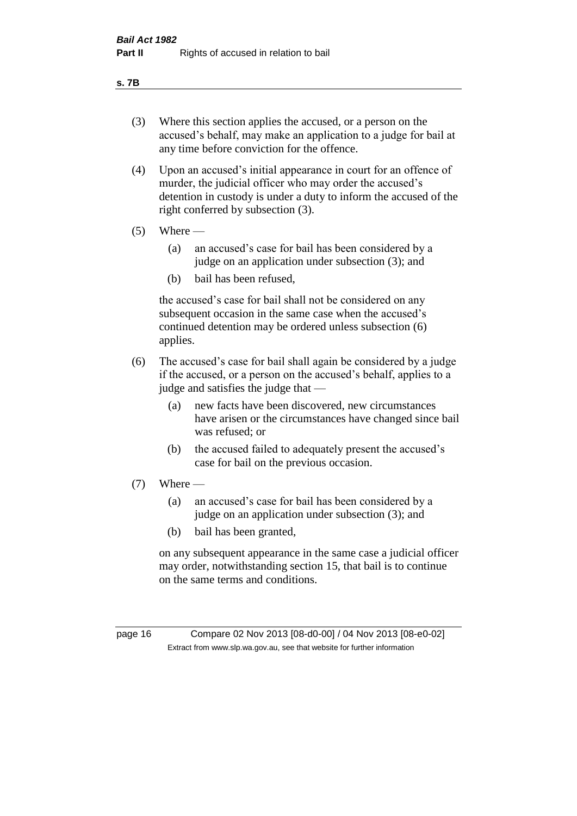#### **s. 7B**

- (3) Where this section applies the accused, or a person on the accused's behalf, may make an application to a judge for bail at any time before conviction for the offence.
- (4) Upon an accused's initial appearance in court for an offence of murder, the judicial officer who may order the accused's detention in custody is under a duty to inform the accused of the right conferred by subsection (3).
- $(5)$  Where
	- (a) an accused's case for bail has been considered by a judge on an application under subsection (3); and
	- (b) bail has been refused,

the accused's case for bail shall not be considered on any subsequent occasion in the same case when the accused's continued detention may be ordered unless subsection (6) applies.

- (6) The accused's case for bail shall again be considered by a judge if the accused, or a person on the accused's behalf, applies to a judge and satisfies the judge that —
	- (a) new facts have been discovered, new circumstances have arisen or the circumstances have changed since bail was refused; or
	- (b) the accused failed to adequately present the accused's case for bail on the previous occasion.
- $(7)$  Where
	- (a) an accused's case for bail has been considered by a judge on an application under subsection (3); and
	- (b) bail has been granted,

on any subsequent appearance in the same case a judicial officer may order, notwithstanding section 15, that bail is to continue on the same terms and conditions.

page 16 Compare 02 Nov 2013 [08-d0-00] / 04 Nov 2013 [08-e0-02] Extract from www.slp.wa.gov.au, see that website for further information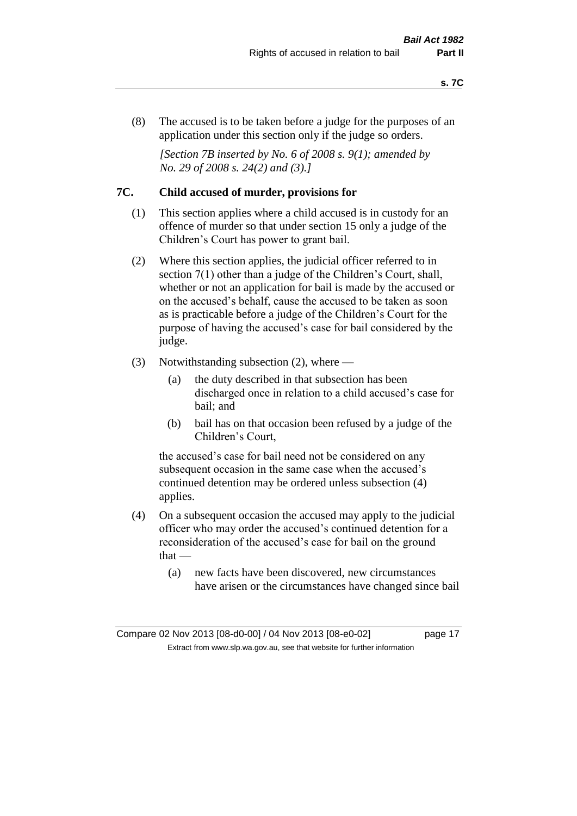(8) The accused is to be taken before a judge for the purposes of an application under this section only if the judge so orders.

*[Section 7B inserted by No. 6 of 2008 s. 9(1); amended by No. 29 of 2008 s. 24(2) and (3).]*

#### **7C. Child accused of murder, provisions for**

- (1) This section applies where a child accused is in custody for an offence of murder so that under section 15 only a judge of the Children's Court has power to grant bail.
- (2) Where this section applies, the judicial officer referred to in section 7(1) other than a judge of the Children's Court, shall, whether or not an application for bail is made by the accused or on the accused's behalf, cause the accused to be taken as soon as is practicable before a judge of the Children's Court for the purpose of having the accused's case for bail considered by the judge.
- (3) Notwithstanding subsection (2), where
	- (a) the duty described in that subsection has been discharged once in relation to a child accused's case for bail; and
	- (b) bail has on that occasion been refused by a judge of the Children's Court,

the accused's case for bail need not be considered on any subsequent occasion in the same case when the accused's continued detention may be ordered unless subsection (4) applies.

- (4) On a subsequent occasion the accused may apply to the judicial officer who may order the accused's continued detention for a reconsideration of the accused's case for bail on the ground that —
	- (a) new facts have been discovered, new circumstances have arisen or the circumstances have changed since bail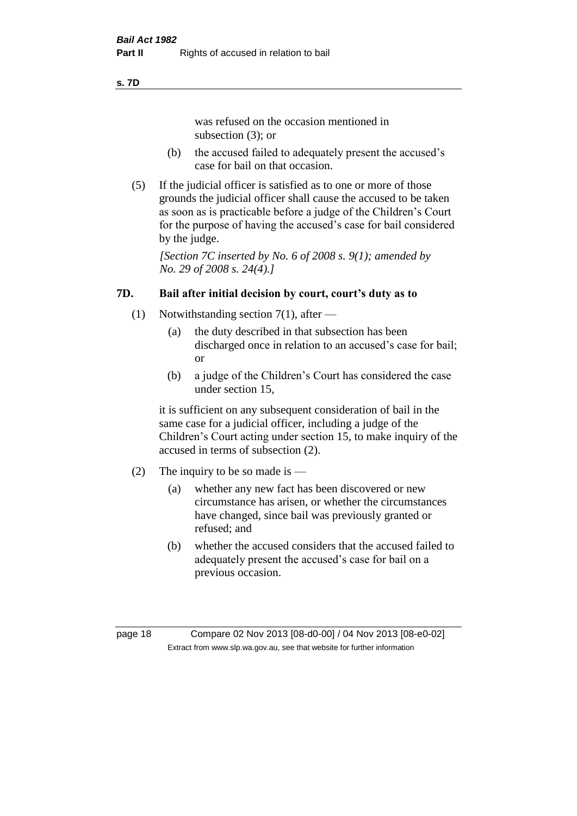#### **s. 7D**

was refused on the occasion mentioned in subsection (3); or

- (b) the accused failed to adequately present the accused's case for bail on that occasion.
- (5) If the judicial officer is satisfied as to one or more of those grounds the judicial officer shall cause the accused to be taken as soon as is practicable before a judge of the Children's Court for the purpose of having the accused's case for bail considered by the judge.

*[Section 7C inserted by No. 6 of 2008 s. 9(1); amended by No. 29 of 2008 s. 24(4).]*

# **7D. Bail after initial decision by court, court's duty as to**

- (1) Notwithstanding section 7(1), after
	- (a) the duty described in that subsection has been discharged once in relation to an accused's case for bail; or
	- (b) a judge of the Children's Court has considered the case under section 15,

it is sufficient on any subsequent consideration of bail in the same case for a judicial officer, including a judge of the Children's Court acting under section 15, to make inquiry of the accused in terms of subsection (2).

- (2) The inquiry to be so made is
	- (a) whether any new fact has been discovered or new circumstance has arisen, or whether the circumstances have changed, since bail was previously granted or refused; and
	- (b) whether the accused considers that the accused failed to adequately present the accused's case for bail on a previous occasion.

page 18 Compare 02 Nov 2013 [08-d0-00] / 04 Nov 2013 [08-e0-02] Extract from www.slp.wa.gov.au, see that website for further information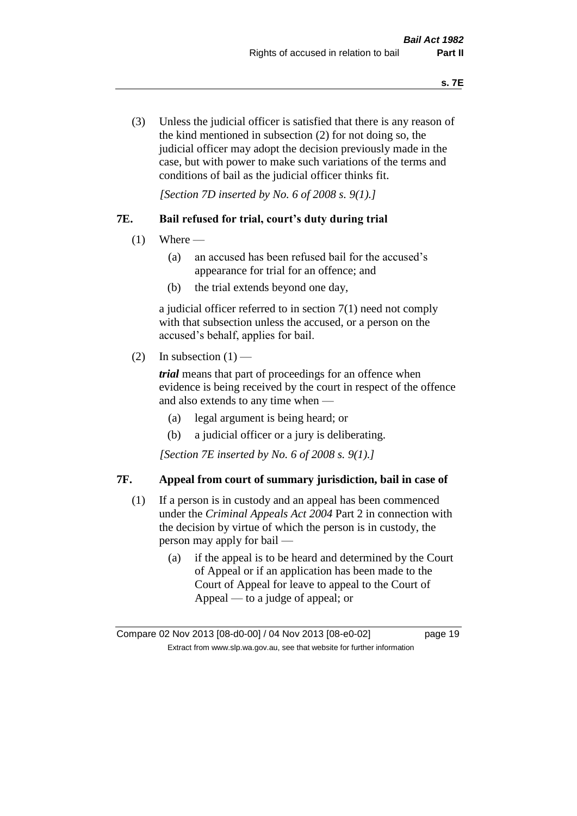(3) Unless the judicial officer is satisfied that there is any reason of the kind mentioned in subsection (2) for not doing so, the judicial officer may adopt the decision previously made in the case, but with power to make such variations of the terms and conditions of bail as the judicial officer thinks fit.

*[Section 7D inserted by No. 6 of 2008 s. 9(1).]*

#### **7E. Bail refused for trial, court's duty during trial**

- $(1)$  Where
	- (a) an accused has been refused bail for the accused's appearance for trial for an offence; and
	- (b) the trial extends beyond one day,

a judicial officer referred to in section 7(1) need not comply with that subsection unless the accused, or a person on the accused's behalf, applies for bail.

(2) In subsection  $(1)$  —

*trial* means that part of proceedings for an offence when evidence is being received by the court in respect of the offence and also extends to any time when —

- (a) legal argument is being heard; or
- (b) a judicial officer or a jury is deliberating.

*[Section 7E inserted by No. 6 of 2008 s. 9(1).]*

#### **7F. Appeal from court of summary jurisdiction, bail in case of**

- (1) If a person is in custody and an appeal has been commenced under the *Criminal Appeals Act 2004* Part 2 in connection with the decision by virtue of which the person is in custody, the person may apply for bail —
	- (a) if the appeal is to be heard and determined by the Court of Appeal or if an application has been made to the Court of Appeal for leave to appeal to the Court of Appeal — to a judge of appeal; or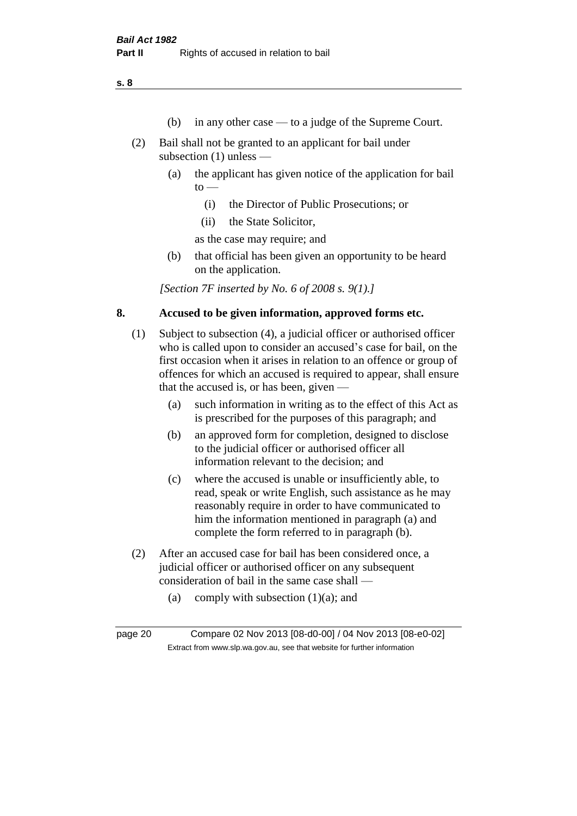- (b) in any other case to a judge of the Supreme Court.
- (2) Bail shall not be granted to an applicant for bail under subsection (1) unless —
	- (a) the applicant has given notice of the application for bail  $to -$ 
		- (i) the Director of Public Prosecutions; or
		- (ii) the State Solicitor,

as the case may require; and

(b) that official has been given an opportunity to be heard on the application.

*[Section 7F inserted by No. 6 of 2008 s. 9(1).]*

#### **8. Accused to be given information, approved forms etc.**

- (1) Subject to subsection (4), a judicial officer or authorised officer who is called upon to consider an accused's case for bail, on the first occasion when it arises in relation to an offence or group of offences for which an accused is required to appear, shall ensure that the accused is, or has been, given —
	- (a) such information in writing as to the effect of this Act as is prescribed for the purposes of this paragraph; and
	- (b) an approved form for completion, designed to disclose to the judicial officer or authorised officer all information relevant to the decision; and
	- (c) where the accused is unable or insufficiently able, to read, speak or write English, such assistance as he may reasonably require in order to have communicated to him the information mentioned in paragraph (a) and complete the form referred to in paragraph (b).
- (2) After an accused case for bail has been considered once, a judicial officer or authorised officer on any subsequent consideration of bail in the same case shall —
	- (a) comply with subsection  $(1)(a)$ ; and

page 20 Compare 02 Nov 2013 [08-d0-00] / 04 Nov 2013 [08-e0-02] Extract from www.slp.wa.gov.au, see that website for further information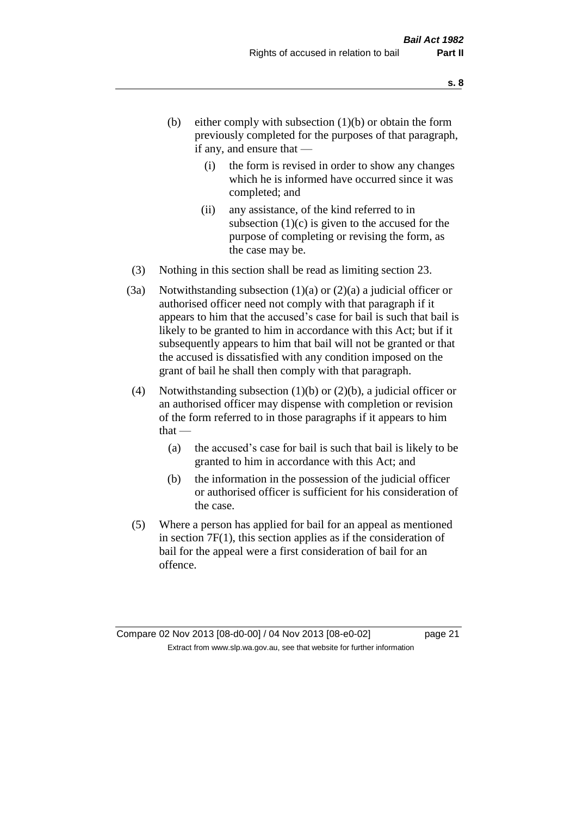- (b) either comply with subsection  $(1)(b)$  or obtain the form previously completed for the purposes of that paragraph, if any, and ensure that —
	- (i) the form is revised in order to show any changes which he is informed have occurred since it was completed; and
	- (ii) any assistance, of the kind referred to in subsection  $(1)(c)$  is given to the accused for the purpose of completing or revising the form, as the case may be.
- (3) Nothing in this section shall be read as limiting section 23.
- (3a) Notwithstanding subsection  $(1)(a)$  or  $(2)(a)$  a judicial officer or authorised officer need not comply with that paragraph if it appears to him that the accused's case for bail is such that bail is likely to be granted to him in accordance with this Act; but if it subsequently appears to him that bail will not be granted or that the accused is dissatisfied with any condition imposed on the grant of bail he shall then comply with that paragraph.
- (4) Notwithstanding subsection (1)(b) or (2)(b), a judicial officer or an authorised officer may dispense with completion or revision of the form referred to in those paragraphs if it appears to him  $that -$ 
	- (a) the accused's case for bail is such that bail is likely to be granted to him in accordance with this Act; and
	- (b) the information in the possession of the judicial officer or authorised officer is sufficient for his consideration of the case.
- (5) Where a person has applied for bail for an appeal as mentioned in section 7F(1), this section applies as if the consideration of bail for the appeal were a first consideration of bail for an offence.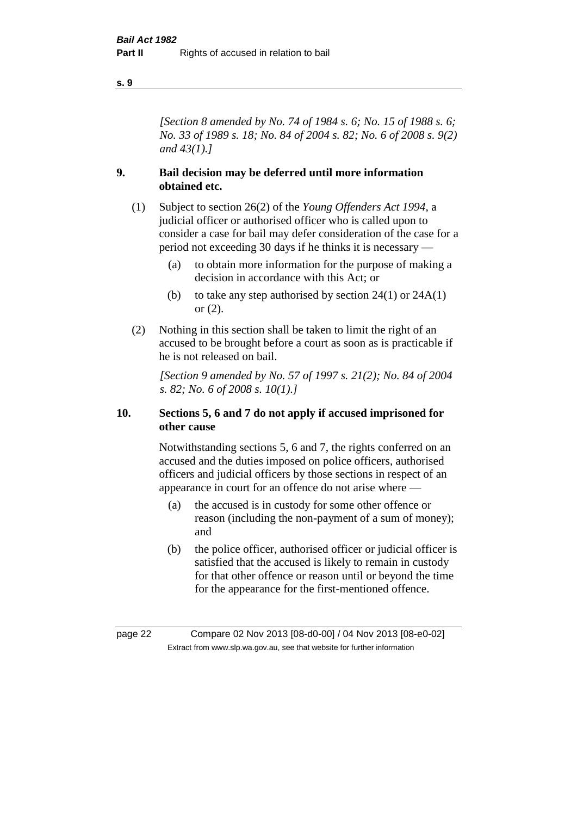*[Section 8 amended by No. 74 of 1984 s. 6; No. 15 of 1988 s. 6; No. 33 of 1989 s. 18; No. 84 of 2004 s. 82; No. 6 of 2008 s. 9(2) and 43(1).]* 

#### **9. Bail decision may be deferred until more information obtained etc.**

- (1) Subject to section 26(2) of the *Young Offenders Act 1994*, a judicial officer or authorised officer who is called upon to consider a case for bail may defer consideration of the case for a period not exceeding 30 days if he thinks it is necessary —
	- (a) to obtain more information for the purpose of making a decision in accordance with this Act; or
	- (b) to take any step authorised by section  $24(1)$  or  $24A(1)$ or (2).
- (2) Nothing in this section shall be taken to limit the right of an accused to be brought before a court as soon as is practicable if he is not released on bail.

*[Section 9 amended by No. 57 of 1997 s. 21(2); No. 84 of 2004 s. 82; No. 6 of 2008 s. 10(1).]*

#### **10. Sections 5, 6 and 7 do not apply if accused imprisoned for other cause**

Notwithstanding sections 5, 6 and 7, the rights conferred on an accused and the duties imposed on police officers, authorised officers and judicial officers by those sections in respect of an appearance in court for an offence do not arise where —

- (a) the accused is in custody for some other offence or reason (including the non-payment of a sum of money); and
- (b) the police officer, authorised officer or judicial officer is satisfied that the accused is likely to remain in custody for that other offence or reason until or beyond the time for the appearance for the first-mentioned offence.

page 22 Compare 02 Nov 2013 [08-d0-00] / 04 Nov 2013 [08-e0-02] Extract from www.slp.wa.gov.au, see that website for further information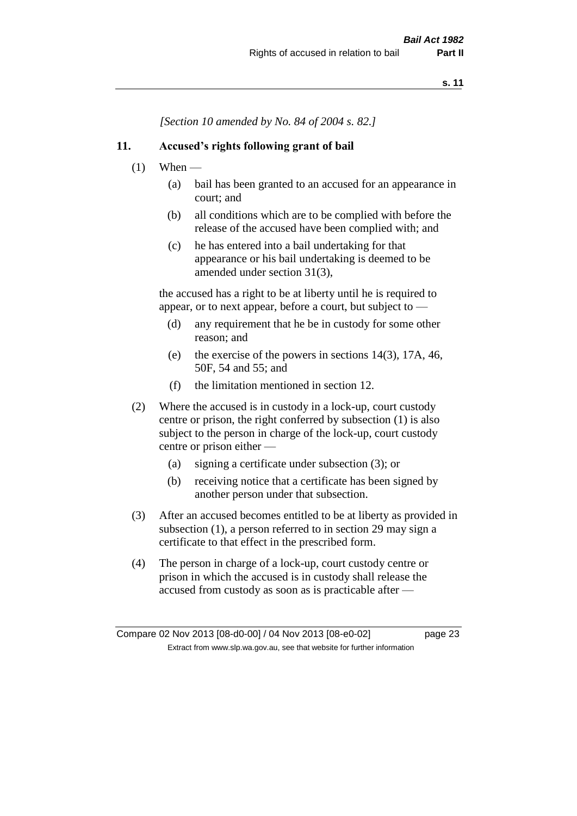*[Section 10 amended by No. 84 of 2004 s. 82.]*

#### **11. Accused's rights following grant of bail**

- $(1)$  When
	- (a) bail has been granted to an accused for an appearance in court; and
	- (b) all conditions which are to be complied with before the release of the accused have been complied with; and
	- (c) he has entered into a bail undertaking for that appearance or his bail undertaking is deemed to be amended under section 31(3),

the accused has a right to be at liberty until he is required to appear, or to next appear, before a court, but subject to —

- (d) any requirement that he be in custody for some other reason; and
- (e) the exercise of the powers in sections 14(3), 17A, 46, 50F, 54 and 55; and
- (f) the limitation mentioned in section 12.
- (2) Where the accused is in custody in a lock-up, court custody centre or prison, the right conferred by subsection (1) is also subject to the person in charge of the lock-up, court custody centre or prison either —
	- (a) signing a certificate under subsection (3); or
	- (b) receiving notice that a certificate has been signed by another person under that subsection.
- (3) After an accused becomes entitled to be at liberty as provided in subsection (1), a person referred to in section 29 may sign a certificate to that effect in the prescribed form.
- (4) The person in charge of a lock-up, court custody centre or prison in which the accused is in custody shall release the accused from custody as soon as is practicable after —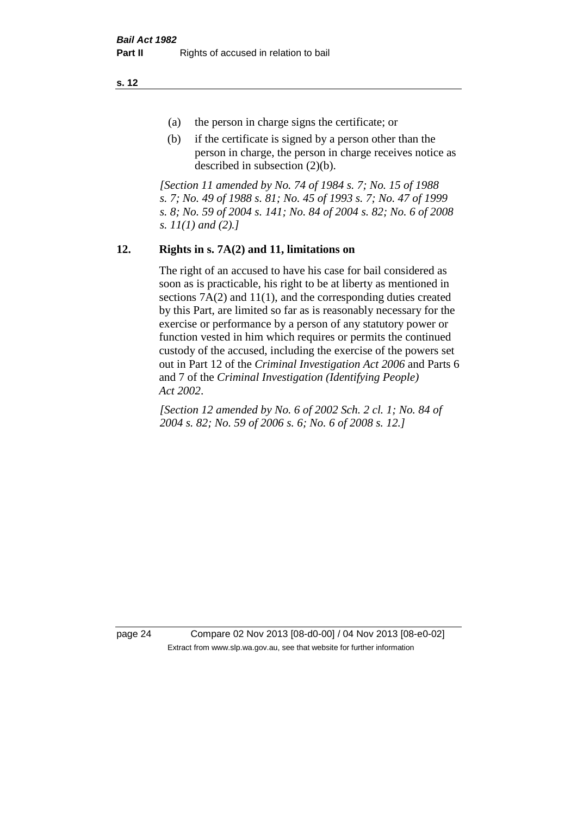- (a) the person in charge signs the certificate; or
- (b) if the certificate is signed by a person other than the person in charge, the person in charge receives notice as described in subsection (2)(b).

*[Section 11 amended by No. 74 of 1984 s. 7; No. 15 of 1988 s. 7; No. 49 of 1988 s. 81; No. 45 of 1993 s. 7; No. 47 of 1999 s. 8; No. 59 of 2004 s. 141; No. 84 of 2004 s. 82; No. 6 of 2008 s. 11(1) and (2).]* 

## **12. Rights in s. 7A(2) and 11, limitations on**

The right of an accused to have his case for bail considered as soon as is practicable, his right to be at liberty as mentioned in sections 7A(2) and 11(1), and the corresponding duties created by this Part, are limited so far as is reasonably necessary for the exercise or performance by a person of any statutory power or function vested in him which requires or permits the continued custody of the accused, including the exercise of the powers set out in Part 12 of the *Criminal Investigation Act 2006* and Parts 6 and 7 of the *Criminal Investigation (Identifying People) Act 2002*.

*[Section 12 amended by No. 6 of 2002 Sch. 2 cl. 1; No. 84 of 2004 s. 82; No. 59 of 2006 s. 6; No. 6 of 2008 s. 12.]*

page 24 Compare 02 Nov 2013 [08-d0-00] / 04 Nov 2013 [08-e0-02] Extract from www.slp.wa.gov.au, see that website for further information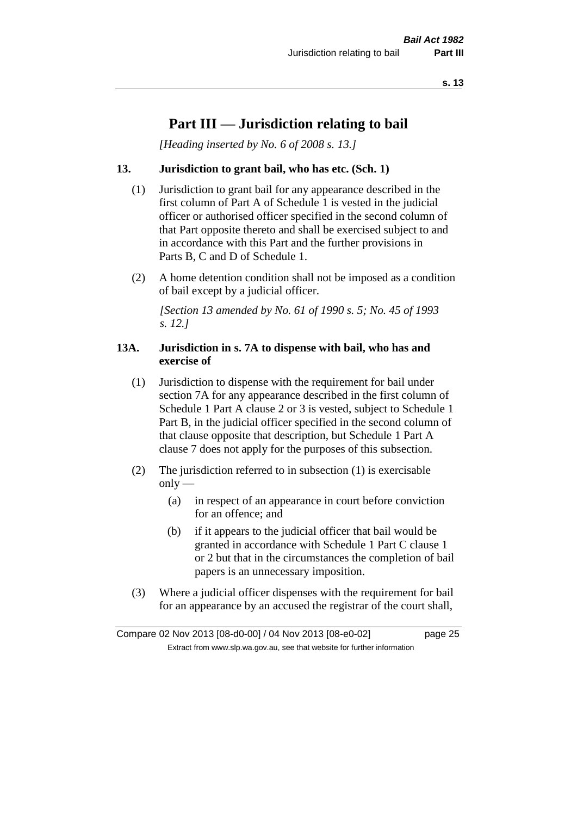# **Part III — Jurisdiction relating to bail**

*[Heading inserted by No. 6 of 2008 s. 13.]*

#### **13. Jurisdiction to grant bail, who has etc. (Sch. 1)**

- (1) Jurisdiction to grant bail for any appearance described in the first column of Part A of Schedule 1 is vested in the judicial officer or authorised officer specified in the second column of that Part opposite thereto and shall be exercised subject to and in accordance with this Part and the further provisions in Parts B, C and D of Schedule 1.
- (2) A home detention condition shall not be imposed as a condition of bail except by a judicial officer.

*[Section 13 amended by No. 61 of 1990 s. 5; No. 45 of 1993 s. 12.]* 

#### **13A. Jurisdiction in s. 7A to dispense with bail, who has and exercise of**

- (1) Jurisdiction to dispense with the requirement for bail under section 7A for any appearance described in the first column of Schedule 1 Part A clause 2 or 3 is vested, subject to Schedule 1 Part B, in the judicial officer specified in the second column of that clause opposite that description, but Schedule 1 Part A clause 7 does not apply for the purposes of this subsection.
- (2) The jurisdiction referred to in subsection (1) is exercisable  $only$ —
	- (a) in respect of an appearance in court before conviction for an offence; and
	- (b) if it appears to the judicial officer that bail would be granted in accordance with Schedule 1 Part C clause 1 or 2 but that in the circumstances the completion of bail papers is an unnecessary imposition.
- (3) Where a judicial officer dispenses with the requirement for bail for an appearance by an accused the registrar of the court shall,

Compare 02 Nov 2013 [08-d0-00] / 04 Nov 2013 [08-e0-02] page 25 Extract from www.slp.wa.gov.au, see that website for further information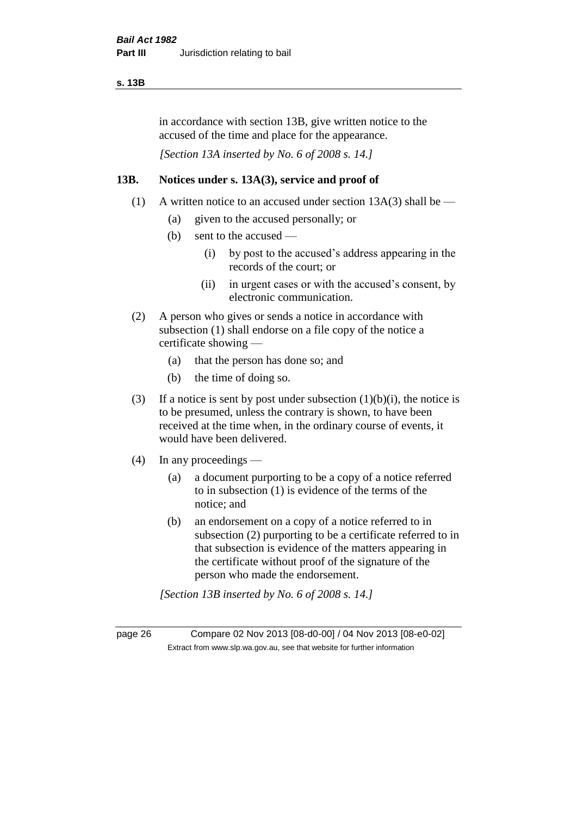#### **s. 13B**

in accordance with section 13B, give written notice to the accused of the time and place for the appearance.

*[Section 13A inserted by No. 6 of 2008 s. 14.]*

#### **13B. Notices under s. 13A(3), service and proof of**

- (1) A written notice to an accused under section  $13A(3)$  shall be
	- (a) given to the accused personally; or
	- (b) sent to the accused
		- (i) by post to the accused's address appearing in the records of the court; or
		- (ii) in urgent cases or with the accused's consent, by electronic communication.
- (2) A person who gives or sends a notice in accordance with subsection (1) shall endorse on a file copy of the notice a certificate showing —
	- (a) that the person has done so; and
	- (b) the time of doing so.
- (3) If a notice is sent by post under subsection  $(1)(b)(i)$ , the notice is to be presumed, unless the contrary is shown, to have been received at the time when, in the ordinary course of events, it would have been delivered.
- (4) In any proceedings
	- (a) a document purporting to be a copy of a notice referred to in subsection (1) is evidence of the terms of the notice; and
	- (b) an endorsement on a copy of a notice referred to in subsection (2) purporting to be a certificate referred to in that subsection is evidence of the matters appearing in the certificate without proof of the signature of the person who made the endorsement.

*[Section 13B inserted by No. 6 of 2008 s. 14.]*

page 26 Compare 02 Nov 2013 [08-d0-00] / 04 Nov 2013 [08-e0-02] Extract from www.slp.wa.gov.au, see that website for further information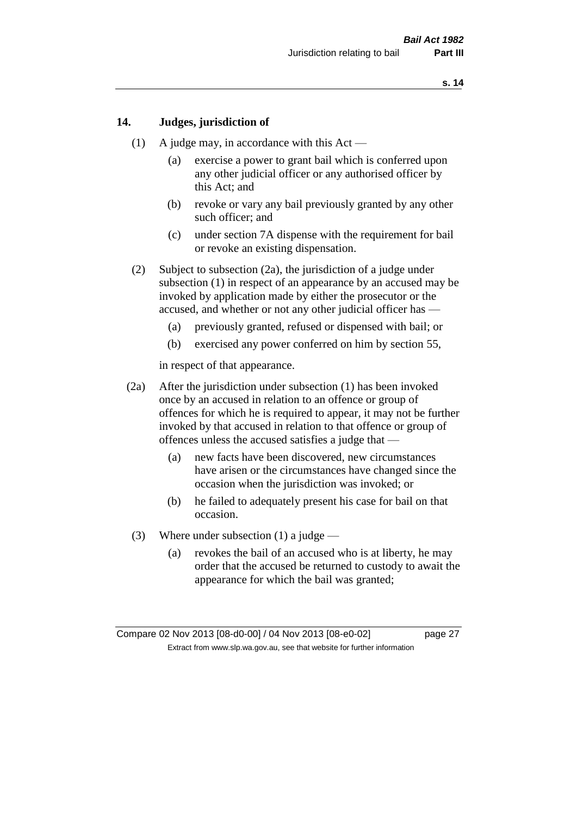#### **14. Judges, jurisdiction of**

- (1) A judge may, in accordance with this Act
	- (a) exercise a power to grant bail which is conferred upon any other judicial officer or any authorised officer by this Act; and
	- (b) revoke or vary any bail previously granted by any other such officer; and
	- (c) under section 7A dispense with the requirement for bail or revoke an existing dispensation.
- (2) Subject to subsection (2a), the jurisdiction of a judge under subsection (1) in respect of an appearance by an accused may be invoked by application made by either the prosecutor or the accused, and whether or not any other judicial officer has —
	- (a) previously granted, refused or dispensed with bail; or
	- (b) exercised any power conferred on him by section 55,

in respect of that appearance.

- (2a) After the jurisdiction under subsection (1) has been invoked once by an accused in relation to an offence or group of offences for which he is required to appear, it may not be further invoked by that accused in relation to that offence or group of offences unless the accused satisfies a judge that —
	- (a) new facts have been discovered, new circumstances have arisen or the circumstances have changed since the occasion when the jurisdiction was invoked; or
	- (b) he failed to adequately present his case for bail on that occasion.
- (3) Where under subsection (1) a judge
	- (a) revokes the bail of an accused who is at liberty, he may order that the accused be returned to custody to await the appearance for which the bail was granted;

Compare 02 Nov 2013 [08-d0-00] / 04 Nov 2013 [08-e0-02] page 27 Extract from www.slp.wa.gov.au, see that website for further information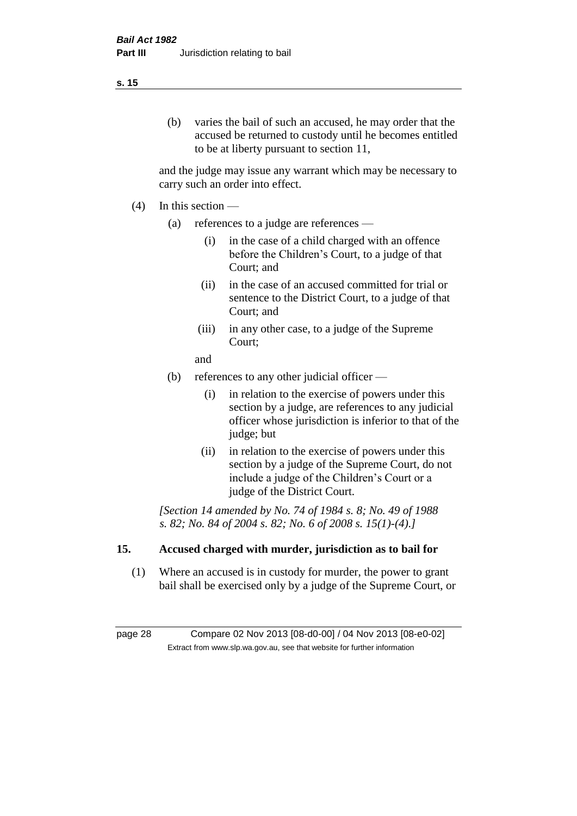## (b) varies the bail of such an accused, he may order that the accused be returned to custody until he becomes entitled to be at liberty pursuant to section 11,

and the judge may issue any warrant which may be necessary to carry such an order into effect.

- (4) In this section
	- (a) references to a judge are references
		- (i) in the case of a child charged with an offence before the Children's Court, to a judge of that Court; and
		- (ii) in the case of an accused committed for trial or sentence to the District Court, to a judge of that Court; and
		- (iii) in any other case, to a judge of the Supreme Court;
		- and
	- (b) references to any other judicial officer
		- (i) in relation to the exercise of powers under this section by a judge, are references to any judicial officer whose jurisdiction is inferior to that of the judge; but
		- (ii) in relation to the exercise of powers under this section by a judge of the Supreme Court, do not include a judge of the Children's Court or a judge of the District Court.

*[Section 14 amended by No. 74 of 1984 s. 8; No. 49 of 1988 s. 82; No. 84 of 2004 s. 82; No. 6 of 2008 s. 15(1)-(4).]* 

## **15. Accused charged with murder, jurisdiction as to bail for**

(1) Where an accused is in custody for murder, the power to grant bail shall be exercised only by a judge of the Supreme Court, or

page 28 Compare 02 Nov 2013 [08-d0-00] / 04 Nov 2013 [08-e0-02] Extract from www.slp.wa.gov.au, see that website for further information

#### **s. 15**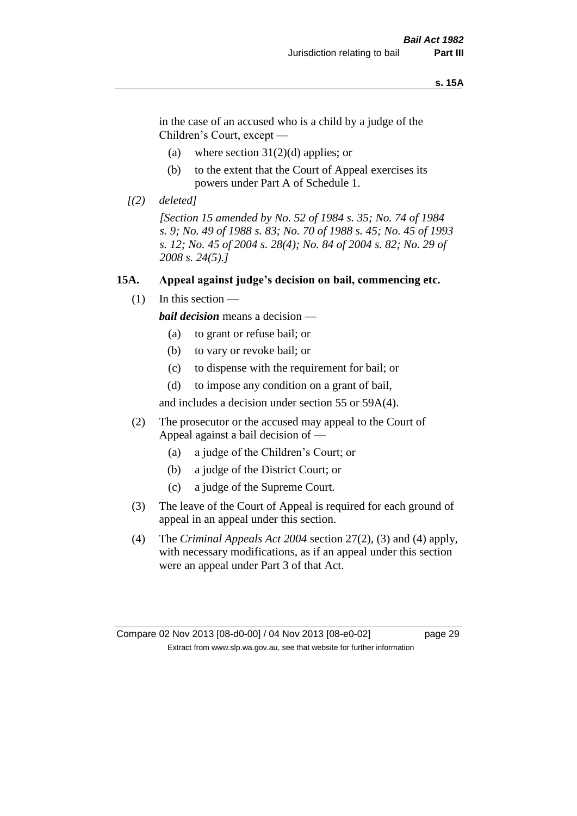#### **s. 15A**

in the case of an accused who is a child by a judge of the Children's Court, except —

- (a) where section  $31(2)(d)$  applies; or
- (b) to the extent that the Court of Appeal exercises its powers under Part A of Schedule 1.
- *[(2) deleted]*

*[Section 15 amended by No. 52 of 1984 s. 35; No. 74 of 1984 s. 9; No. 49 of 1988 s. 83; No. 70 of 1988 s. 45; No. 45 of 1993 s. 12; No. 45 of 2004 s. 28(4); No. 84 of 2004 s. 82; No. 29 of 2008 s. 24(5).]* 

#### **15A. Appeal against judge's decision on bail, commencing etc.**

 $(1)$  In this section —

*bail decision* means a decision —

- (a) to grant or refuse bail; or
- (b) to vary or revoke bail; or
- (c) to dispense with the requirement for bail; or
- (d) to impose any condition on a grant of bail,

and includes a decision under section 55 or 59A(4).

- (2) The prosecutor or the accused may appeal to the Court of Appeal against a bail decision of —
	- (a) a judge of the Children's Court; or
	- (b) a judge of the District Court; or
	- (c) a judge of the Supreme Court.
- (3) The leave of the Court of Appeal is required for each ground of appeal in an appeal under this section.
- (4) The *Criminal Appeals Act 2004* section 27(2), (3) and (4) apply, with necessary modifications, as if an appeal under this section were an appeal under Part 3 of that Act.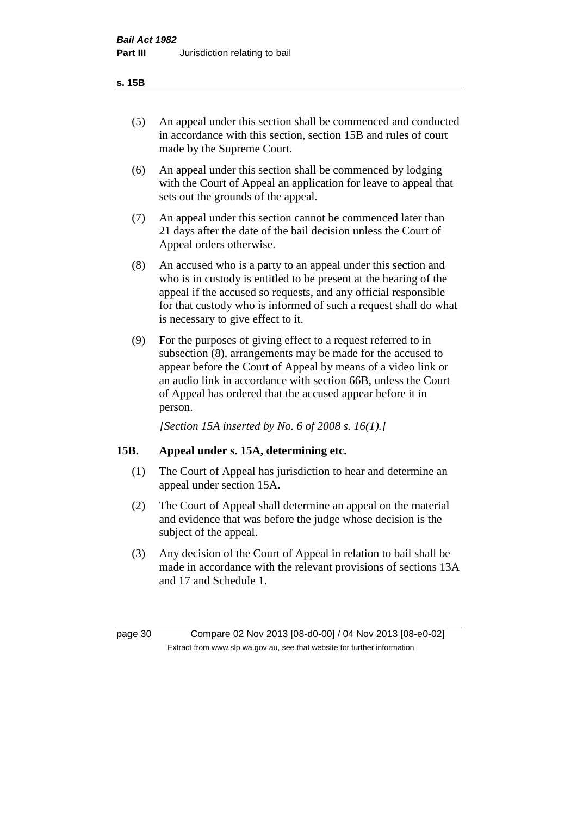#### **s. 15B**

- (5) An appeal under this section shall be commenced and conducted in accordance with this section, section 15B and rules of court made by the Supreme Court.
- (6) An appeal under this section shall be commenced by lodging with the Court of Appeal an application for leave to appeal that sets out the grounds of the appeal.
- (7) An appeal under this section cannot be commenced later than 21 days after the date of the bail decision unless the Court of Appeal orders otherwise.
- (8) An accused who is a party to an appeal under this section and who is in custody is entitled to be present at the hearing of the appeal if the accused so requests, and any official responsible for that custody who is informed of such a request shall do what is necessary to give effect to it.
- (9) For the purposes of giving effect to a request referred to in subsection (8), arrangements may be made for the accused to appear before the Court of Appeal by means of a video link or an audio link in accordance with section 66B, unless the Court of Appeal has ordered that the accused appear before it in person.

*[Section 15A inserted by No. 6 of 2008 s. 16(1).]*

#### **15B. Appeal under s. 15A, determining etc.**

- (1) The Court of Appeal has jurisdiction to hear and determine an appeal under section 15A.
- (2) The Court of Appeal shall determine an appeal on the material and evidence that was before the judge whose decision is the subject of the appeal.
- (3) Any decision of the Court of Appeal in relation to bail shall be made in accordance with the relevant provisions of sections 13A and 17 and Schedule 1.

page 30 Compare 02 Nov 2013 [08-d0-00] / 04 Nov 2013 [08-e0-02] Extract from www.slp.wa.gov.au, see that website for further information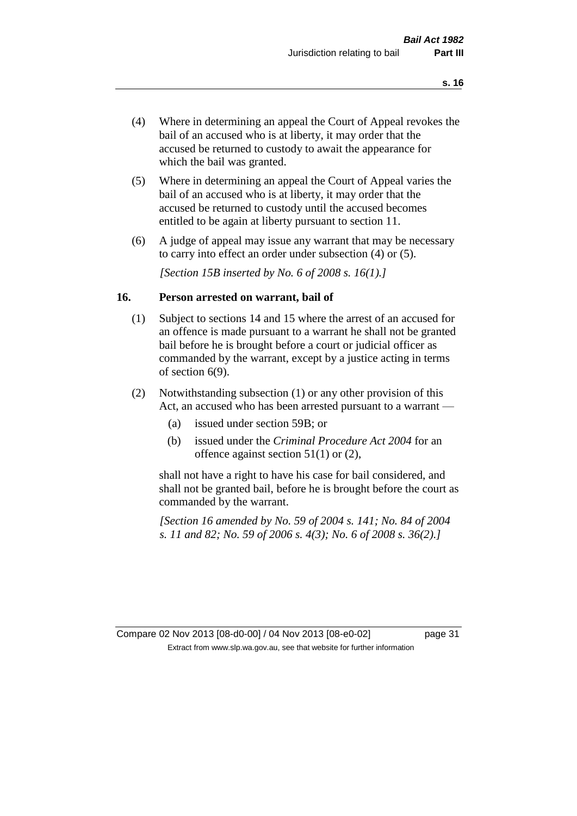- (4) Where in determining an appeal the Court of Appeal revokes the bail of an accused who is at liberty, it may order that the accused be returned to custody to await the appearance for which the bail was granted.
- (5) Where in determining an appeal the Court of Appeal varies the bail of an accused who is at liberty, it may order that the accused be returned to custody until the accused becomes entitled to be again at liberty pursuant to section 11.
- (6) A judge of appeal may issue any warrant that may be necessary to carry into effect an order under subsection (4) or (5).

*[Section 15B inserted by No. 6 of 2008 s. 16(1).]*

#### **16. Person arrested on warrant, bail of**

- (1) Subject to sections 14 and 15 where the arrest of an accused for an offence is made pursuant to a warrant he shall not be granted bail before he is brought before a court or judicial officer as commanded by the warrant, except by a justice acting in terms of section 6(9).
- (2) Notwithstanding subsection (1) or any other provision of this Act, an accused who has been arrested pursuant to a warrant —
	- (a) issued under section 59B; or
	- (b) issued under the *Criminal Procedure Act 2004* for an offence against section 51(1) or (2),

shall not have a right to have his case for bail considered, and shall not be granted bail, before he is brought before the court as commanded by the warrant.

*[Section 16 amended by No. 59 of 2004 s. 141; No. 84 of 2004 s. 11 and 82; No. 59 of 2006 s. 4(3); No. 6 of 2008 s. 36(2).]*

Compare 02 Nov 2013 [08-d0-00] / 04 Nov 2013 [08-e0-02] page 31 Extract from www.slp.wa.gov.au, see that website for further information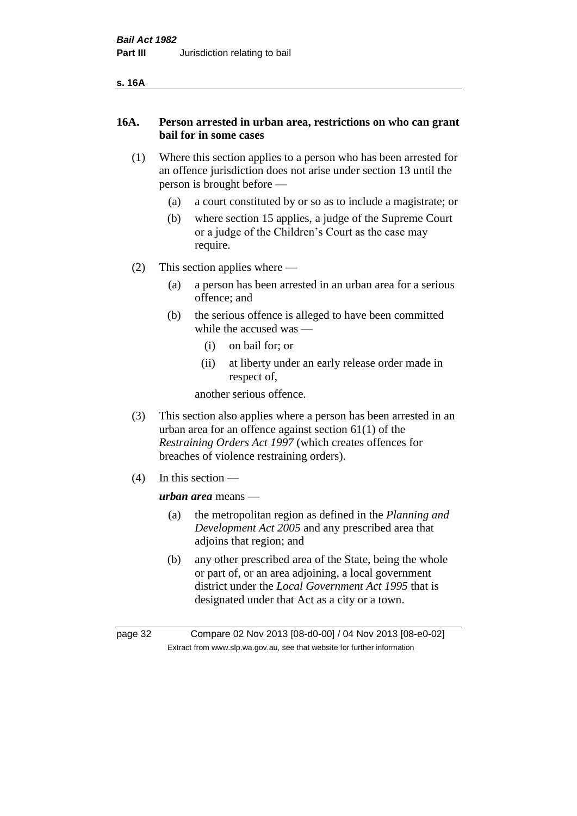| ۰.<br>v |
|---------|
|---------|

#### **16A. Person arrested in urban area, restrictions on who can grant bail for in some cases**

- (1) Where this section applies to a person who has been arrested for an offence jurisdiction does not arise under section 13 until the person is brought before —
	- (a) a court constituted by or so as to include a magistrate; or
	- (b) where section 15 applies, a judge of the Supreme Court or a judge of the Children's Court as the case may require.
- (2) This section applies where
	- (a) a person has been arrested in an urban area for a serious offence; and
	- (b) the serious offence is alleged to have been committed while the accused was —
		- (i) on bail for; or
		- (ii) at liberty under an early release order made in respect of,

another serious offence.

- (3) This section also applies where a person has been arrested in an urban area for an offence against section 61(1) of the *Restraining Orders Act 1997* (which creates offences for breaches of violence restraining orders).
- (4) In this section —

*urban area* means —

- (a) the metropolitan region as defined in the *Planning and Development Act 2005* and any prescribed area that adjoins that region; and
- (b) any other prescribed area of the State, being the whole or part of, or an area adjoining, a local government district under the *Local Government Act 1995* that is designated under that Act as a city or a town.

page 32 Compare 02 Nov 2013 [08-d0-00] / 04 Nov 2013 [08-e0-02] Extract from www.slp.wa.gov.au, see that website for further information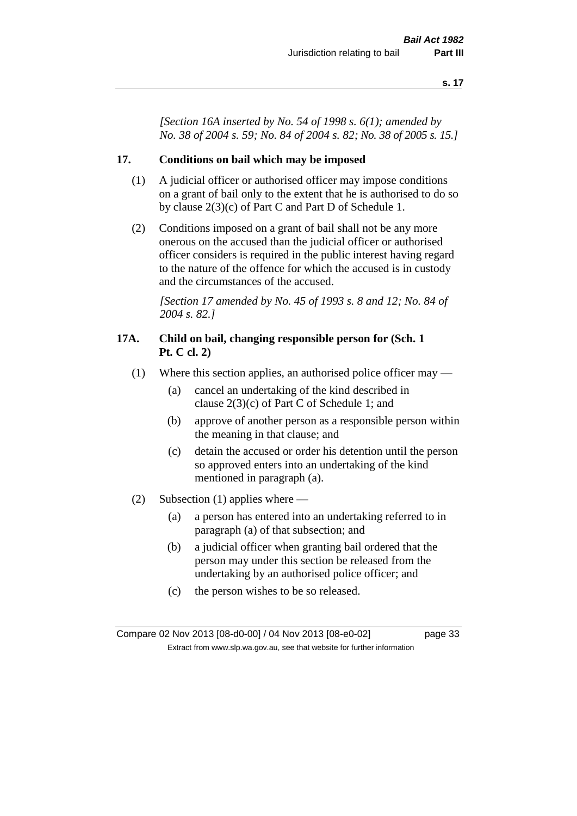*[Section 16A inserted by No. 54 of 1998 s. 6(1); amended by No. 38 of 2004 s. 59; No. 84 of 2004 s. 82; No. 38 of 2005 s. 15.]*

#### **17. Conditions on bail which may be imposed**

- (1) A judicial officer or authorised officer may impose conditions on a grant of bail only to the extent that he is authorised to do so by clause 2(3)(c) of Part C and Part D of Schedule 1.
- (2) Conditions imposed on a grant of bail shall not be any more onerous on the accused than the judicial officer or authorised officer considers is required in the public interest having regard to the nature of the offence for which the accused is in custody and the circumstances of the accused.

*[Section 17 amended by No. 45 of 1993 s. 8 and 12; No. 84 of 2004 s. 82.]* 

#### **17A. Child on bail, changing responsible person for (Sch. 1 Pt. C cl. 2)**

- (1) Where this section applies, an authorised police officer may
	- (a) cancel an undertaking of the kind described in clause 2(3)(c) of Part C of Schedule 1; and
	- (b) approve of another person as a responsible person within the meaning in that clause; and
	- (c) detain the accused or order his detention until the person so approved enters into an undertaking of the kind mentioned in paragraph (a).
- (2) Subsection (1) applies where
	- (a) a person has entered into an undertaking referred to in paragraph (a) of that subsection; and
	- (b) a judicial officer when granting bail ordered that the person may under this section be released from the undertaking by an authorised police officer; and
	- (c) the person wishes to be so released.

Compare 02 Nov 2013 [08-d0-00] / 04 Nov 2013 [08-e0-02] page 33 Extract from www.slp.wa.gov.au, see that website for further information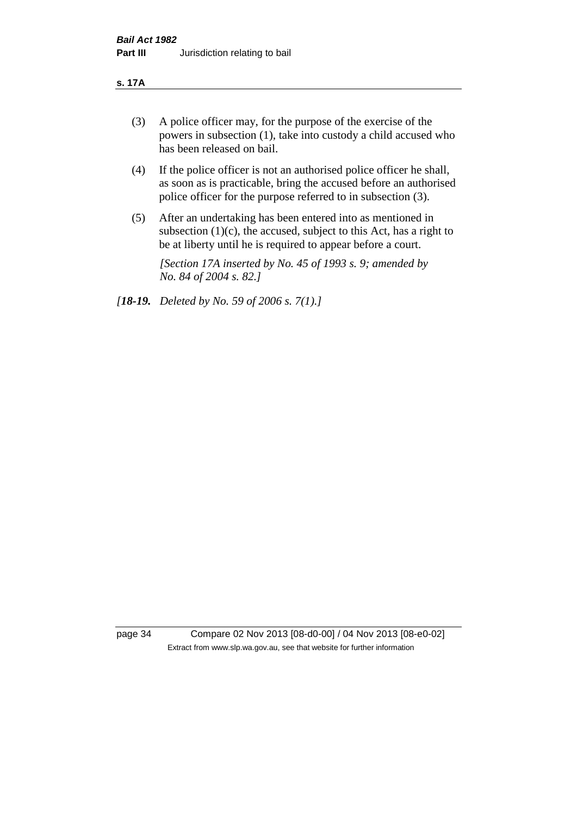#### **s. 17A**

- (3) A police officer may, for the purpose of the exercise of the powers in subsection (1), take into custody a child accused who has been released on bail.
- (4) If the police officer is not an authorised police officer he shall, as soon as is practicable, bring the accused before an authorised police officer for the purpose referred to in subsection (3).
- (5) After an undertaking has been entered into as mentioned in subsection  $(1)(c)$ , the accused, subject to this Act, has a right to be at liberty until he is required to appear before a court.

*[Section 17A inserted by No. 45 of 1993 s. 9; amended by No. 84 of 2004 s. 82.]* 

*[18-19. Deleted by No. 59 of 2006 s. 7(1).]*

page 34 Compare 02 Nov 2013 [08-d0-00] / 04 Nov 2013 [08-e0-02] Extract from www.slp.wa.gov.au, see that website for further information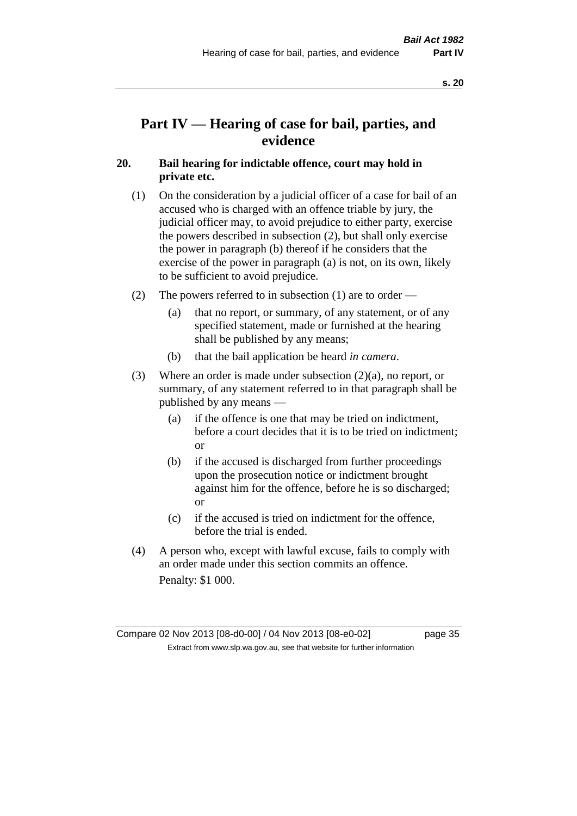# **Part IV — Hearing of case for bail, parties, and evidence**

## **20. Bail hearing for indictable offence, court may hold in private etc.**

- (1) On the consideration by a judicial officer of a case for bail of an accused who is charged with an offence triable by jury, the judicial officer may, to avoid prejudice to either party, exercise the powers described in subsection (2), but shall only exercise the power in paragraph (b) thereof if he considers that the exercise of the power in paragraph (a) is not, on its own, likely to be sufficient to avoid prejudice.
- (2) The powers referred to in subsection (1) are to order
	- (a) that no report, or summary, of any statement, or of any specified statement, made or furnished at the hearing shall be published by any means;
	- (b) that the bail application be heard *in camera*.
- (3) Where an order is made under subsection (2)(a), no report, or summary, of any statement referred to in that paragraph shall be published by any means —
	- (a) if the offence is one that may be tried on indictment, before a court decides that it is to be tried on indictment; or
	- (b) if the accused is discharged from further proceedings upon the prosecution notice or indictment brought against him for the offence, before he is so discharged; or
	- (c) if the accused is tried on indictment for the offence, before the trial is ended.
- (4) A person who, except with lawful excuse, fails to comply with an order made under this section commits an offence. Penalty: \$1 000.

Compare 02 Nov 2013 [08-d0-00] / 04 Nov 2013 [08-e0-02] page 35 Extract from www.slp.wa.gov.au, see that website for further information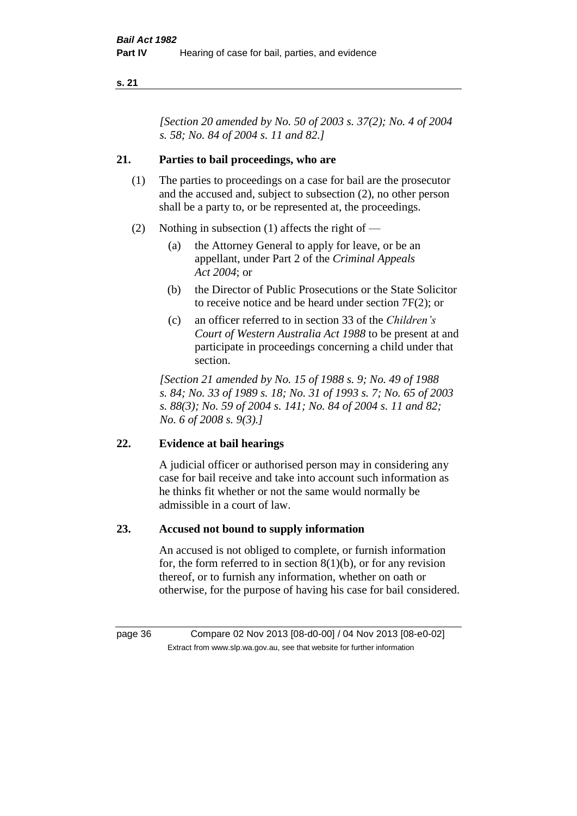*[Section 20 amended by No. 50 of 2003 s. 37(2); No. 4 of 2004 s. 58; No. 84 of 2004 s. 11 and 82.]*

## **21. Parties to bail proceedings, who are**

- (1) The parties to proceedings on a case for bail are the prosecutor and the accused and, subject to subsection (2), no other person shall be a party to, or be represented at, the proceedings.
- (2) Nothing in subsection (1) affects the right of
	- (a) the Attorney General to apply for leave, or be an appellant, under Part 2 of the *Criminal Appeals Act 2004*; or
	- (b) the Director of Public Prosecutions or the State Solicitor to receive notice and be heard under section 7F(2); or
	- (c) an officer referred to in section 33 of the *Children's Court of Western Australia Act 1988* to be present at and participate in proceedings concerning a child under that section.

*[Section 21 amended by No. 15 of 1988 s. 9; No. 49 of 1988 s. 84; No. 33 of 1989 s. 18; No. 31 of 1993 s. 7; No. 65 of 2003 s. 88(3); No. 59 of 2004 s. 141; No. 84 of 2004 s. 11 and 82; No. 6 of 2008 s. 9(3).]* 

## **22. Evidence at bail hearings**

A judicial officer or authorised person may in considering any case for bail receive and take into account such information as he thinks fit whether or not the same would normally be admissible in a court of law.

## **23. Accused not bound to supply information**

An accused is not obliged to complete, or furnish information for, the form referred to in section  $8(1)(b)$ , or for any revision thereof, or to furnish any information, whether on oath or otherwise, for the purpose of having his case for bail considered.

page 36 Compare 02 Nov 2013 [08-d0-00] / 04 Nov 2013 [08-e0-02] Extract from www.slp.wa.gov.au, see that website for further information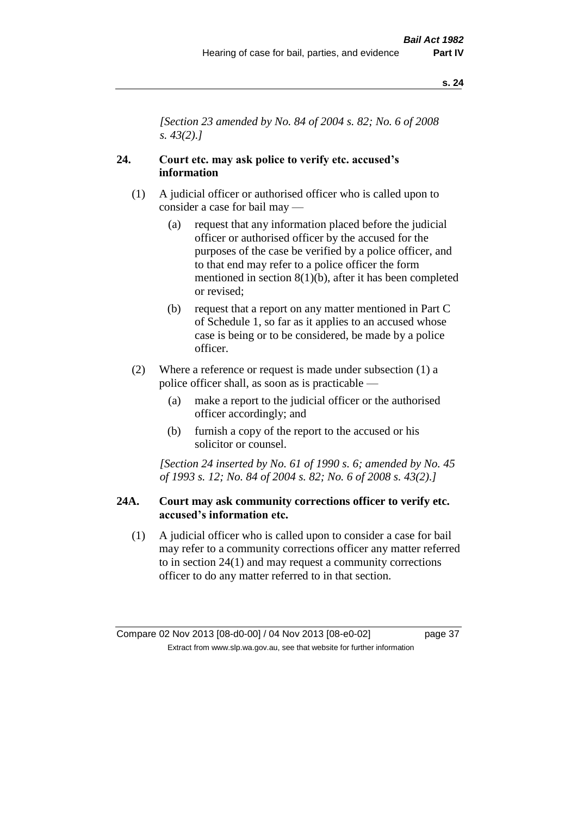*[Section 23 amended by No. 84 of 2004 s. 82; No. 6 of 2008 s. 43(2).]* 

## **24. Court etc. may ask police to verify etc. accused's information**

- (1) A judicial officer or authorised officer who is called upon to consider a case for bail may —
	- (a) request that any information placed before the judicial officer or authorised officer by the accused for the purposes of the case be verified by a police officer, and to that end may refer to a police officer the form mentioned in section 8(1)(b), after it has been completed or revised;
	- (b) request that a report on any matter mentioned in Part C of Schedule 1, so far as it applies to an accused whose case is being or to be considered, be made by a police officer.
- (2) Where a reference or request is made under subsection (1) a police officer shall, as soon as is practicable —
	- (a) make a report to the judicial officer or the authorised officer accordingly; and
	- (b) furnish a copy of the report to the accused or his solicitor or counsel.

*[Section 24 inserted by No. 61 of 1990 s. 6; amended by No. 45 of 1993 s. 12; No. 84 of 2004 s. 82; No. 6 of 2008 s. 43(2).]* 

## **24A. Court may ask community corrections officer to verify etc. accused's information etc.**

(1) A judicial officer who is called upon to consider a case for bail may refer to a community corrections officer any matter referred to in section 24(1) and may request a community corrections officer to do any matter referred to in that section.

Compare 02 Nov 2013 [08-d0-00] / 04 Nov 2013 [08-e0-02] page 37 Extract from www.slp.wa.gov.au, see that website for further information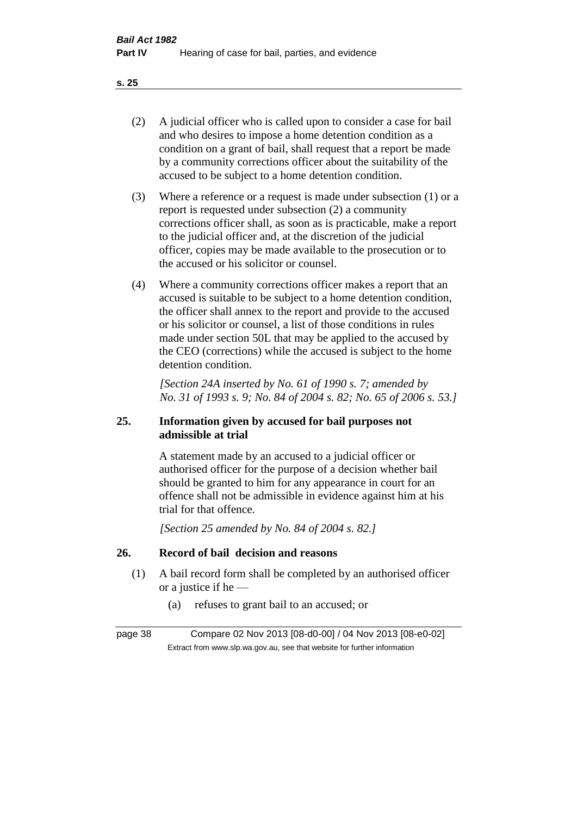- (2) A judicial officer who is called upon to consider a case for bail and who desires to impose a home detention condition as a condition on a grant of bail, shall request that a report be made by a community corrections officer about the suitability of the accused to be subject to a home detention condition.
- (3) Where a reference or a request is made under subsection (1) or a report is requested under subsection (2) a community corrections officer shall, as soon as is practicable, make a report to the judicial officer and, at the discretion of the judicial officer, copies may be made available to the prosecution or to the accused or his solicitor or counsel.
- (4) Where a community corrections officer makes a report that an accused is suitable to be subject to a home detention condition, the officer shall annex to the report and provide to the accused or his solicitor or counsel, a list of those conditions in rules made under section 50L that may be applied to the accused by the CEO (corrections) while the accused is subject to the home detention condition.

*[Section 24A inserted by No. 61 of 1990 s. 7; amended by No. 31 of 1993 s. 9; No. 84 of 2004 s. 82; No. 65 of 2006 s. 53.]* 

## **25. Information given by accused for bail purposes not admissible at trial**

A statement made by an accused to a judicial officer or authorised officer for the purpose of a decision whether bail should be granted to him for any appearance in court for an offence shall not be admissible in evidence against him at his trial for that offence.

*[Section 25 amended by No. 84 of 2004 s. 82.]* 

## **26. Record of bail decision and reasons**

- (1) A bail record form shall be completed by an authorised officer or a justice if he —
	- (a) refuses to grant bail to an accused; or

page 38 Compare 02 Nov 2013 [08-d0-00] / 04 Nov 2013 [08-e0-02] Extract from www.slp.wa.gov.au, see that website for further information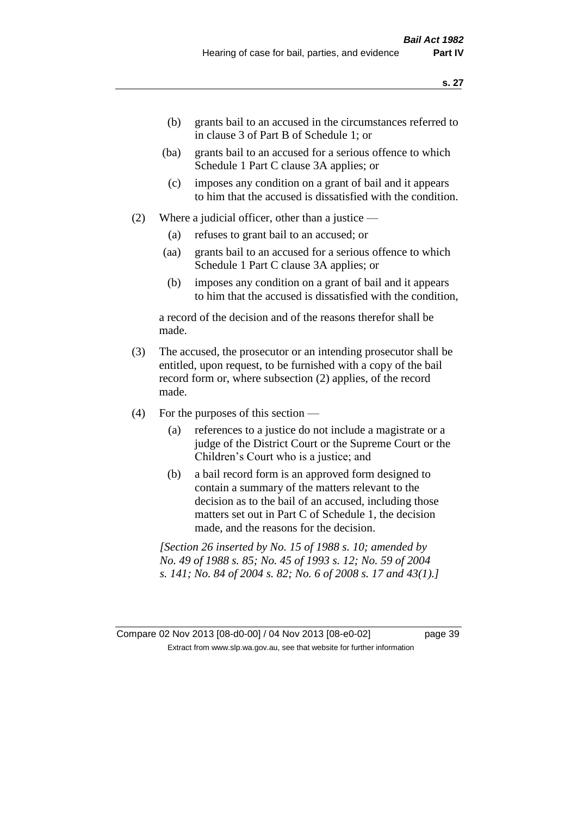- (b) grants bail to an accused in the circumstances referred to in clause 3 of Part B of Schedule 1; or
- (ba) grants bail to an accused for a serious offence to which Schedule 1 Part C clause 3A applies; or
- (c) imposes any condition on a grant of bail and it appears to him that the accused is dissatisfied with the condition.
- (2) Where a judicial officer, other than a justice
	- (a) refuses to grant bail to an accused; or
	- (aa) grants bail to an accused for a serious offence to which Schedule 1 Part C clause 3A applies; or
	- (b) imposes any condition on a grant of bail and it appears to him that the accused is dissatisfied with the condition,

a record of the decision and of the reasons therefor shall be made.

- (3) The accused, the prosecutor or an intending prosecutor shall be entitled, upon request, to be furnished with a copy of the bail record form or, where subsection (2) applies, of the record made.
- (4) For the purposes of this section
	- (a) references to a justice do not include a magistrate or a judge of the District Court or the Supreme Court or the Children's Court who is a justice; and
	- (b) a bail record form is an approved form designed to contain a summary of the matters relevant to the decision as to the bail of an accused, including those matters set out in Part C of Schedule 1, the decision made, and the reasons for the decision.

*[Section 26 inserted by No. 15 of 1988 s. 10; amended by No. 49 of 1988 s. 85; No. 45 of 1993 s. 12; No. 59 of 2004 s. 141; No. 84 of 2004 s. 82; No. 6 of 2008 s. 17 and 43(1).]*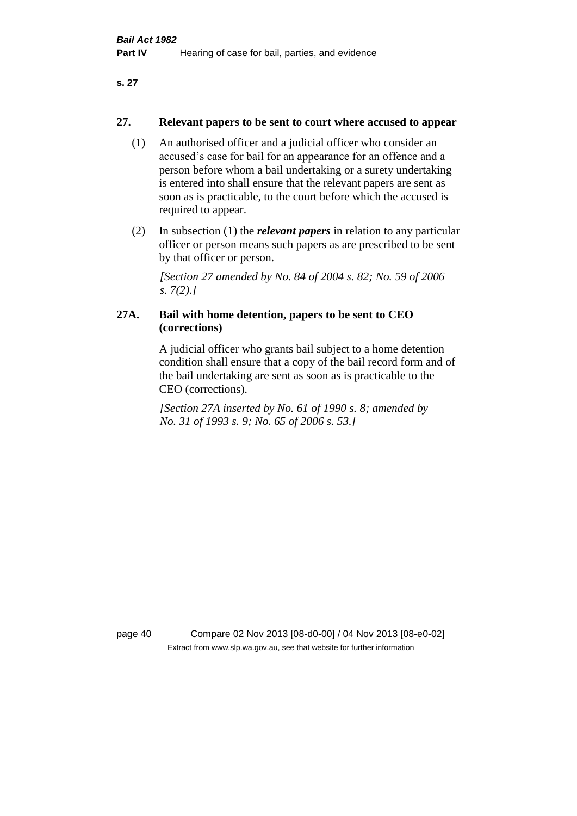## **27. Relevant papers to be sent to court where accused to appear**

- (1) An authorised officer and a judicial officer who consider an accused's case for bail for an appearance for an offence and a person before whom a bail undertaking or a surety undertaking is entered into shall ensure that the relevant papers are sent as soon as is practicable, to the court before which the accused is required to appear.
- (2) In subsection (1) the *relevant papers* in relation to any particular officer or person means such papers as are prescribed to be sent by that officer or person.

*[Section 27 amended by No. 84 of 2004 s. 82; No. 59 of 2006 s. 7(2).]* 

## **27A. Bail with home detention, papers to be sent to CEO (corrections)**

A judicial officer who grants bail subject to a home detention condition shall ensure that a copy of the bail record form and of the bail undertaking are sent as soon as is practicable to the CEO (corrections).

*[Section 27A inserted by No. 61 of 1990 s. 8; amended by No. 31 of 1993 s. 9; No. 65 of 2006 s. 53.]* 

page 40 Compare 02 Nov 2013 [08-d0-00] / 04 Nov 2013 [08-e0-02] Extract from www.slp.wa.gov.au, see that website for further information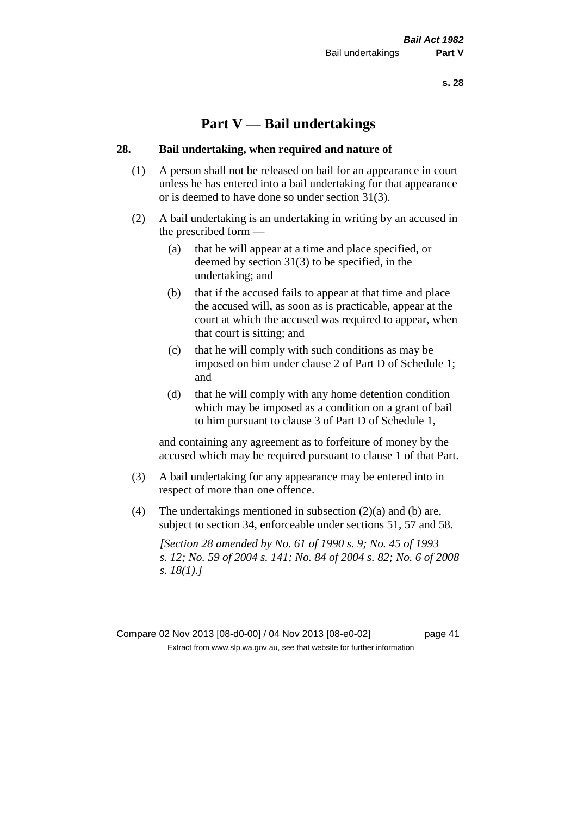# **Part V — Bail undertakings**

#### **28. Bail undertaking, when required and nature of**

- (1) A person shall not be released on bail for an appearance in court unless he has entered into a bail undertaking for that appearance or is deemed to have done so under section 31(3).
- (2) A bail undertaking is an undertaking in writing by an accused in the prescribed form —
	- (a) that he will appear at a time and place specified, or deemed by section 31(3) to be specified, in the undertaking; and
	- (b) that if the accused fails to appear at that time and place the accused will, as soon as is practicable, appear at the court at which the accused was required to appear, when that court is sitting; and
	- (c) that he will comply with such conditions as may be imposed on him under clause 2 of Part D of Schedule 1; and
	- (d) that he will comply with any home detention condition which may be imposed as a condition on a grant of bail to him pursuant to clause 3 of Part D of Schedule 1,

and containing any agreement as to forfeiture of money by the accused which may be required pursuant to clause 1 of that Part.

- (3) A bail undertaking for any appearance may be entered into in respect of more than one offence.
- (4) The undertakings mentioned in subsection  $(2)(a)$  and  $(b)$  are, subject to section 34, enforceable under sections 51, 57 and 58.

*[Section 28 amended by No. 61 of 1990 s. 9; No. 45 of 1993 s. 12; No. 59 of 2004 s. 141; No. 84 of 2004 s. 82; No. 6 of 2008 s. 18(1).]* 

Compare 02 Nov 2013 [08-d0-00] / 04 Nov 2013 [08-e0-02] page 41 Extract from www.slp.wa.gov.au, see that website for further information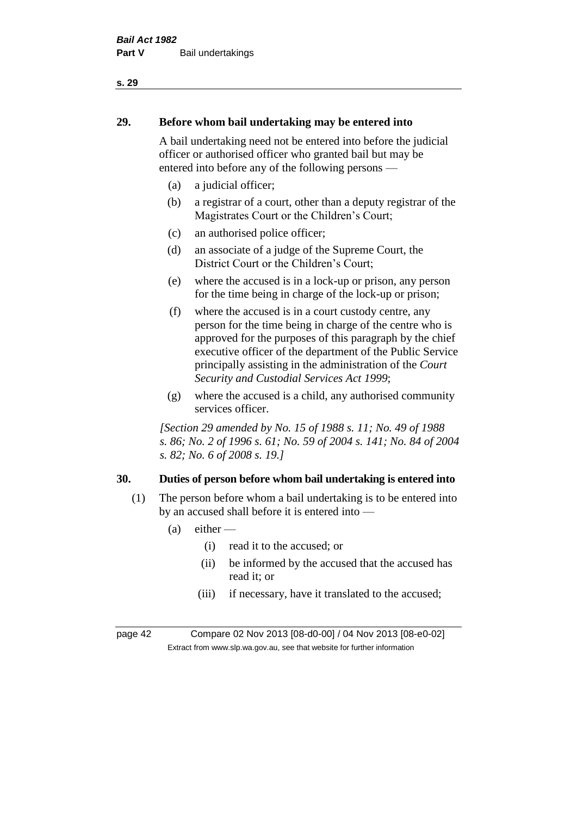# **29. Before whom bail undertaking may be entered into**

A bail undertaking need not be entered into before the judicial officer or authorised officer who granted bail but may be entered into before any of the following persons —

- (a) a judicial officer;
- (b) a registrar of a court, other than a deputy registrar of the Magistrates Court or the Children's Court;
- (c) an authorised police officer;
- (d) an associate of a judge of the Supreme Court, the District Court or the Children's Court;
- (e) where the accused is in a lock-up or prison, any person for the time being in charge of the lock-up or prison;
- (f) where the accused is in a court custody centre, any person for the time being in charge of the centre who is approved for the purposes of this paragraph by the chief executive officer of the department of the Public Service principally assisting in the administration of the *Court Security and Custodial Services Act 1999*;
- (g) where the accused is a child, any authorised community services officer.

*[Section 29 amended by No. 15 of 1988 s. 11; No. 49 of 1988 s. 86; No. 2 of 1996 s. 61; No. 59 of 2004 s. 141; No. 84 of 2004 s. 82; No. 6 of 2008 s. 19.]* 

## **30. Duties of person before whom bail undertaking is entered into**

- (1) The person before whom a bail undertaking is to be entered into by an accused shall before it is entered into —
	- $(a)$  either
		- (i) read it to the accused; or
		- (ii) be informed by the accused that the accused has read it; or
		- (iii) if necessary, have it translated to the accused;

page 42 Compare 02 Nov 2013 [08-d0-00] / 04 Nov 2013 [08-e0-02] Extract from www.slp.wa.gov.au, see that website for further information

#### **s. 29**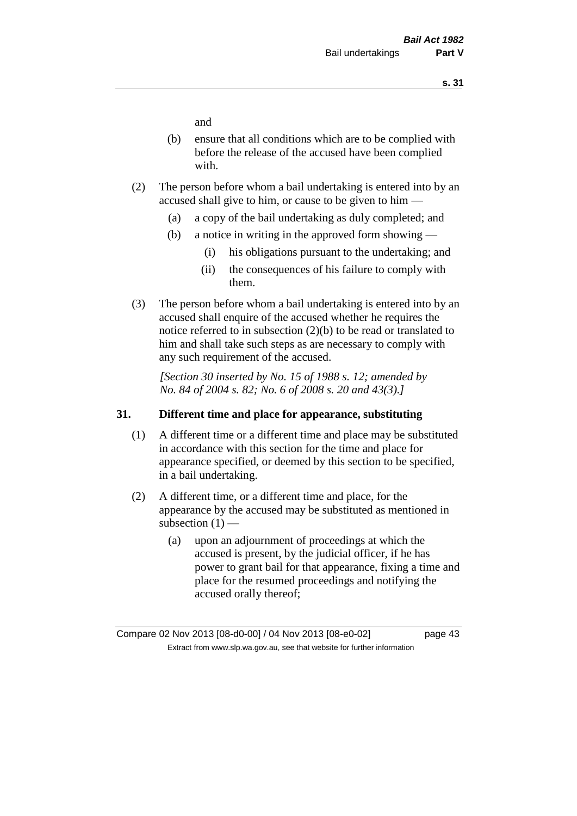and

- (b) ensure that all conditions which are to be complied with before the release of the accused have been complied with.
- (2) The person before whom a bail undertaking is entered into by an accused shall give to him, or cause to be given to him —
	- (a) a copy of the bail undertaking as duly completed; and
	- (b) a notice in writing in the approved form showing
		- (i) his obligations pursuant to the undertaking; and
		- (ii) the consequences of his failure to comply with them.
- (3) The person before whom a bail undertaking is entered into by an accused shall enquire of the accused whether he requires the notice referred to in subsection (2)(b) to be read or translated to him and shall take such steps as are necessary to comply with any such requirement of the accused.

*[Section 30 inserted by No. 15 of 1988 s. 12; amended by No. 84 of 2004 s. 82; No. 6 of 2008 s. 20 and 43(3).]* 

## **31. Different time and place for appearance, substituting**

- (1) A different time or a different time and place may be substituted in accordance with this section for the time and place for appearance specified, or deemed by this section to be specified, in a bail undertaking.
- (2) A different time, or a different time and place, for the appearance by the accused may be substituted as mentioned in subsection  $(1)$  —
	- (a) upon an adjournment of proceedings at which the accused is present, by the judicial officer, if he has power to grant bail for that appearance, fixing a time and place for the resumed proceedings and notifying the accused orally thereof;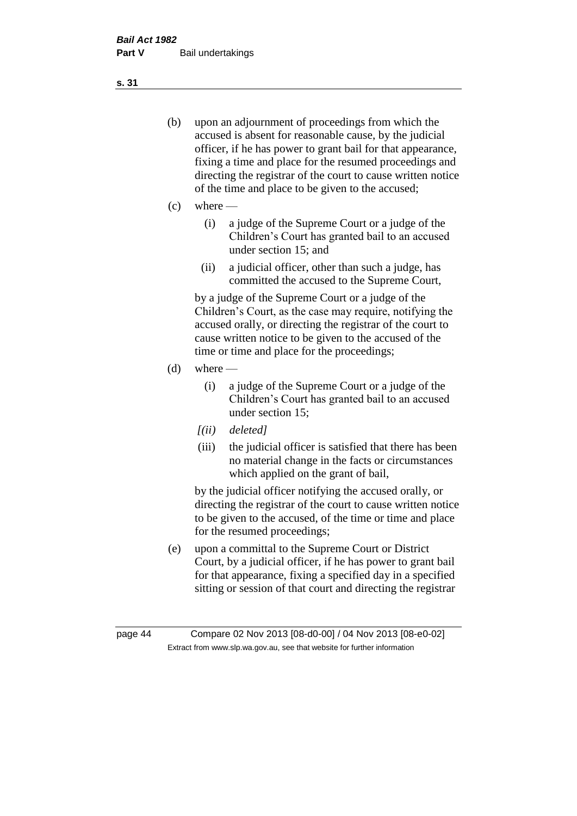- (b) upon an adjournment of proceedings from which the accused is absent for reasonable cause, by the judicial officer, if he has power to grant bail for that appearance, fixing a time and place for the resumed proceedings and directing the registrar of the court to cause written notice of the time and place to be given to the accused;
- (c) where
	- (i) a judge of the Supreme Court or a judge of the Children's Court has granted bail to an accused under section 15; and
	- (ii) a judicial officer, other than such a judge, has committed the accused to the Supreme Court,

by a judge of the Supreme Court or a judge of the Children's Court, as the case may require, notifying the accused orally, or directing the registrar of the court to cause written notice to be given to the accused of the time or time and place for the proceedings;

- $(d)$  where
	- (i) a judge of the Supreme Court or a judge of the Children's Court has granted bail to an accused under section 15;
	- *[(ii) deleted]*
	- (iii) the judicial officer is satisfied that there has been no material change in the facts or circumstances which applied on the grant of bail,

by the judicial officer notifying the accused orally, or directing the registrar of the court to cause written notice to be given to the accused, of the time or time and place for the resumed proceedings;

(e) upon a committal to the Supreme Court or District Court, by a judicial officer, if he has power to grant bail for that appearance, fixing a specified day in a specified sitting or session of that court and directing the registrar

**s. 31**

page 44 Compare 02 Nov 2013 [08-d0-00] / 04 Nov 2013 [08-e0-02] Extract from www.slp.wa.gov.au, see that website for further information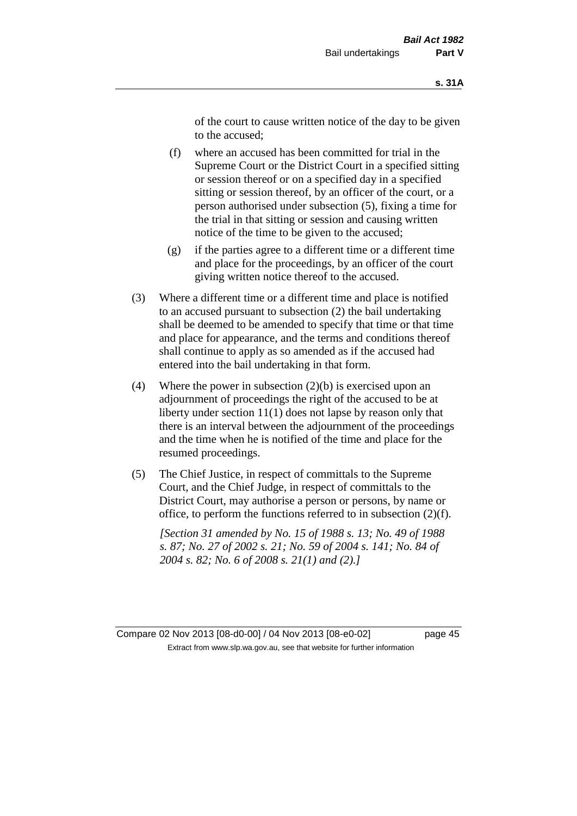of the court to cause written notice of the day to be given to the accused;

- (f) where an accused has been committed for trial in the Supreme Court or the District Court in a specified sitting or session thereof or on a specified day in a specified sitting or session thereof, by an officer of the court, or a person authorised under subsection (5), fixing a time for the trial in that sitting or session and causing written notice of the time to be given to the accused;
- (g) if the parties agree to a different time or a different time and place for the proceedings, by an officer of the court giving written notice thereof to the accused.
- (3) Where a different time or a different time and place is notified to an accused pursuant to subsection (2) the bail undertaking shall be deemed to be amended to specify that time or that time and place for appearance, and the terms and conditions thereof shall continue to apply as so amended as if the accused had entered into the bail undertaking in that form.
- (4) Where the power in subsection  $(2)(b)$  is exercised upon an adjournment of proceedings the right of the accused to be at liberty under section 11(1) does not lapse by reason only that there is an interval between the adjournment of the proceedings and the time when he is notified of the time and place for the resumed proceedings.
- (5) The Chief Justice, in respect of committals to the Supreme Court, and the Chief Judge, in respect of committals to the District Court, may authorise a person or persons, by name or office, to perform the functions referred to in subsection (2)(f).

*[Section 31 amended by No. 15 of 1988 s. 13; No. 49 of 1988 s. 87; No. 27 of 2002 s. 21; No. 59 of 2004 s. 141; No. 84 of 2004 s. 82; No. 6 of 2008 s. 21(1) and (2).]*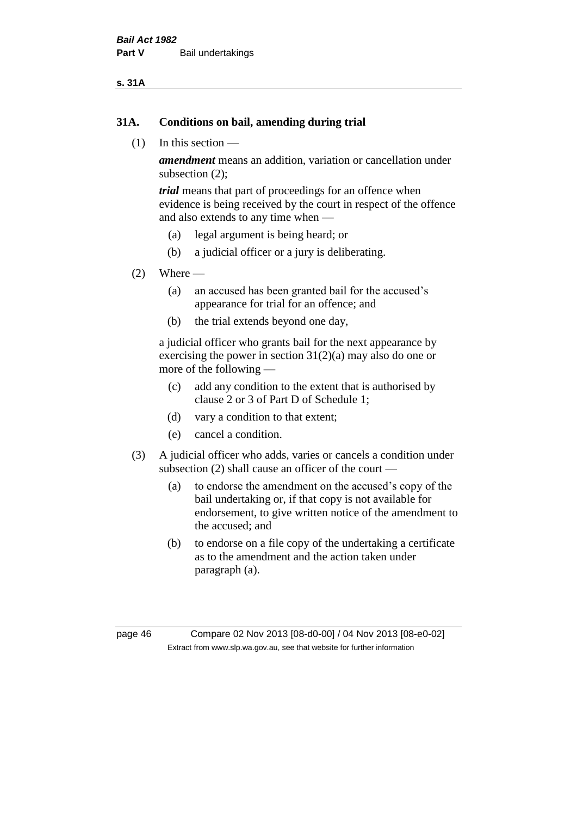#### **s. 31A**

### **31A. Conditions on bail, amending during trial**

(1) In this section —

*amendment* means an addition, variation or cancellation under subsection (2);

*trial* means that part of proceedings for an offence when evidence is being received by the court in respect of the offence and also extends to any time when —

- (a) legal argument is being heard; or
- (b) a judicial officer or a jury is deliberating.

#### $(2)$  Where —

- (a) an accused has been granted bail for the accused's appearance for trial for an offence; and
- (b) the trial extends beyond one day,

a judicial officer who grants bail for the next appearance by exercising the power in section  $31(2)(a)$  may also do one or more of the following —

- (c) add any condition to the extent that is authorised by clause 2 or 3 of Part D of Schedule 1;
- (d) vary a condition to that extent;
- (e) cancel a condition.
- (3) A judicial officer who adds, varies or cancels a condition under subsection (2) shall cause an officer of the court —
	- (a) to endorse the amendment on the accused's copy of the bail undertaking or, if that copy is not available for endorsement, to give written notice of the amendment to the accused; and
	- (b) to endorse on a file copy of the undertaking a certificate as to the amendment and the action taken under paragraph (a).

page 46 Compare 02 Nov 2013 [08-d0-00] / 04 Nov 2013 [08-e0-02] Extract from www.slp.wa.gov.au, see that website for further information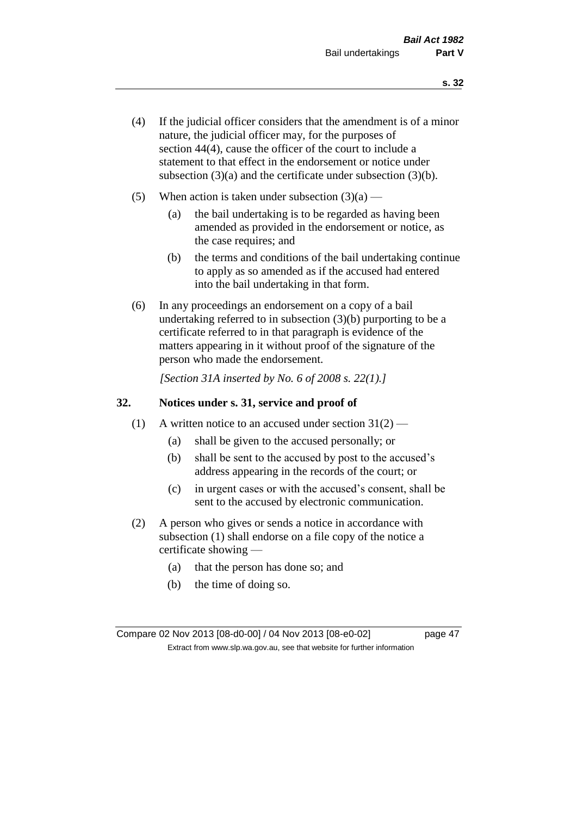- (4) If the judicial officer considers that the amendment is of a minor nature, the judicial officer may, for the purposes of section 44(4), cause the officer of the court to include a statement to that effect in the endorsement or notice under subsection (3)(a) and the certificate under subsection (3)(b).
- (5) When action is taken under subsection  $(3)(a)$ 
	- (a) the bail undertaking is to be regarded as having been amended as provided in the endorsement or notice, as the case requires; and
	- (b) the terms and conditions of the bail undertaking continue to apply as so amended as if the accused had entered into the bail undertaking in that form.
- (6) In any proceedings an endorsement on a copy of a bail undertaking referred to in subsection (3)(b) purporting to be a certificate referred to in that paragraph is evidence of the matters appearing in it without proof of the signature of the person who made the endorsement.

*[Section 31A inserted by No. 6 of 2008 s. 22(1).]*

## **32. Notices under s. 31, service and proof of**

- (1) A written notice to an accused under section  $31(2)$ 
	- (a) shall be given to the accused personally; or
	- (b) shall be sent to the accused by post to the accused's address appearing in the records of the court; or
	- (c) in urgent cases or with the accused's consent, shall be sent to the accused by electronic communication.
- (2) A person who gives or sends a notice in accordance with subsection (1) shall endorse on a file copy of the notice a certificate showing —
	- (a) that the person has done so; and
	- (b) the time of doing so.

Compare 02 Nov 2013 [08-d0-00] / 04 Nov 2013 [08-e0-02] page 47 Extract from www.slp.wa.gov.au, see that website for further information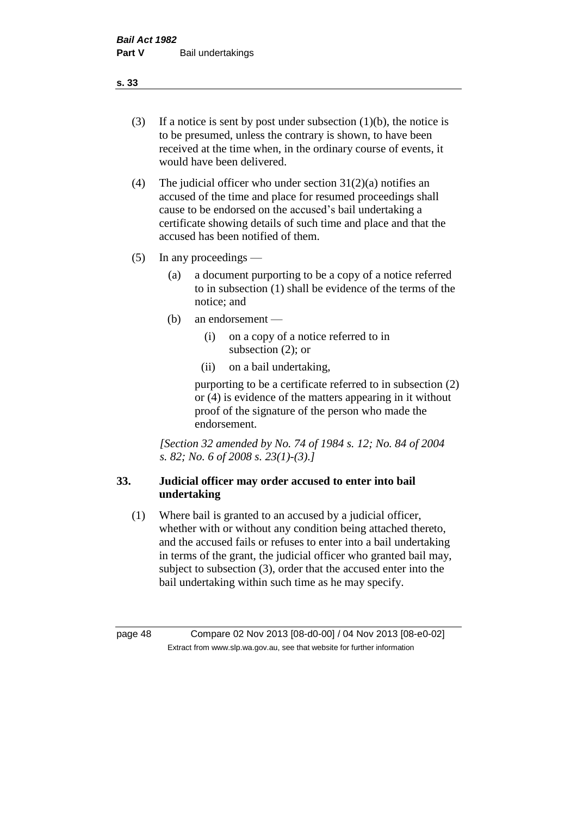- (3) If a notice is sent by post under subsection  $(1)(b)$ , the notice is to be presumed, unless the contrary is shown, to have been received at the time when, in the ordinary course of events, it would have been delivered.
- (4) The judicial officer who under section  $31(2)(a)$  notifies an accused of the time and place for resumed proceedings shall cause to be endorsed on the accused's bail undertaking a certificate showing details of such time and place and that the accused has been notified of them.
- (5) In any proceedings
	- (a) a document purporting to be a copy of a notice referred to in subsection (1) shall be evidence of the terms of the notice; and
	- (b) an endorsement
		- (i) on a copy of a notice referred to in subsection (2); or
		- (ii) on a bail undertaking,

purporting to be a certificate referred to in subsection (2) or (4) is evidence of the matters appearing in it without proof of the signature of the person who made the endorsement.

*[Section 32 amended by No. 74 of 1984 s. 12; No. 84 of 2004 s. 82; No. 6 of 2008 s. 23(1)-(3).]* 

## **33. Judicial officer may order accused to enter into bail undertaking**

(1) Where bail is granted to an accused by a judicial officer, whether with or without any condition being attached thereto, and the accused fails or refuses to enter into a bail undertaking in terms of the grant, the judicial officer who granted bail may, subject to subsection (3), order that the accused enter into the bail undertaking within such time as he may specify.

page 48 Compare 02 Nov 2013 [08-d0-00] / 04 Nov 2013 [08-e0-02] Extract from www.slp.wa.gov.au, see that website for further information

**s. 33**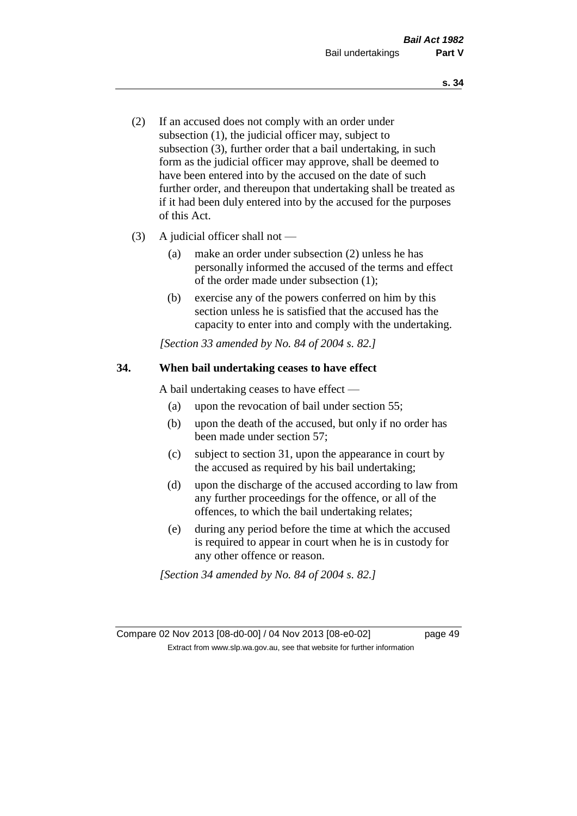- (2) If an accused does not comply with an order under subsection (1), the judicial officer may, subject to subsection (3), further order that a bail undertaking, in such form as the judicial officer may approve, shall be deemed to have been entered into by the accused on the date of such further order, and thereupon that undertaking shall be treated as if it had been duly entered into by the accused for the purposes of this Act.
- (3) A judicial officer shall not
	- (a) make an order under subsection (2) unless he has personally informed the accused of the terms and effect of the order made under subsection (1);
	- (b) exercise any of the powers conferred on him by this section unless he is satisfied that the accused has the capacity to enter into and comply with the undertaking.

*[Section 33 amended by No. 84 of 2004 s. 82.]* 

## **34. When bail undertaking ceases to have effect**

A bail undertaking ceases to have effect —

- (a) upon the revocation of bail under section 55;
- (b) upon the death of the accused, but only if no order has been made under section 57;
- (c) subject to section 31, upon the appearance in court by the accused as required by his bail undertaking;
- (d) upon the discharge of the accused according to law from any further proceedings for the offence, or all of the offences, to which the bail undertaking relates;
- (e) during any period before the time at which the accused is required to appear in court when he is in custody for any other offence or reason.

*[Section 34 amended by No. 84 of 2004 s. 82.]* 

Compare 02 Nov 2013 [08-d0-00] / 04 Nov 2013 [08-e0-02] page 49 Extract from www.slp.wa.gov.au, see that website for further information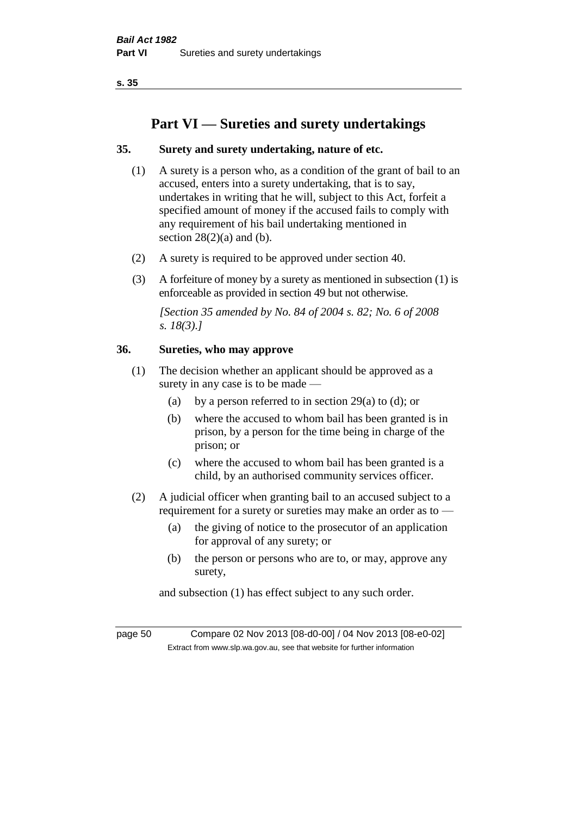# **Part VI — Sureties and surety undertakings**

## **35. Surety and surety undertaking, nature of etc.**

- (1) A surety is a person who, as a condition of the grant of bail to an accused, enters into a surety undertaking, that is to say, undertakes in writing that he will, subject to this Act, forfeit a specified amount of money if the accused fails to comply with any requirement of his bail undertaking mentioned in section  $28(2)(a)$  and (b).
- (2) A surety is required to be approved under section 40.
- (3) A forfeiture of money by a surety as mentioned in subsection (1) is enforceable as provided in section 49 but not otherwise.

*[Section 35 amended by No. 84 of 2004 s. 82; No. 6 of 2008 s. 18(3).]* 

## **36. Sureties, who may approve**

- (1) The decision whether an applicant should be approved as a surety in any case is to be made —
	- (a) by a person referred to in section 29(a) to (d); or
	- (b) where the accused to whom bail has been granted is in prison, by a person for the time being in charge of the prison; or
	- (c) where the accused to whom bail has been granted is a child, by an authorised community services officer.
- (2) A judicial officer when granting bail to an accused subject to a requirement for a surety or sureties may make an order as to —
	- (a) the giving of notice to the prosecutor of an application for approval of any surety; or
	- (b) the person or persons who are to, or may, approve any surety,

and subsection (1) has effect subject to any such order.

page 50 Compare 02 Nov 2013 [08-d0-00] / 04 Nov 2013 [08-e0-02] Extract from www.slp.wa.gov.au, see that website for further information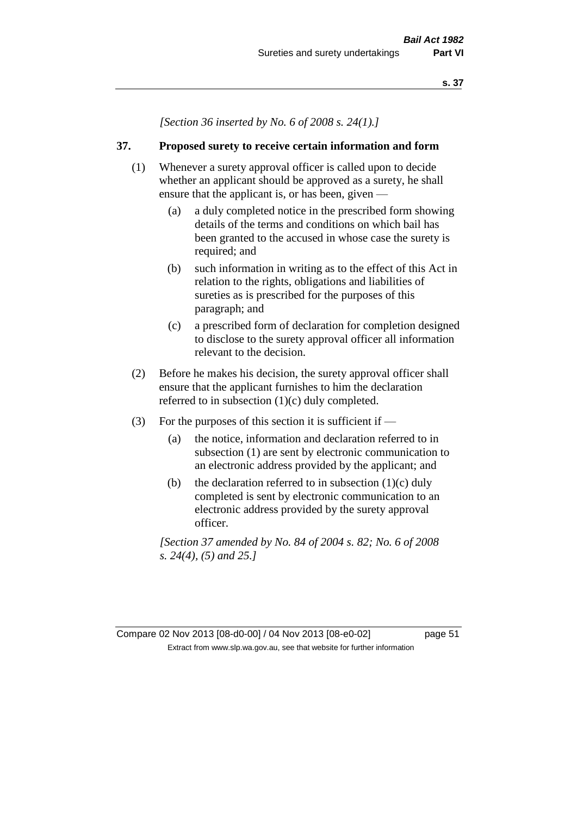*[Section 36 inserted by No. 6 of 2008 s. 24(1).]*

## **37. Proposed surety to receive certain information and form**

- (1) Whenever a surety approval officer is called upon to decide whether an applicant should be approved as a surety, he shall ensure that the applicant is, or has been, given -
	- (a) a duly completed notice in the prescribed form showing details of the terms and conditions on which bail has been granted to the accused in whose case the surety is required; and
	- (b) such information in writing as to the effect of this Act in relation to the rights, obligations and liabilities of sureties as is prescribed for the purposes of this paragraph; and
	- (c) a prescribed form of declaration for completion designed to disclose to the surety approval officer all information relevant to the decision.
- (2) Before he makes his decision, the surety approval officer shall ensure that the applicant furnishes to him the declaration referred to in subsection (1)(c) duly completed.
- (3) For the purposes of this section it is sufficient if
	- (a) the notice, information and declaration referred to in subsection (1) are sent by electronic communication to an electronic address provided by the applicant; and
	- (b) the declaration referred to in subsection  $(1)(c)$  duly completed is sent by electronic communication to an electronic address provided by the surety approval officer.

*[Section 37 amended by No. 84 of 2004 s. 82; No. 6 of 2008 s. 24(4), (5) and 25.]*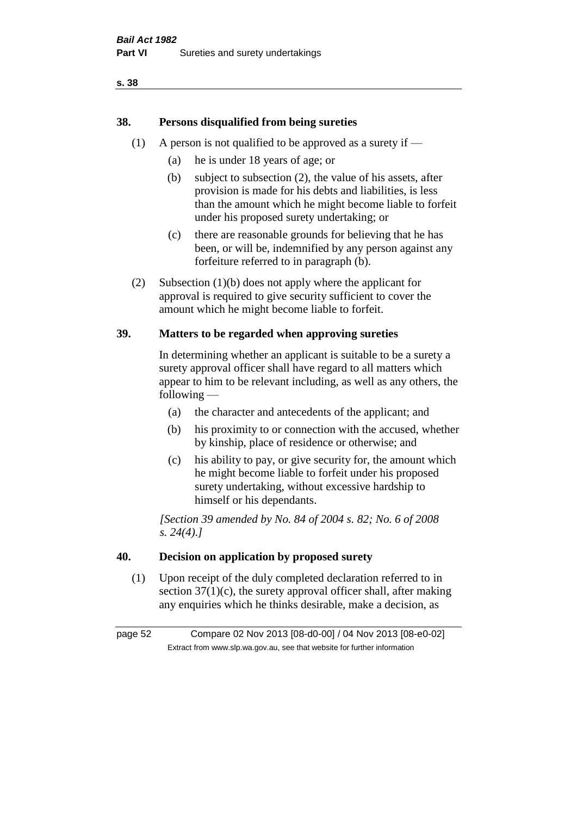## **38. Persons disqualified from being sureties**

- (1) A person is not qualified to be approved as a surety if  $-$ 
	- (a) he is under 18 years of age; or
	- (b) subject to subsection (2), the value of his assets, after provision is made for his debts and liabilities, is less than the amount which he might become liable to forfeit under his proposed surety undertaking; or
	- (c) there are reasonable grounds for believing that he has been, or will be, indemnified by any person against any forfeiture referred to in paragraph (b).
- (2) Subsection (1)(b) does not apply where the applicant for approval is required to give security sufficient to cover the amount which he might become liable to forfeit.

## **39. Matters to be regarded when approving sureties**

In determining whether an applicant is suitable to be a surety a surety approval officer shall have regard to all matters which appear to him to be relevant including, as well as any others, the following —

- (a) the character and antecedents of the applicant; and
- (b) his proximity to or connection with the accused, whether by kinship, place of residence or otherwise; and
- (c) his ability to pay, or give security for, the amount which he might become liable to forfeit under his proposed surety undertaking, without excessive hardship to himself or his dependants.

*[Section 39 amended by No. 84 of 2004 s. 82; No. 6 of 2008 s. 24(4).]* 

## **40. Decision on application by proposed surety**

(1) Upon receipt of the duly completed declaration referred to in section  $37(1)(c)$ , the surety approval officer shall, after making any enquiries which he thinks desirable, make a decision, as

page 52 Compare 02 Nov 2013 [08-d0-00] / 04 Nov 2013 [08-e0-02] Extract from www.slp.wa.gov.au, see that website for further information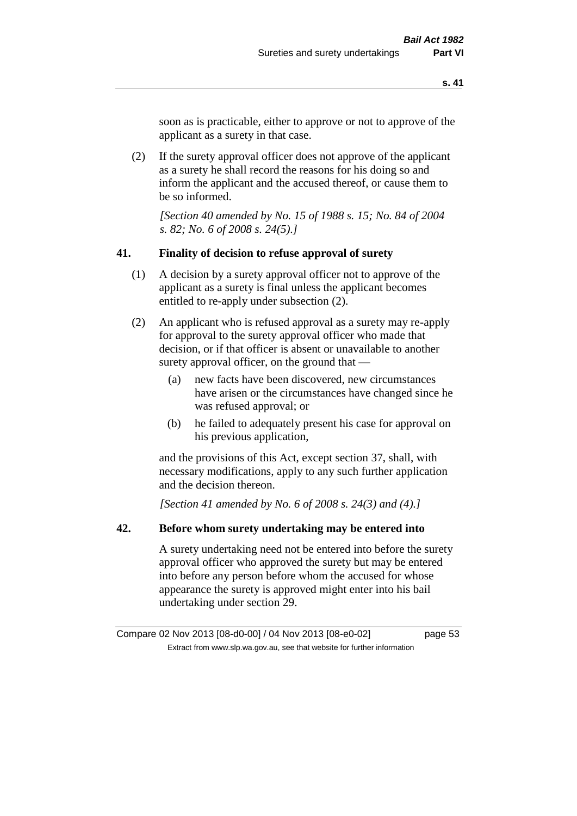soon as is practicable, either to approve or not to approve of the applicant as a surety in that case.

(2) If the surety approval officer does not approve of the applicant as a surety he shall record the reasons for his doing so and inform the applicant and the accused thereof, or cause them to be so informed.

*[Section 40 amended by No. 15 of 1988 s. 15; No. 84 of 2004 s. 82; No. 6 of 2008 s. 24(5).]* 

#### **41. Finality of decision to refuse approval of surety**

- (1) A decision by a surety approval officer not to approve of the applicant as a surety is final unless the applicant becomes entitled to re-apply under subsection (2).
- (2) An applicant who is refused approval as a surety may re-apply for approval to the surety approval officer who made that decision, or if that officer is absent or unavailable to another surety approval officer, on the ground that —
	- (a) new facts have been discovered, new circumstances have arisen or the circumstances have changed since he was refused approval; or
	- (b) he failed to adequately present his case for approval on his previous application,

and the provisions of this Act, except section 37, shall, with necessary modifications, apply to any such further application and the decision thereon.

*[Section 41 amended by No. 6 of 2008 s. 24(3) and (4).]*

## **42. Before whom surety undertaking may be entered into**

A surety undertaking need not be entered into before the surety approval officer who approved the surety but may be entered into before any person before whom the accused for whose appearance the surety is approved might enter into his bail undertaking under section 29.

Compare 02 Nov 2013 [08-d0-00] / 04 Nov 2013 [08-e0-02] page 53 Extract from www.slp.wa.gov.au, see that website for further information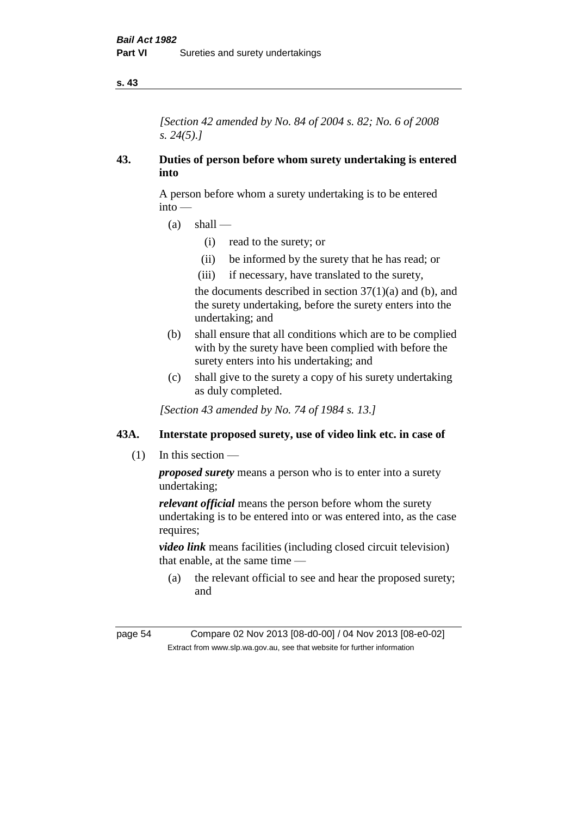*[Section 42 amended by No. 84 of 2004 s. 82; No. 6 of 2008 s. 24(5).]* 

## **43. Duties of person before whom surety undertaking is entered into**

A person before whom a surety undertaking is to be entered into —

- $(a)$  shall
	- (i) read to the surety; or
	- (ii) be informed by the surety that he has read; or
	- (iii) if necessary, have translated to the surety,

the documents described in section  $37(1)(a)$  and (b), and the surety undertaking, before the surety enters into the undertaking; and

- (b) shall ensure that all conditions which are to be complied with by the surety have been complied with before the surety enters into his undertaking; and
- (c) shall give to the surety a copy of his surety undertaking as duly completed.

*[Section 43 amended by No. 74 of 1984 s. 13.]* 

## **43A. Interstate proposed surety, use of video link etc. in case of**

(1) In this section —

*proposed surety* means a person who is to enter into a surety undertaking;

*relevant official* means the person before whom the surety undertaking is to be entered into or was entered into, as the case requires:

*video link* means facilities (including closed circuit television) that enable, at the same time —

(a) the relevant official to see and hear the proposed surety; and

page 54 Compare 02 Nov 2013 [08-d0-00] / 04 Nov 2013 [08-e0-02] Extract from www.slp.wa.gov.au, see that website for further information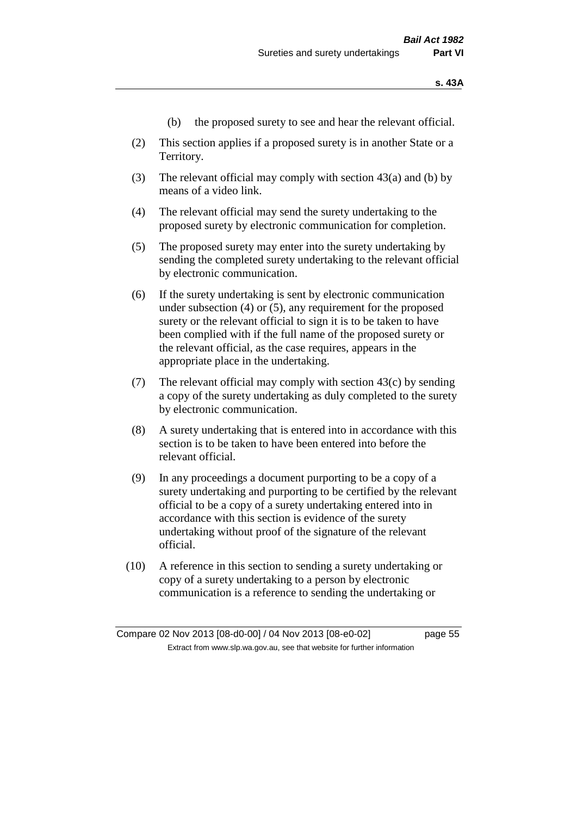- (b) the proposed surety to see and hear the relevant official.
- (2) This section applies if a proposed surety is in another State or a Territory.
- (3) The relevant official may comply with section 43(a) and (b) by means of a video link.
- (4) The relevant official may send the surety undertaking to the proposed surety by electronic communication for completion.
- (5) The proposed surety may enter into the surety undertaking by sending the completed surety undertaking to the relevant official by electronic communication.
- (6) If the surety undertaking is sent by electronic communication under subsection (4) or (5), any requirement for the proposed surety or the relevant official to sign it is to be taken to have been complied with if the full name of the proposed surety or the relevant official, as the case requires, appears in the appropriate place in the undertaking.
- (7) The relevant official may comply with section 43(c) by sending a copy of the surety undertaking as duly completed to the surety by electronic communication.
- (8) A surety undertaking that is entered into in accordance with this section is to be taken to have been entered into before the relevant official.
- (9) In any proceedings a document purporting to be a copy of a surety undertaking and purporting to be certified by the relevant official to be a copy of a surety undertaking entered into in accordance with this section is evidence of the surety undertaking without proof of the signature of the relevant official.
- (10) A reference in this section to sending a surety undertaking or copy of a surety undertaking to a person by electronic communication is a reference to sending the undertaking or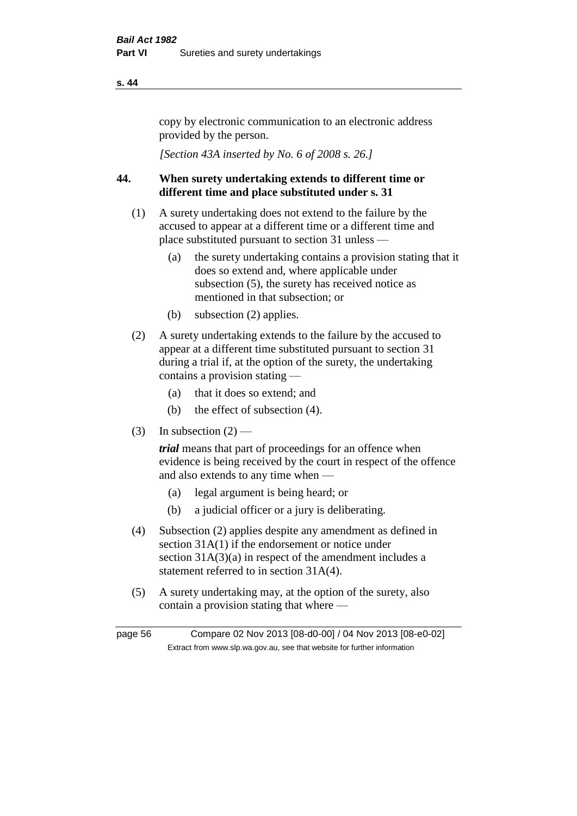copy by electronic communication to an electronic address provided by the person.

*[Section 43A inserted by No. 6 of 2008 s. 26.]*

## **44. When surety undertaking extends to different time or different time and place substituted under s. 31**

- (1) A surety undertaking does not extend to the failure by the accused to appear at a different time or a different time and place substituted pursuant to section 31 unless —
	- (a) the surety undertaking contains a provision stating that it does so extend and, where applicable under subsection (5), the surety has received notice as mentioned in that subsection; or
	- (b) subsection (2) applies.
- (2) A surety undertaking extends to the failure by the accused to appear at a different time substituted pursuant to section 31 during a trial if, at the option of the surety, the undertaking contains a provision stating —
	- (a) that it does so extend; and
	- (b) the effect of subsection (4).
- (3) In subsection  $(2)$  —

*trial* means that part of proceedings for an offence when evidence is being received by the court in respect of the offence and also extends to any time when —

- (a) legal argument is being heard; or
- (b) a judicial officer or a jury is deliberating.
- (4) Subsection (2) applies despite any amendment as defined in section 31A(1) if the endorsement or notice under section  $31A(3)(a)$  in respect of the amendment includes a statement referred to in section 31A(4).
- (5) A surety undertaking may, at the option of the surety, also contain a provision stating that where —

page 56 Compare 02 Nov 2013 [08-d0-00] / 04 Nov 2013 [08-e0-02] Extract from www.slp.wa.gov.au, see that website for further information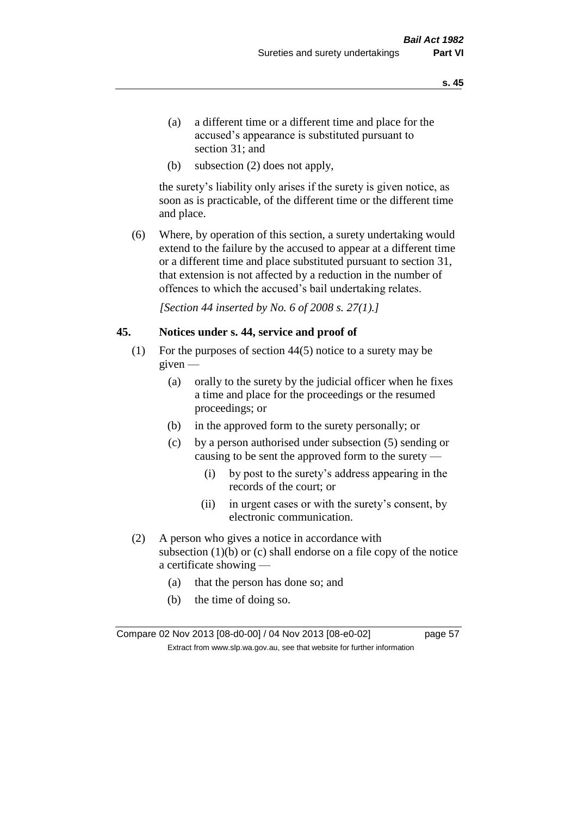- (a) a different time or a different time and place for the accused's appearance is substituted pursuant to section 31; and
- (b) subsection (2) does not apply,

the surety's liability only arises if the surety is given notice, as soon as is practicable, of the different time or the different time and place.

(6) Where, by operation of this section, a surety undertaking would extend to the failure by the accused to appear at a different time or a different time and place substituted pursuant to section 31, that extension is not affected by a reduction in the number of offences to which the accused's bail undertaking relates.

*[Section 44 inserted by No. 6 of 2008 s. 27(1).]*

#### **45. Notices under s. 44, service and proof of**

- (1) For the purposes of section 44(5) notice to a surety may be given —
	- (a) orally to the surety by the judicial officer when he fixes a time and place for the proceedings or the resumed proceedings; or
	- (b) in the approved form to the surety personally; or
	- (c) by a person authorised under subsection (5) sending or causing to be sent the approved form to the surety —
		- (i) by post to the surety's address appearing in the records of the court; or
		- (ii) in urgent cases or with the surety's consent, by electronic communication.
- (2) A person who gives a notice in accordance with subsection  $(1)(b)$  or  $(c)$  shall endorse on a file copy of the notice a certificate showing —
	- (a) that the person has done so; and
	- (b) the time of doing so.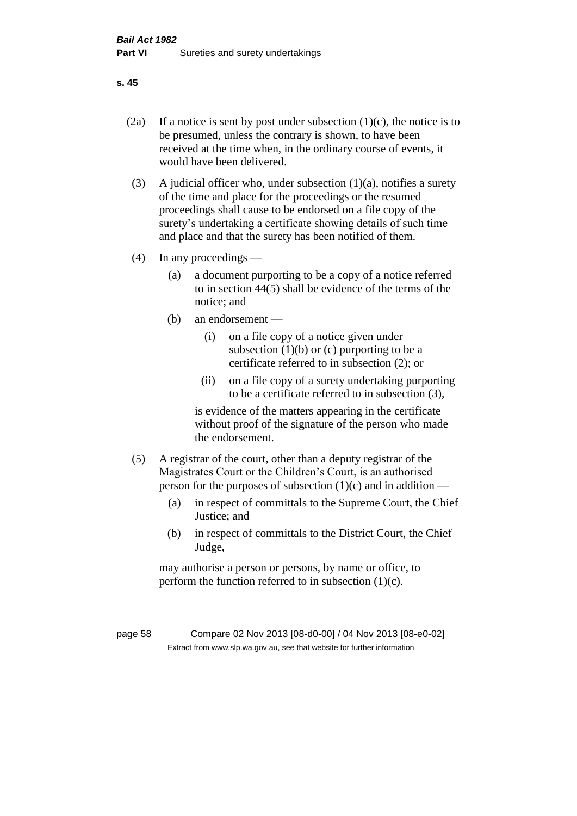- 
- (2a) If a notice is sent by post under subsection  $(1)(c)$ , the notice is to be presumed, unless the contrary is shown, to have been received at the time when, in the ordinary course of events, it would have been delivered.
- (3) A judicial officer who, under subsection  $(1)(a)$ , notifies a surety of the time and place for the proceedings or the resumed proceedings shall cause to be endorsed on a file copy of the surety's undertaking a certificate showing details of such time and place and that the surety has been notified of them.
- (4) In any proceedings
	- (a) a document purporting to be a copy of a notice referred to in section 44(5) shall be evidence of the terms of the notice; and
	- (b) an endorsement
		- (i) on a file copy of a notice given under subsection  $(1)(b)$  or  $(c)$  purporting to be a certificate referred to in subsection (2); or
		- (ii) on a file copy of a surety undertaking purporting to be a certificate referred to in subsection (3),

is evidence of the matters appearing in the certificate without proof of the signature of the person who made the endorsement.

- (5) A registrar of the court, other than a deputy registrar of the Magistrates Court or the Children's Court, is an authorised person for the purposes of subsection  $(1)(c)$  and in addition —
	- (a) in respect of committals to the Supreme Court, the Chief Justice; and
	- (b) in respect of committals to the District Court, the Chief Judge,

may authorise a person or persons, by name or office, to perform the function referred to in subsection  $(1)(c)$ .

page 58 Compare 02 Nov 2013 [08-d0-00] / 04 Nov 2013 [08-e0-02] Extract from www.slp.wa.gov.au, see that website for further information

**s. 45**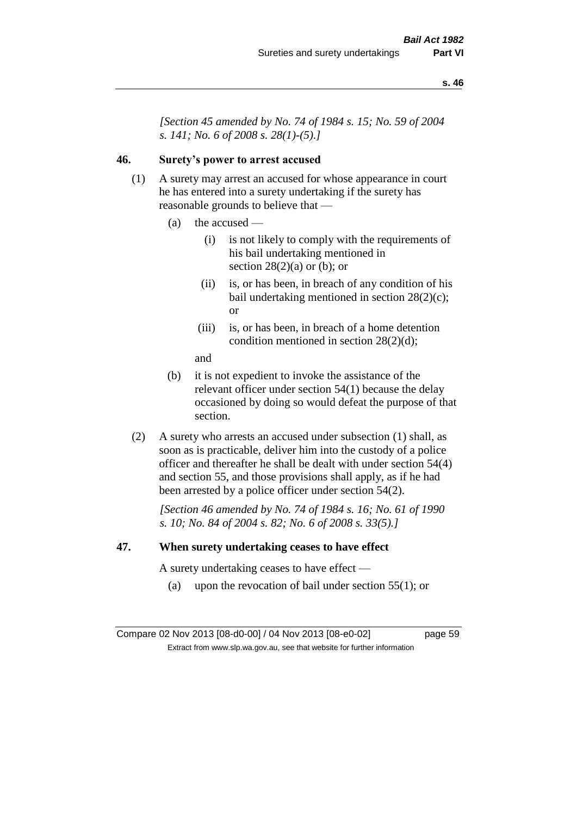*[Section 45 amended by No. 74 of 1984 s. 15; No. 59 of 2004 s. 141; No. 6 of 2008 s. 28(1)-(5).]* 

## **46. Surety's power to arrest accused**

- (1) A surety may arrest an accused for whose appearance in court he has entered into a surety undertaking if the surety has reasonable grounds to believe that —
	- (a) the accused
		- (i) is not likely to comply with the requirements of his bail undertaking mentioned in section  $28(2)(a)$  or (b); or
		- (ii) is, or has been, in breach of any condition of his bail undertaking mentioned in section 28(2)(c); or
		- (iii) is, or has been, in breach of a home detention condition mentioned in section 28(2)(d);
		- and
	- (b) it is not expedient to invoke the assistance of the relevant officer under section 54(1) because the delay occasioned by doing so would defeat the purpose of that section.
- (2) A surety who arrests an accused under subsection (1) shall, as soon as is practicable, deliver him into the custody of a police officer and thereafter he shall be dealt with under section 54(4) and section 55, and those provisions shall apply, as if he had been arrested by a police officer under section 54(2).

*[Section 46 amended by No. 74 of 1984 s. 16; No. 61 of 1990 s. 10; No. 84 of 2004 s. 82; No. 6 of 2008 s. 33(5).]* 

#### **47. When surety undertaking ceases to have effect**

A surety undertaking ceases to have effect —

(a) upon the revocation of bail under section  $55(1)$ ; or

Compare 02 Nov 2013 [08-d0-00] / 04 Nov 2013 [08-e0-02] page 59 Extract from www.slp.wa.gov.au, see that website for further information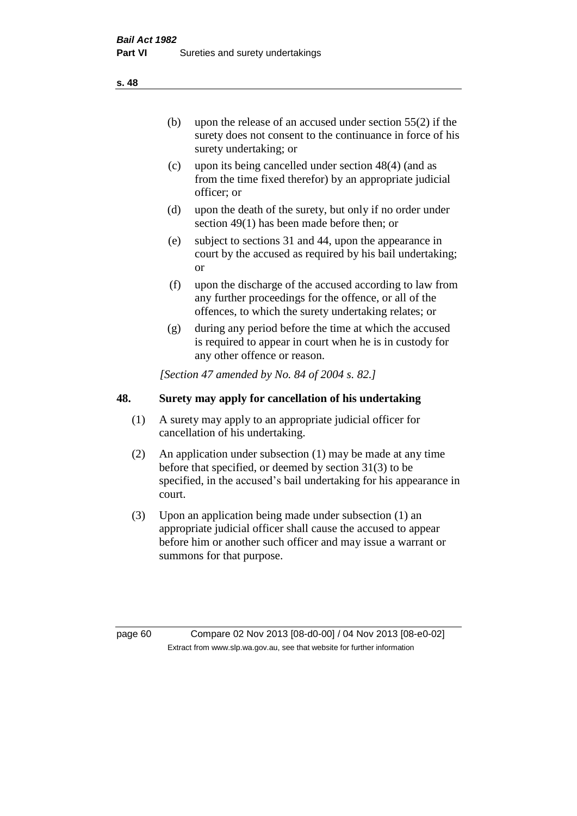(b) upon the release of an accused under section 55(2) if the surety does not consent to the continuance in force of his surety undertaking; or

- (c) upon its being cancelled under section 48(4) (and as from the time fixed therefor) by an appropriate judicial officer; or
- (d) upon the death of the surety, but only if no order under section 49(1) has been made before then; or
- (e) subject to sections 31 and 44, upon the appearance in court by the accused as required by his bail undertaking; or
- (f) upon the discharge of the accused according to law from any further proceedings for the offence, or all of the offences, to which the surety undertaking relates; or
- (g) during any period before the time at which the accused is required to appear in court when he is in custody for any other offence or reason.

*[Section 47 amended by No. 84 of 2004 s. 82.]* 

## **48. Surety may apply for cancellation of his undertaking**

- (1) A surety may apply to an appropriate judicial officer for cancellation of his undertaking.
- (2) An application under subsection (1) may be made at any time before that specified, or deemed by section 31(3) to be specified, in the accused's bail undertaking for his appearance in court.
- (3) Upon an application being made under subsection (1) an appropriate judicial officer shall cause the accused to appear before him or another such officer and may issue a warrant or summons for that purpose.

page 60 Compare 02 Nov 2013 [08-d0-00] / 04 Nov 2013 [08-e0-02] Extract from www.slp.wa.gov.au, see that website for further information

**s. 48**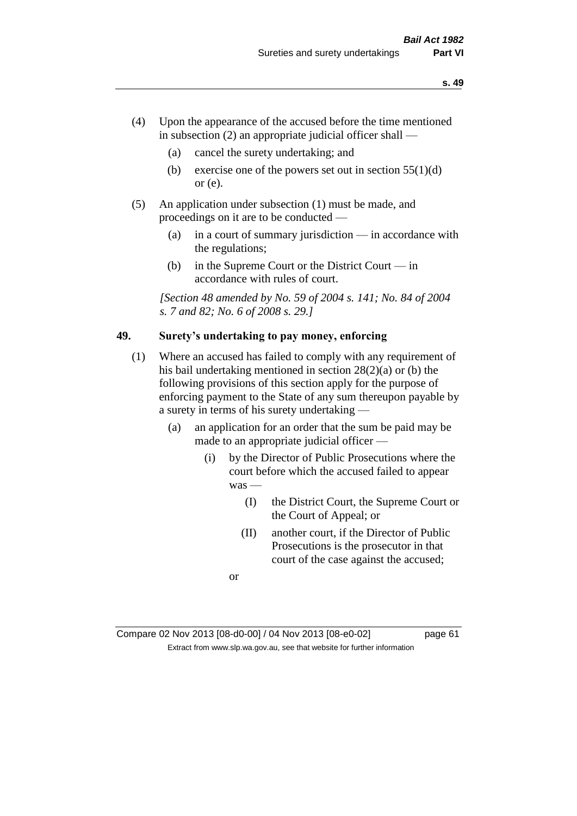- (4) Upon the appearance of the accused before the time mentioned in subsection  $(2)$  an appropriate judicial officer shall —
	- (a) cancel the surety undertaking; and
	- (b) exercise one of the powers set out in section  $55(1)(d)$ or (e).
- (5) An application under subsection (1) must be made, and proceedings on it are to be conducted —
	- (a) in a court of summary jurisdiction in accordance with the regulations;
	- (b) in the Supreme Court or the District Court in accordance with rules of court.

*[Section 48 amended by No. 59 of 2004 s. 141; No. 84 of 2004 s. 7 and 82; No. 6 of 2008 s. 29.]* 

## **49. Surety's undertaking to pay money, enforcing**

- (1) Where an accused has failed to comply with any requirement of his bail undertaking mentioned in section 28(2)(a) or (b) the following provisions of this section apply for the purpose of enforcing payment to the State of any sum thereupon payable by a surety in terms of his surety undertaking —
	- (a) an application for an order that the sum be paid may be made to an appropriate judicial officer —
		- (i) by the Director of Public Prosecutions where the court before which the accused failed to appear was —
			- (I) the District Court, the Supreme Court or the Court of Appeal; or
			- (II) another court, if the Director of Public Prosecutions is the prosecutor in that court of the case against the accused;

or

Compare 02 Nov 2013 [08-d0-00] / 04 Nov 2013 [08-e0-02] page 61 Extract from www.slp.wa.gov.au, see that website for further information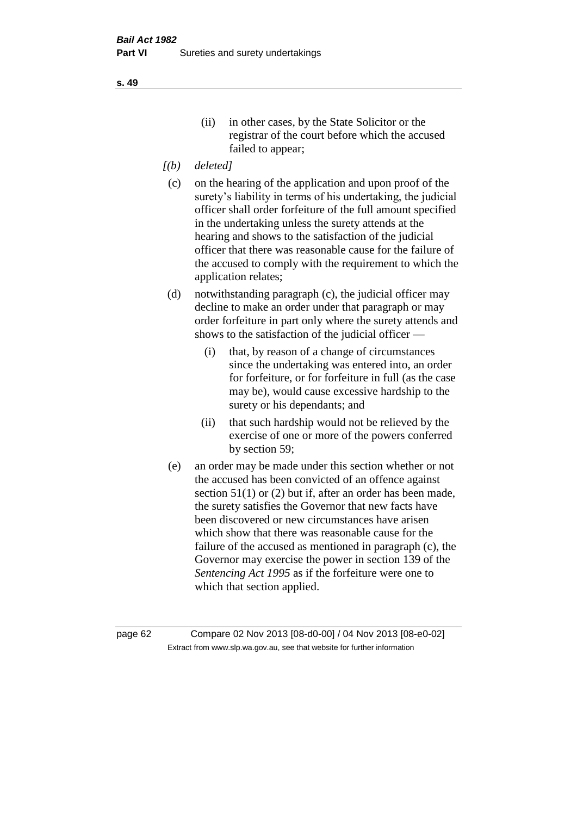- *[(b) deleted]*
- (c) on the hearing of the application and upon proof of the surety's liability in terms of his undertaking, the judicial officer shall order forfeiture of the full amount specified in the undertaking unless the surety attends at the hearing and shows to the satisfaction of the judicial officer that there was reasonable cause for the failure of the accused to comply with the requirement to which the application relates;
- (d) notwithstanding paragraph (c), the judicial officer may decline to make an order under that paragraph or may order forfeiture in part only where the surety attends and shows to the satisfaction of the judicial officer —
	- (i) that, by reason of a change of circumstances since the undertaking was entered into, an order for forfeiture, or for forfeiture in full (as the case may be), would cause excessive hardship to the surety or his dependants; and
	- (ii) that such hardship would not be relieved by the exercise of one or more of the powers conferred by section 59;
- (e) an order may be made under this section whether or not the accused has been convicted of an offence against section 51(1) or (2) but if, after an order has been made, the surety satisfies the Governor that new facts have been discovered or new circumstances have arisen which show that there was reasonable cause for the failure of the accused as mentioned in paragraph (c), the Governor may exercise the power in section 139 of the *Sentencing Act 1995* as if the forfeiture were one to which that section applied.

page 62 Compare 02 Nov 2013 [08-d0-00] / 04 Nov 2013 [08-e0-02] Extract from www.slp.wa.gov.au, see that website for further information

**s. 49**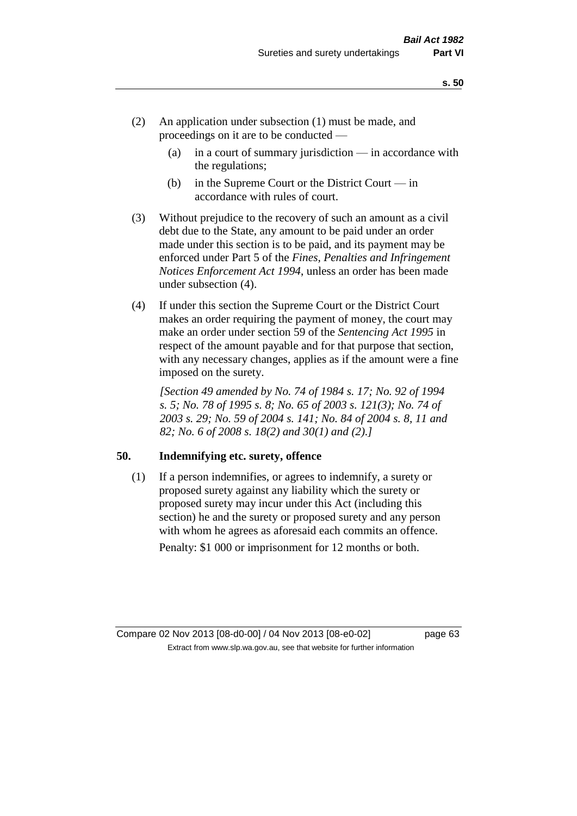- (2) An application under subsection (1) must be made, and proceedings on it are to be conducted —
	- (a) in a court of summary jurisdiction in accordance with the regulations;
	- (b) in the Supreme Court or the District Court  $-\text{in}$ accordance with rules of court.
- (3) Without prejudice to the recovery of such an amount as a civil debt due to the State, any amount to be paid under an order made under this section is to be paid, and its payment may be enforced under Part 5 of the *Fines, Penalties and Infringement Notices Enforcement Act 1994*, unless an order has been made under subsection (4).
- (4) If under this section the Supreme Court or the District Court makes an order requiring the payment of money, the court may make an order under section 59 of the *Sentencing Act 1995* in respect of the amount payable and for that purpose that section, with any necessary changes, applies as if the amount were a fine imposed on the surety.

*[Section 49 amended by No. 74 of 1984 s. 17; No. 92 of 1994 s. 5; No. 78 of 1995 s. 8; No. 65 of 2003 s. 121(3); No. 74 of 2003 s. 29; No. 59 of 2004 s. 141; No. 84 of 2004 s. 8, 11 and 82; No. 6 of 2008 s. 18(2) and 30(1) and (2).]* 

## **50. Indemnifying etc. surety, offence**

(1) If a person indemnifies, or agrees to indemnify, a surety or proposed surety against any liability which the surety or proposed surety may incur under this Act (including this section) he and the surety or proposed surety and any person with whom he agrees as aforesaid each commits an offence. Penalty: \$1 000 or imprisonment for 12 months or both.

Compare 02 Nov 2013 [08-d0-00] / 04 Nov 2013 [08-e0-02] page 63 Extract from www.slp.wa.gov.au, see that website for further information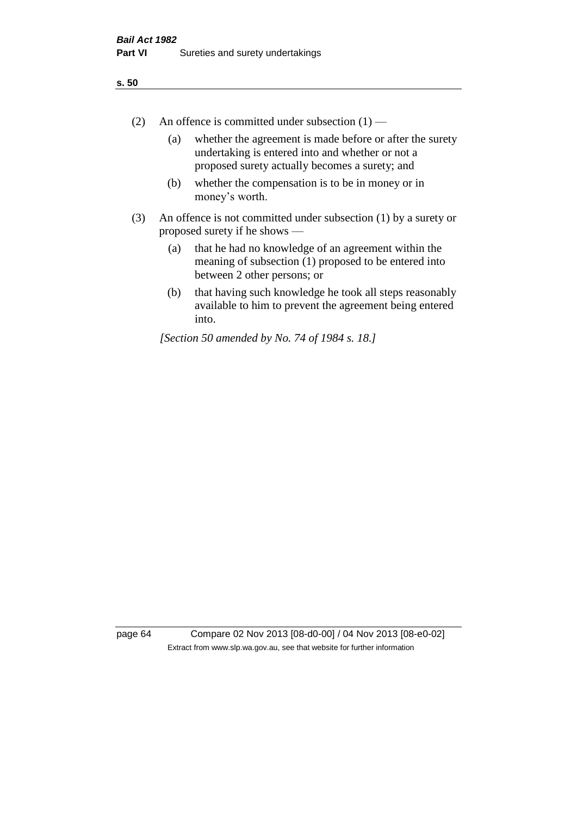- (2) An offence is committed under subsection  $(1)$ 
	- (a) whether the agreement is made before or after the surety undertaking is entered into and whether or not a proposed surety actually becomes a surety; and
	- (b) whether the compensation is to be in money or in money's worth.
- (3) An offence is not committed under subsection (1) by a surety or proposed surety if he shows —
	- (a) that he had no knowledge of an agreement within the meaning of subsection (1) proposed to be entered into between 2 other persons; or
	- (b) that having such knowledge he took all steps reasonably available to him to prevent the agreement being entered into.

*[Section 50 amended by No. 74 of 1984 s. 18.]* 

page 64 Compare 02 Nov 2013 [08-d0-00] / 04 Nov 2013 [08-e0-02] Extract from www.slp.wa.gov.au, see that website for further information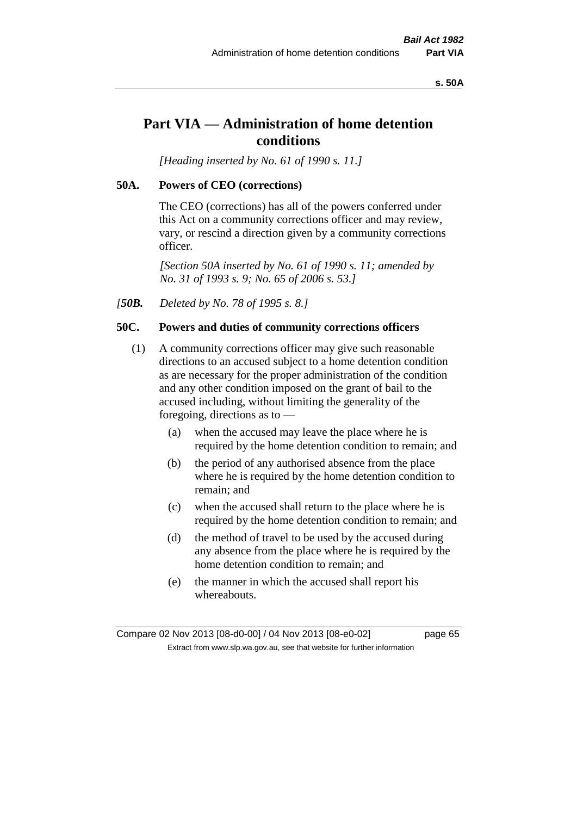#### **s. 50A**

## **Part VIA — Administration of home detention conditions**

*[Heading inserted by No. 61 of 1990 s. 11.]* 

#### **50A. Powers of CEO (corrections)**

The CEO (corrections) has all of the powers conferred under this Act on a community corrections officer and may review, vary, or rescind a direction given by a community corrections officer.

*[Section 50A inserted by No. 61 of 1990 s. 11; amended by No. 31 of 1993 s. 9; No. 65 of 2006 s. 53.]* 

*[50B. Deleted by No. 78 of 1995 s. 8.]* 

## **50C. Powers and duties of community corrections officers**

- (1) A community corrections officer may give such reasonable directions to an accused subject to a home detention condition as are necessary for the proper administration of the condition and any other condition imposed on the grant of bail to the accused including, without limiting the generality of the foregoing, directions as to —
	- (a) when the accused may leave the place where he is required by the home detention condition to remain; and
	- (b) the period of any authorised absence from the place where he is required by the home detention condition to remain; and
	- (c) when the accused shall return to the place where he is required by the home detention condition to remain; and
	- (d) the method of travel to be used by the accused during any absence from the place where he is required by the home detention condition to remain; and
	- (e) the manner in which the accused shall report his whereabouts.

Compare 02 Nov 2013 [08-d0-00] / 04 Nov 2013 [08-e0-02] page 65 Extract from www.slp.wa.gov.au, see that website for further information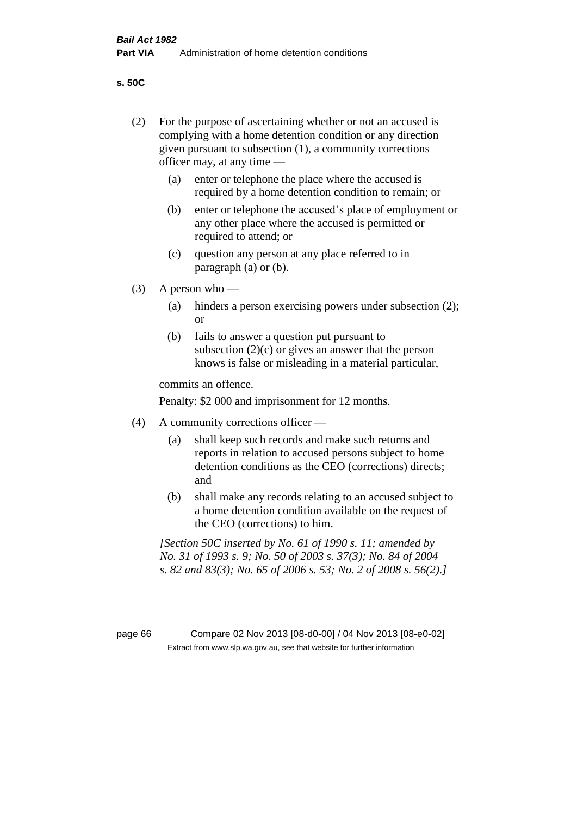**s. 50C**

| (2)     | For the purpose of ascertaining whether or not an accused is<br>complying with a home detention condition or any direction<br>given pursuant to subsection (1), a community corrections<br>officer may, at any time — |                                                                                                                                                                                              |  |
|---------|-----------------------------------------------------------------------------------------------------------------------------------------------------------------------------------------------------------------------|----------------------------------------------------------------------------------------------------------------------------------------------------------------------------------------------|--|
|         | (a)                                                                                                                                                                                                                   | enter or telephone the place where the accused is<br>required by a home detention condition to remain; or                                                                                    |  |
|         | (b)                                                                                                                                                                                                                   | enter or telephone the accused's place of employment or<br>any other place where the accused is permitted or<br>required to attend; or                                                       |  |
|         | (c)                                                                                                                                                                                                                   | question any person at any place referred to in<br>paragraph $(a)$ or $(b)$ .                                                                                                                |  |
| (3)     | A person who $-$                                                                                                                                                                                                      |                                                                                                                                                                                              |  |
|         | (a)                                                                                                                                                                                                                   | hinders a person exercising powers under subsection (2);<br><sub>or</sub>                                                                                                                    |  |
|         | (b)                                                                                                                                                                                                                   | fails to answer a question put pursuant to<br>subsection $(2)(c)$ or gives an answer that the person<br>knows is false or misleading in a material particular,                               |  |
|         |                                                                                                                                                                                                                       | commits an offence.                                                                                                                                                                          |  |
|         |                                                                                                                                                                                                                       | Penalty: \$2 000 and imprisonment for 12 months.                                                                                                                                             |  |
| (4)     | A community corrections officer —                                                                                                                                                                                     |                                                                                                                                                                                              |  |
|         | (a)                                                                                                                                                                                                                   | shall keep such records and make such returns and<br>reports in relation to accused persons subject to home<br>detention conditions as the CEO (corrections) directs;<br>and                 |  |
|         | (b)                                                                                                                                                                                                                   | shall make any records relating to an accused subject to<br>a home detention condition available on the request of<br>the CEO (corrections) to him.                                          |  |
|         |                                                                                                                                                                                                                       | [Section 50C inserted by No. 61 of 1990 s. 11; amended by<br>No. 31 of 1993 s. 9; No. 50 of 2003 s. 37(3); No. 84 of 2004<br>s. 82 and 83(3); No. 65 of 2006 s. 53; No. 2 of 2008 s. 56(2).] |  |
|         |                                                                                                                                                                                                                       |                                                                                                                                                                                              |  |
| page 66 |                                                                                                                                                                                                                       | Compare 02 Nov 2013 [08-d0-00] / 04 Nov 2013 [08-e0-02]<br>Extract from www.slp.wa.gov.au, see that website for further information                                                          |  |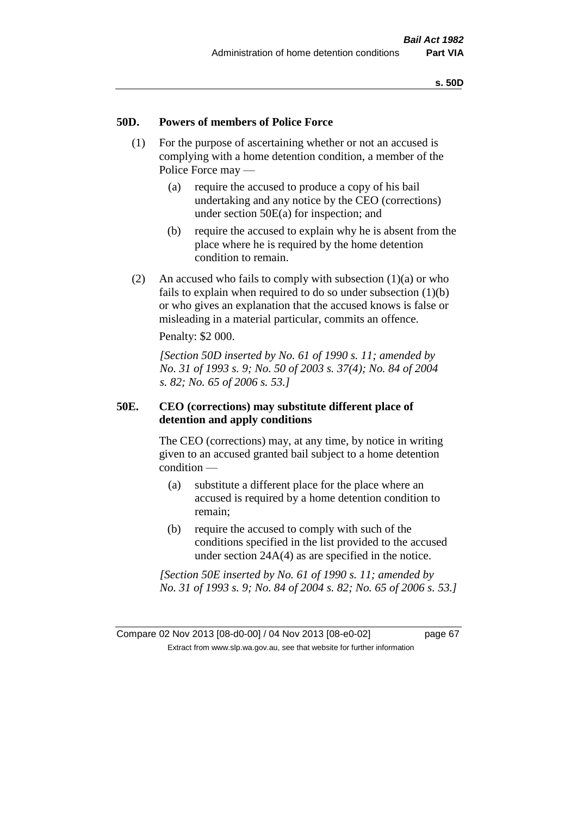### **50D. Powers of members of Police Force**

- (1) For the purpose of ascertaining whether or not an accused is complying with a home detention condition, a member of the Police Force may —
	- (a) require the accused to produce a copy of his bail undertaking and any notice by the CEO (corrections) under section 50E(a) for inspection; and
	- (b) require the accused to explain why he is absent from the place where he is required by the home detention condition to remain.
- (2) An accused who fails to comply with subsection  $(1)(a)$  or who fails to explain when required to do so under subsection (1)(b) or who gives an explanation that the accused knows is false or misleading in a material particular, commits an offence.

Penalty: \$2 000.

*[Section 50D inserted by No. 61 of 1990 s. 11; amended by No. 31 of 1993 s. 9; No. 50 of 2003 s. 37(4); No. 84 of 2004 s. 82; No. 65 of 2006 s. 53.]* 

## **50E. CEO (corrections) may substitute different place of detention and apply conditions**

The CEO (corrections) may, at any time, by notice in writing given to an accused granted bail subject to a home detention condition —

- (a) substitute a different place for the place where an accused is required by a home detention condition to remain;
- (b) require the accused to comply with such of the conditions specified in the list provided to the accused under section 24A(4) as are specified in the notice.

*[Section 50E inserted by No. 61 of 1990 s. 11; amended by No. 31 of 1993 s. 9; No. 84 of 2004 s. 82; No. 65 of 2006 s. 53.]*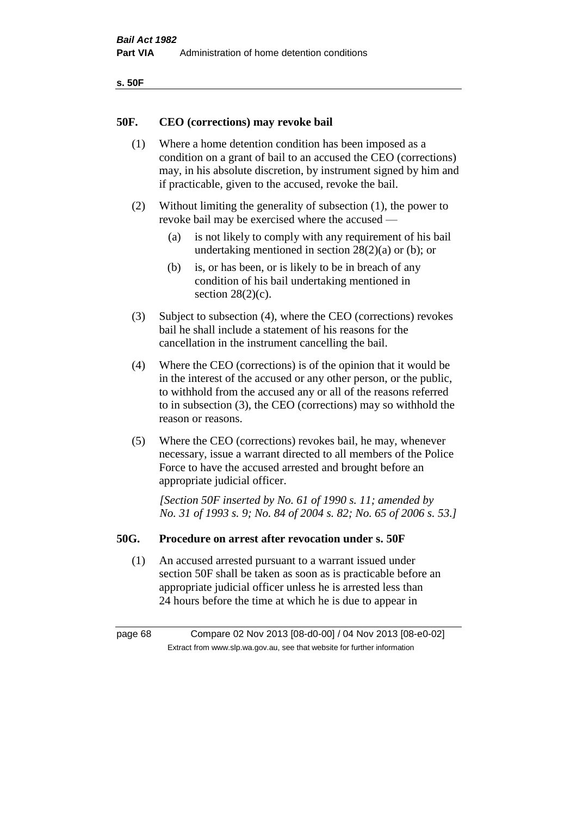| ۰.<br>×<br>-<br>۰.<br>× |  |
|-------------------------|--|
|-------------------------|--|

### **50F. CEO (corrections) may revoke bail**

- (1) Where a home detention condition has been imposed as a condition on a grant of bail to an accused the CEO (corrections) may, in his absolute discretion, by instrument signed by him and if practicable, given to the accused, revoke the bail.
- (2) Without limiting the generality of subsection (1), the power to revoke bail may be exercised where the accused —
	- (a) is not likely to comply with any requirement of his bail undertaking mentioned in section 28(2)(a) or (b); or
	- (b) is, or has been, or is likely to be in breach of any condition of his bail undertaking mentioned in section  $28(2)(c)$ .
- (3) Subject to subsection (4), where the CEO (corrections) revokes bail he shall include a statement of his reasons for the cancellation in the instrument cancelling the bail.
- (4) Where the CEO (corrections) is of the opinion that it would be in the interest of the accused or any other person, or the public, to withhold from the accused any or all of the reasons referred to in subsection (3), the CEO (corrections) may so withhold the reason or reasons.
- (5) Where the CEO (corrections) revokes bail, he may, whenever necessary, issue a warrant directed to all members of the Police Force to have the accused arrested and brought before an appropriate judicial officer.

*[Section 50F inserted by No. 61 of 1990 s. 11; amended by No. 31 of 1993 s. 9; No. 84 of 2004 s. 82; No. 65 of 2006 s. 53.]* 

#### **50G. Procedure on arrest after revocation under s. 50F**

(1) An accused arrested pursuant to a warrant issued under section 50F shall be taken as soon as is practicable before an appropriate judicial officer unless he is arrested less than 24 hours before the time at which he is due to appear in

page 68 Compare 02 Nov 2013 [08-d0-00] / 04 Nov 2013 [08-e0-02] Extract from www.slp.wa.gov.au, see that website for further information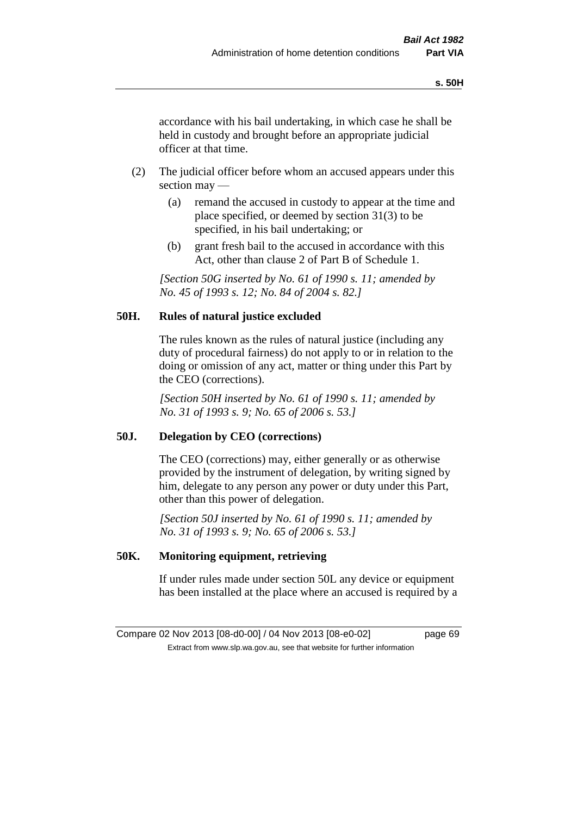accordance with his bail undertaking, in which case he shall be held in custody and brought before an appropriate judicial officer at that time.

- (2) The judicial officer before whom an accused appears under this section may —
	- (a) remand the accused in custody to appear at the time and place specified, or deemed by section 31(3) to be specified, in his bail undertaking; or
	- (b) grant fresh bail to the accused in accordance with this Act, other than clause 2 of Part B of Schedule 1.

*[Section 50G inserted by No. 61 of 1990 s. 11; amended by No. 45 of 1993 s. 12; No. 84 of 2004 s. 82.]* 

## **50H. Rules of natural justice excluded**

The rules known as the rules of natural justice (including any duty of procedural fairness) do not apply to or in relation to the doing or omission of any act, matter or thing under this Part by the CEO (corrections).

*[Section 50H inserted by No. 61 of 1990 s. 11; amended by No. 31 of 1993 s. 9; No. 65 of 2006 s. 53.]* 

## **50J. Delegation by CEO (corrections)**

The CEO (corrections) may, either generally or as otherwise provided by the instrument of delegation, by writing signed by him, delegate to any person any power or duty under this Part, other than this power of delegation.

*[Section 50J inserted by No. 61 of 1990 s. 11; amended by No. 31 of 1993 s. 9; No. 65 of 2006 s. 53.]* 

## **50K. Monitoring equipment, retrieving**

If under rules made under section 50L any device or equipment has been installed at the place where an accused is required by a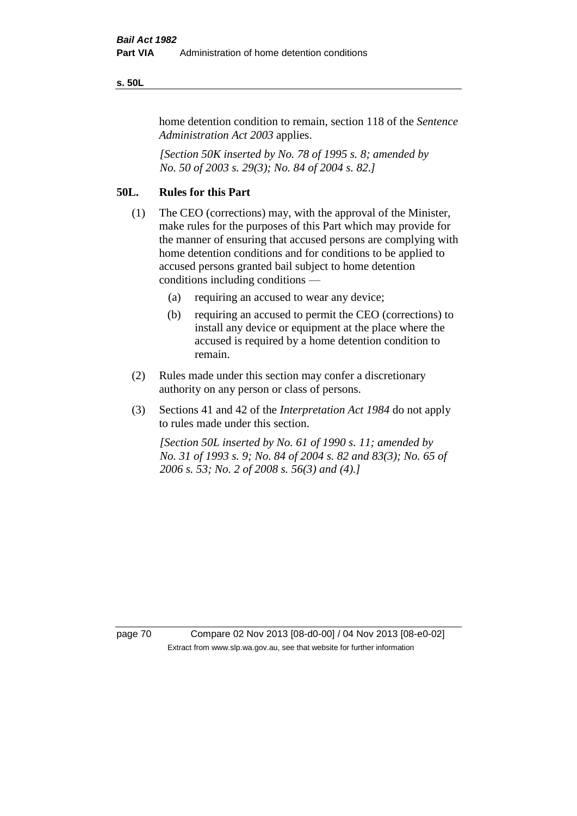#### **s. 50L**

home detention condition to remain, section 118 of the *Sentence Administration Act 2003* applies.

*[Section 50K inserted by No. 78 of 1995 s. 8; amended by No. 50 of 2003 s. 29(3); No. 84 of 2004 s. 82.]* 

## **50L. Rules for this Part**

- (1) The CEO (corrections) may, with the approval of the Minister, make rules for the purposes of this Part which may provide for the manner of ensuring that accused persons are complying with home detention conditions and for conditions to be applied to accused persons granted bail subject to home detention conditions including conditions —
	- (a) requiring an accused to wear any device;
	- (b) requiring an accused to permit the CEO (corrections) to install any device or equipment at the place where the accused is required by a home detention condition to remain.
- (2) Rules made under this section may confer a discretionary authority on any person or class of persons.
- (3) Sections 41 and 42 of the *Interpretation Act 1984* do not apply to rules made under this section.

*[Section 50L inserted by No. 61 of 1990 s. 11; amended by No. 31 of 1993 s. 9; No. 84 of 2004 s. 82 and 83(3); No. 65 of 2006 s. 53; No. 2 of 2008 s. 56(3) and (4).]* 

page 70 Compare 02 Nov 2013 [08-d0-00] / 04 Nov 2013 [08-e0-02] Extract from www.slp.wa.gov.au, see that website for further information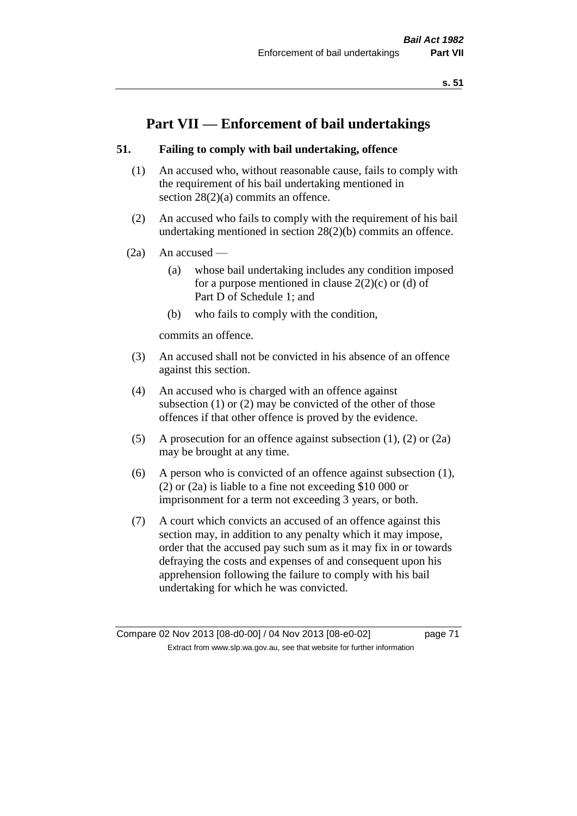# **Part VII — Enforcement of bail undertakings**

### **51. Failing to comply with bail undertaking, offence**

- (1) An accused who, without reasonable cause, fails to comply with the requirement of his bail undertaking mentioned in section 28(2)(a) commits an offence.
- (2) An accused who fails to comply with the requirement of his bail undertaking mentioned in section 28(2)(b) commits an offence.
- $(2a)$  An accused
	- (a) whose bail undertaking includes any condition imposed for a purpose mentioned in clause  $2(2)(c)$  or (d) of Part D of Schedule 1; and
	- (b) who fails to comply with the condition,

commits an offence.

- (3) An accused shall not be convicted in his absence of an offence against this section.
- (4) An accused who is charged with an offence against subsection (1) or (2) may be convicted of the other of those offences if that other offence is proved by the evidence.
- (5) A prosecution for an offence against subsection (1), (2) or (2a) may be brought at any time.
- (6) A person who is convicted of an offence against subsection (1), (2) or (2a) is liable to a fine not exceeding \$10 000 or imprisonment for a term not exceeding 3 years, or both.
- (7) A court which convicts an accused of an offence against this section may, in addition to any penalty which it may impose, order that the accused pay such sum as it may fix in or towards defraying the costs and expenses of and consequent upon his apprehension following the failure to comply with his bail undertaking for which he was convicted.

Compare 02 Nov 2013 [08-d0-00] / 04 Nov 2013 [08-e0-02] page 71 Extract from www.slp.wa.gov.au, see that website for further information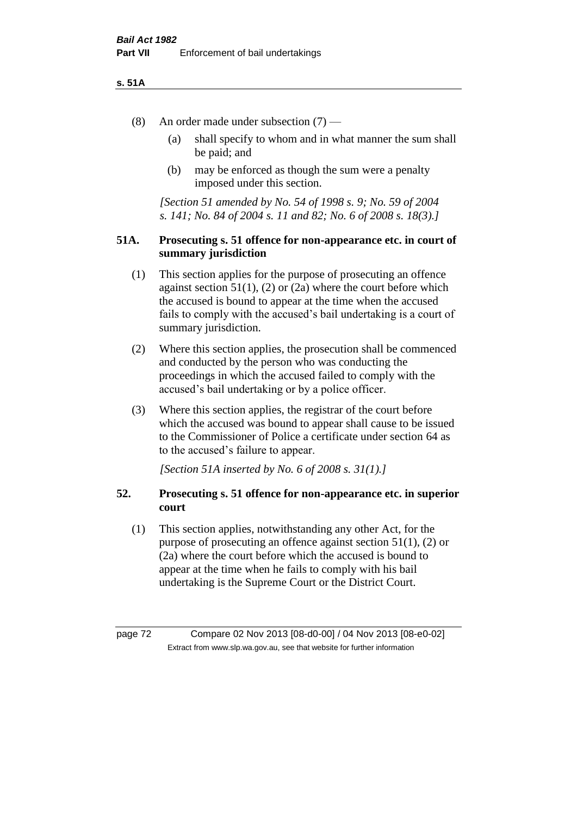#### **s. 51A**

- (8) An order made under subsection (7)
	- (a) shall specify to whom and in what manner the sum shall be paid; and
	- (b) may be enforced as though the sum were a penalty imposed under this section.

*[Section 51 amended by No. 54 of 1998 s. 9; No. 59 of 2004 s. 141; No. 84 of 2004 s. 11 and 82; No. 6 of 2008 s. 18(3).]*

### **51A. Prosecuting s. 51 offence for non-appearance etc. in court of summary jurisdiction**

- (1) This section applies for the purpose of prosecuting an offence against section  $51(1)$ ,  $(2)$  or  $(2a)$  where the court before which the accused is bound to appear at the time when the accused fails to comply with the accused's bail undertaking is a court of summary jurisdiction.
- (2) Where this section applies, the prosecution shall be commenced and conducted by the person who was conducting the proceedings in which the accused failed to comply with the accused's bail undertaking or by a police officer.
- (3) Where this section applies, the registrar of the court before which the accused was bound to appear shall cause to be issued to the Commissioner of Police a certificate under section 64 as to the accused's failure to appear.

*[Section 51A inserted by No. 6 of 2008 s. 31(1).]*

# **52. Prosecuting s. 51 offence for non-appearance etc. in superior court**

(1) This section applies, notwithstanding any other Act, for the purpose of prosecuting an offence against section 51(1), (2) or (2a) where the court before which the accused is bound to appear at the time when he fails to comply with his bail undertaking is the Supreme Court or the District Court.

page 72 Compare 02 Nov 2013 [08-d0-00] / 04 Nov 2013 [08-e0-02] Extract from www.slp.wa.gov.au, see that website for further information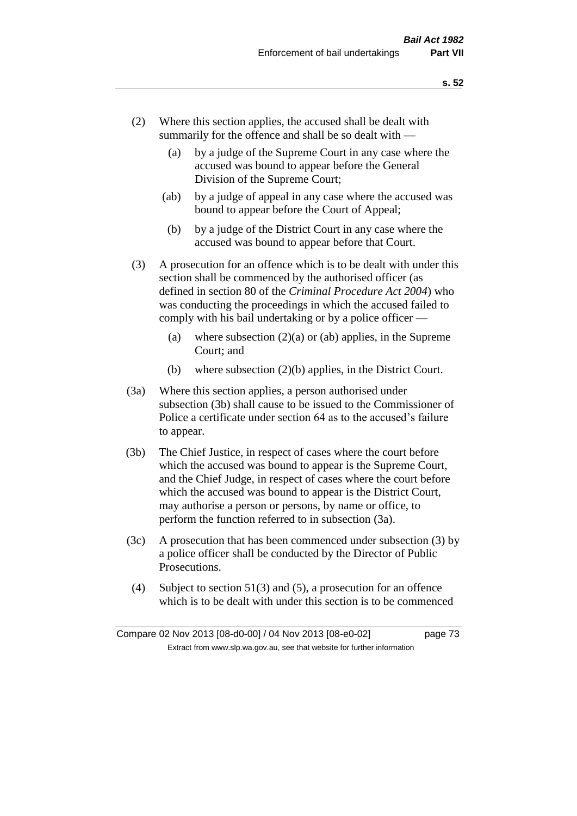- (2) Where this section applies, the accused shall be dealt with summarily for the offence and shall be so dealt with —
	- (a) by a judge of the Supreme Court in any case where the accused was bound to appear before the General Division of the Supreme Court;
	- (ab) by a judge of appeal in any case where the accused was bound to appear before the Court of Appeal;
	- (b) by a judge of the District Court in any case where the accused was bound to appear before that Court.
- (3) A prosecution for an offence which is to be dealt with under this section shall be commenced by the authorised officer (as defined in section 80 of the *Criminal Procedure Act 2004*) who was conducting the proceedings in which the accused failed to comply with his bail undertaking or by a police officer —
	- (a) where subsection  $(2)(a)$  or (ab) applies, in the Supreme Court; and
	- (b) where subsection (2)(b) applies, in the District Court.
- (3a) Where this section applies, a person authorised under subsection (3b) shall cause to be issued to the Commissioner of Police a certificate under section 64 as to the accused's failure to appear.
- (3b) The Chief Justice, in respect of cases where the court before which the accused was bound to appear is the Supreme Court, and the Chief Judge, in respect of cases where the court before which the accused was bound to appear is the District Court, may authorise a person or persons, by name or office, to perform the function referred to in subsection (3a).
- (3c) A prosecution that has been commenced under subsection (3) by a police officer shall be conducted by the Director of Public Prosecutions.
- (4) Subject to section 51(3) and (5), a prosecution for an offence which is to be dealt with under this section is to be commenced

Compare 02 Nov 2013 [08-d0-00] / 04 Nov 2013 [08-e0-02] page 73 Extract from www.slp.wa.gov.au, see that website for further information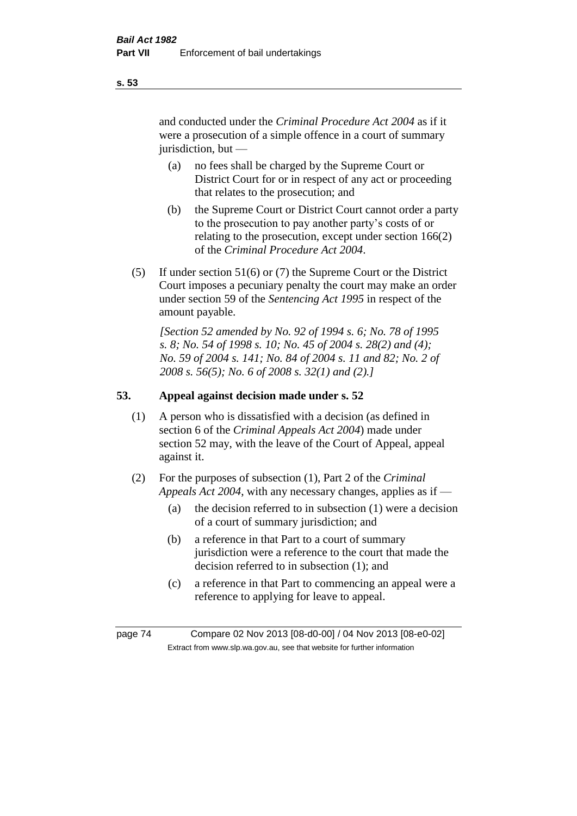and conducted under the *Criminal Procedure Act 2004* as if it were a prosecution of a simple offence in a court of summary jurisdiction, but —

- (a) no fees shall be charged by the Supreme Court or District Court for or in respect of any act or proceeding that relates to the prosecution; and
- (b) the Supreme Court or District Court cannot order a party to the prosecution to pay another party's costs of or relating to the prosecution, except under section 166(2) of the *Criminal Procedure Act 2004*.
- (5) If under section 51(6) or (7) the Supreme Court or the District Court imposes a pecuniary penalty the court may make an order under section 59 of the *Sentencing Act 1995* in respect of the amount payable.

*[Section 52 amended by No. 92 of 1994 s. 6; No. 78 of 1995 s. 8; No. 54 of 1998 s. 10; No. 45 of 2004 s. 28(2) and (4); No. 59 of 2004 s. 141; No. 84 of 2004 s. 11 and 82; No. 2 of 2008 s. 56(5); No. 6 of 2008 s. 32(1) and (2).]* 

# **53. Appeal against decision made under s. 52**

- (1) A person who is dissatisfied with a decision (as defined in section 6 of the *Criminal Appeals Act 2004*) made under section 52 may, with the leave of the Court of Appeal, appeal against it.
- (2) For the purposes of subsection (1), Part 2 of the *Criminal Appeals Act 2004*, with any necessary changes, applies as if —
	- (a) the decision referred to in subsection (1) were a decision of a court of summary jurisdiction; and
	- (b) a reference in that Part to a court of summary jurisdiction were a reference to the court that made the decision referred to in subsection (1); and
	- (c) a reference in that Part to commencing an appeal were a reference to applying for leave to appeal.

page 74 Compare 02 Nov 2013 [08-d0-00] / 04 Nov 2013 [08-e0-02] Extract from www.slp.wa.gov.au, see that website for further information

**s. 53**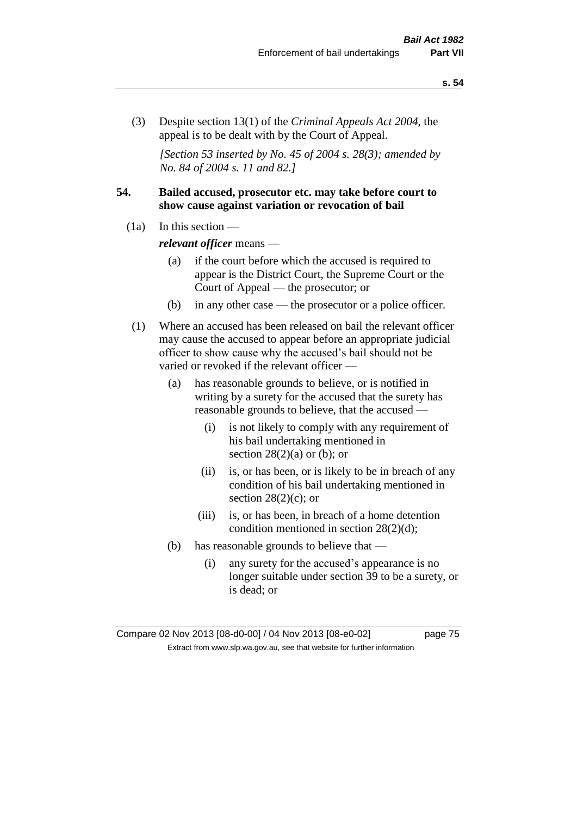(3) Despite section 13(1) of the *Criminal Appeals Act 2004*, the appeal is to be dealt with by the Court of Appeal.

*[Section 53 inserted by No. 45 of 2004 s. 28(3); amended by No. 84 of 2004 s. 11 and 82.]*

### **54. Bailed accused, prosecutor etc. may take before court to show cause against variation or revocation of bail**

 $(1a)$  In this section —

*relevant officer* means —

- (a) if the court before which the accused is required to appear is the District Court, the Supreme Court or the Court of Appeal — the prosecutor; or
- (b) in any other case the prosecutor or a police officer.
- (1) Where an accused has been released on bail the relevant officer may cause the accused to appear before an appropriate judicial officer to show cause why the accused's bail should not be varied or revoked if the relevant officer —
	- (a) has reasonable grounds to believe, or is notified in writing by a surety for the accused that the surety has reasonable grounds to believe, that the accused —
		- (i) is not likely to comply with any requirement of his bail undertaking mentioned in section  $28(2)(a)$  or (b); or
		- (ii) is, or has been, or is likely to be in breach of any condition of his bail undertaking mentioned in section  $28(2)(c)$ ; or
		- (iii) is, or has been, in breach of a home detention condition mentioned in section 28(2)(d);
	- (b) has reasonable grounds to believe that
		- (i) any surety for the accused's appearance is no longer suitable under section 39 to be a surety, or is dead; or

Compare 02 Nov 2013 [08-d0-00] / 04 Nov 2013 [08-e0-02] page 75 Extract from www.slp.wa.gov.au, see that website for further information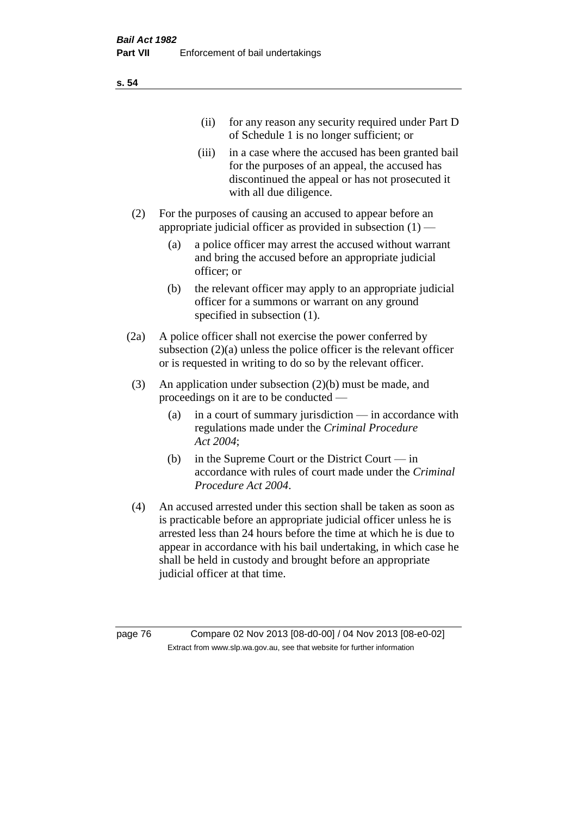| (11)  | for any reason any security required under Part D<br>of Schedule 1 is no longer sufficient; or                                                                                     |
|-------|------------------------------------------------------------------------------------------------------------------------------------------------------------------------------------|
| (iii) | in a case where the accused has been granted bail<br>for the purposes of an appeal, the accused has<br>discontinued the appeal or has not prosecuted it<br>with all due diligence. |

- (2) For the purposes of causing an accused to appear before an appropriate judicial officer as provided in subsection  $(1)$  —
	- (a) a police officer may arrest the accused without warrant and bring the accused before an appropriate judicial officer; or
	- (b) the relevant officer may apply to an appropriate judicial officer for a summons or warrant on any ground specified in subsection  $(1)$ .
- (2a) A police officer shall not exercise the power conferred by subsection (2)(a) unless the police officer is the relevant officer or is requested in writing to do so by the relevant officer.
- (3) An application under subsection (2)(b) must be made, and proceedings on it are to be conducted —
	- (a) in a court of summary jurisdiction in accordance with regulations made under the *Criminal Procedure Act 2004*;
	- (b) in the Supreme Court or the District Court in accordance with rules of court made under the *Criminal Procedure Act 2004*.
- (4) An accused arrested under this section shall be taken as soon as is practicable before an appropriate judicial officer unless he is arrested less than 24 hours before the time at which he is due to appear in accordance with his bail undertaking, in which case he shall be held in custody and brought before an appropriate judicial officer at that time.

page 76 Compare 02 Nov 2013 [08-d0-00] / 04 Nov 2013 [08-e0-02] Extract from www.slp.wa.gov.au, see that website for further information

**s. 54**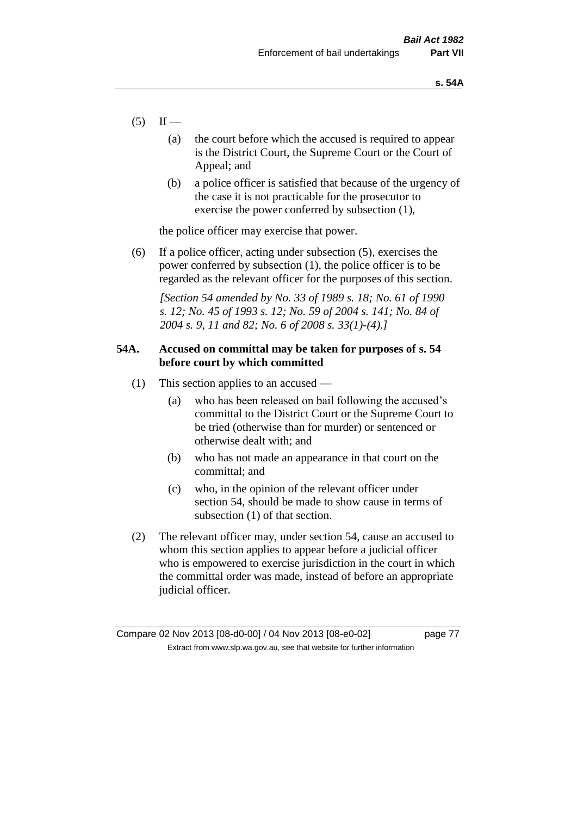- $(5)$  If
	- (a) the court before which the accused is required to appear is the District Court, the Supreme Court or the Court of Appeal; and
	- (b) a police officer is satisfied that because of the urgency of the case it is not practicable for the prosecutor to exercise the power conferred by subsection (1),

the police officer may exercise that power.

(6) If a police officer, acting under subsection (5), exercises the power conferred by subsection (1), the police officer is to be regarded as the relevant officer for the purposes of this section.

*[Section 54 amended by No. 33 of 1989 s. 18; No. 61 of 1990 s. 12; No. 45 of 1993 s. 12; No. 59 of 2004 s. 141; No. 84 of 2004 s. 9, 11 and 82; No. 6 of 2008 s. 33(1)-(4).]* 

# **54A. Accused on committal may be taken for purposes of s. 54 before court by which committed**

- (1) This section applies to an accused
	- (a) who has been released on bail following the accused's committal to the District Court or the Supreme Court to be tried (otherwise than for murder) or sentenced or otherwise dealt with; and
	- (b) who has not made an appearance in that court on the committal; and
	- (c) who, in the opinion of the relevant officer under section 54, should be made to show cause in terms of subsection (1) of that section.
- (2) The relevant officer may, under section 54, cause an accused to whom this section applies to appear before a judicial officer who is empowered to exercise jurisdiction in the court in which the committal order was made, instead of before an appropriate judicial officer.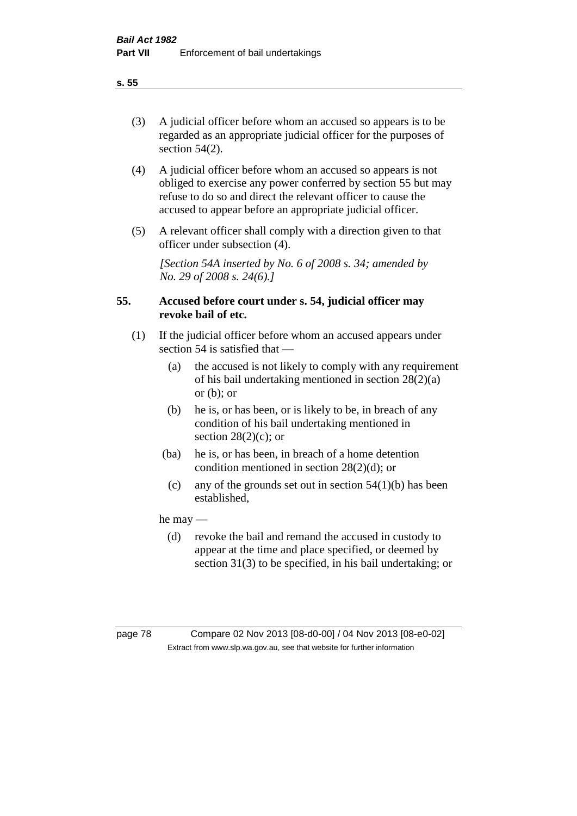(3) A judicial officer before whom an accused so appears is to be regarded as an appropriate judicial officer for the purposes of section 54(2).

- (4) A judicial officer before whom an accused so appears is not obliged to exercise any power conferred by section 55 but may refuse to do so and direct the relevant officer to cause the accused to appear before an appropriate judicial officer.
- (5) A relevant officer shall comply with a direction given to that officer under subsection (4).

*[Section 54A inserted by No. 6 of 2008 s. 34; amended by No. 29 of 2008 s. 24(6).]*

# **55. Accused before court under s. 54, judicial officer may revoke bail of etc.**

- (1) If the judicial officer before whom an accused appears under section 54 is satisfied that —
	- (a) the accused is not likely to comply with any requirement of his bail undertaking mentioned in section 28(2)(a) or  $(b)$ ; or
	- (b) he is, or has been, or is likely to be, in breach of any condition of his bail undertaking mentioned in section  $28(2)(c)$ ; or
	- (ba) he is, or has been, in breach of a home detention condition mentioned in section 28(2)(d); or
		- (c) any of the grounds set out in section  $54(1)(b)$  has been established,

he may —

(d) revoke the bail and remand the accused in custody to appear at the time and place specified, or deemed by section 31(3) to be specified, in his bail undertaking; or

**s. 55**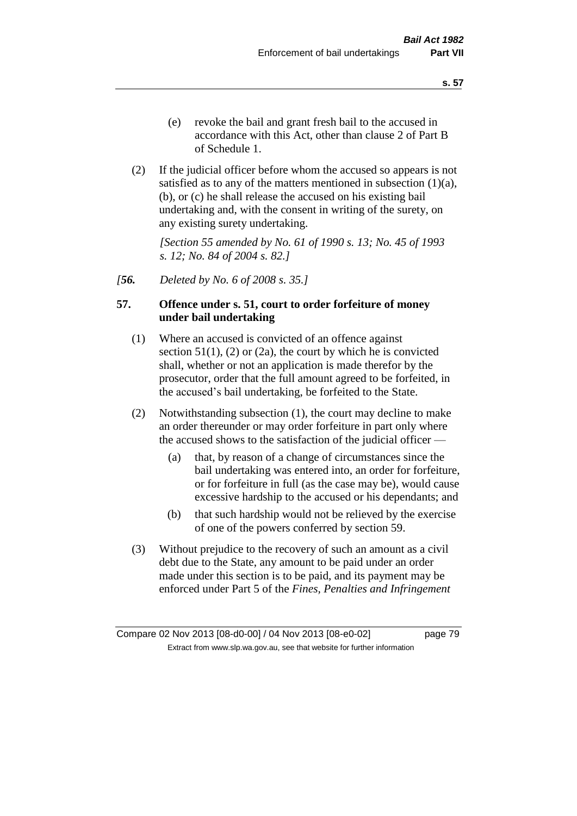(2) If the judicial officer before whom the accused so appears is not satisfied as to any of the matters mentioned in subsection  $(1)(a)$ , (b), or (c) he shall release the accused on his existing bail undertaking and, with the consent in writing of the surety, on any existing surety undertaking.

*[Section 55 amended by No. 61 of 1990 s. 13; No. 45 of 1993 s. 12; No. 84 of 2004 s. 82.]* 

*[56. Deleted by No. 6 of 2008 s. 35.]*

# **57. Offence under s. 51, court to order forfeiture of money under bail undertaking**

- (1) Where an accused is convicted of an offence against section  $51(1)$ ,  $(2)$  or  $(2a)$ , the court by which he is convicted shall, whether or not an application is made therefor by the prosecutor, order that the full amount agreed to be forfeited, in the accused's bail undertaking, be forfeited to the State.
- (2) Notwithstanding subsection (1), the court may decline to make an order thereunder or may order forfeiture in part only where the accused shows to the satisfaction of the judicial officer —
	- (a) that, by reason of a change of circumstances since the bail undertaking was entered into, an order for forfeiture, or for forfeiture in full (as the case may be), would cause excessive hardship to the accused or his dependants; and
	- (b) that such hardship would not be relieved by the exercise of one of the powers conferred by section 59.
- (3) Without prejudice to the recovery of such an amount as a civil debt due to the State, any amount to be paid under an order made under this section is to be paid, and its payment may be enforced under Part 5 of the *Fines, Penalties and Infringement*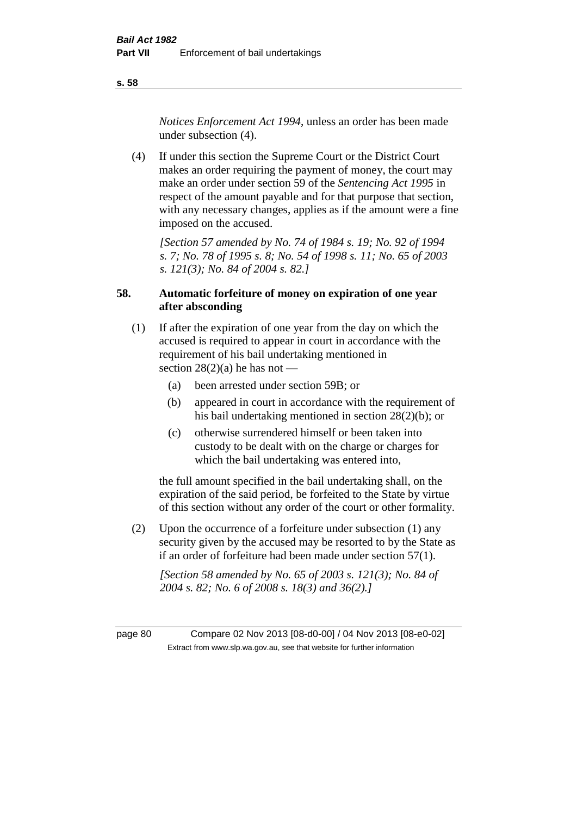*Notices Enforcement Act 1994*, unless an order has been made under subsection (4).

(4) If under this section the Supreme Court or the District Court makes an order requiring the payment of money, the court may make an order under section 59 of the *Sentencing Act 1995* in respect of the amount payable and for that purpose that section, with any necessary changes, applies as if the amount were a fine imposed on the accused.

*[Section 57 amended by No. 74 of 1984 s. 19; No. 92 of 1994 s. 7; No. 78 of 1995 s. 8; No. 54 of 1998 s. 11; No. 65 of 2003 s. 121(3); No. 84 of 2004 s. 82.]* 

# **58. Automatic forfeiture of money on expiration of one year after absconding**

- (1) If after the expiration of one year from the day on which the accused is required to appear in court in accordance with the requirement of his bail undertaking mentioned in section  $28(2)(a)$  he has not —
	- (a) been arrested under section 59B; or
	- (b) appeared in court in accordance with the requirement of his bail undertaking mentioned in section 28(2)(b); or
	- (c) otherwise surrendered himself or been taken into custody to be dealt with on the charge or charges for which the bail undertaking was entered into,

the full amount specified in the bail undertaking shall, on the expiration of the said period, be forfeited to the State by virtue of this section without any order of the court or other formality.

(2) Upon the occurrence of a forfeiture under subsection (1) any security given by the accused may be resorted to by the State as if an order of forfeiture had been made under section 57(1).

*[Section 58 amended by No. 65 of 2003 s. 121(3); No. 84 of 2004 s. 82; No. 6 of 2008 s. 18(3) and 36(2).]*

page 80 Compare 02 Nov 2013 [08-d0-00] / 04 Nov 2013 [08-e0-02] Extract from www.slp.wa.gov.au, see that website for further information

**s. 58**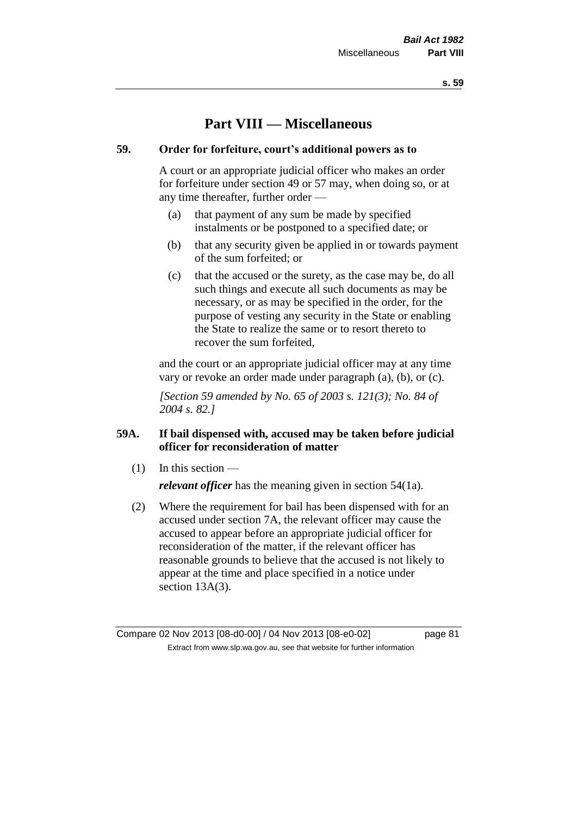# **Part VIII — Miscellaneous**

# **59. Order for forfeiture, court's additional powers as to**

A court or an appropriate judicial officer who makes an order for forfeiture under section 49 or 57 may, when doing so, or at any time thereafter, further order —

- (a) that payment of any sum be made by specified instalments or be postponed to a specified date; or
- (b) that any security given be applied in or towards payment of the sum forfeited; or
- (c) that the accused or the surety, as the case may be, do all such things and execute all such documents as may be necessary, or as may be specified in the order, for the purpose of vesting any security in the State or enabling the State to realize the same or to resort thereto to recover the sum forfeited,

and the court or an appropriate judicial officer may at any time vary or revoke an order made under paragraph (a), (b), or (c).

*[Section 59 amended by No. 65 of 2003 s. 121(3); No. 84 of 2004 s. 82.]*

# **59A. If bail dispensed with, accused may be taken before judicial officer for reconsideration of matter**

(1) In this section —

*relevant officer* has the meaning given in section 54(1a).

(2) Where the requirement for bail has been dispensed with for an accused under section 7A, the relevant officer may cause the accused to appear before an appropriate judicial officer for reconsideration of the matter, if the relevant officer has reasonable grounds to believe that the accused is not likely to appear at the time and place specified in a notice under section 13A(3).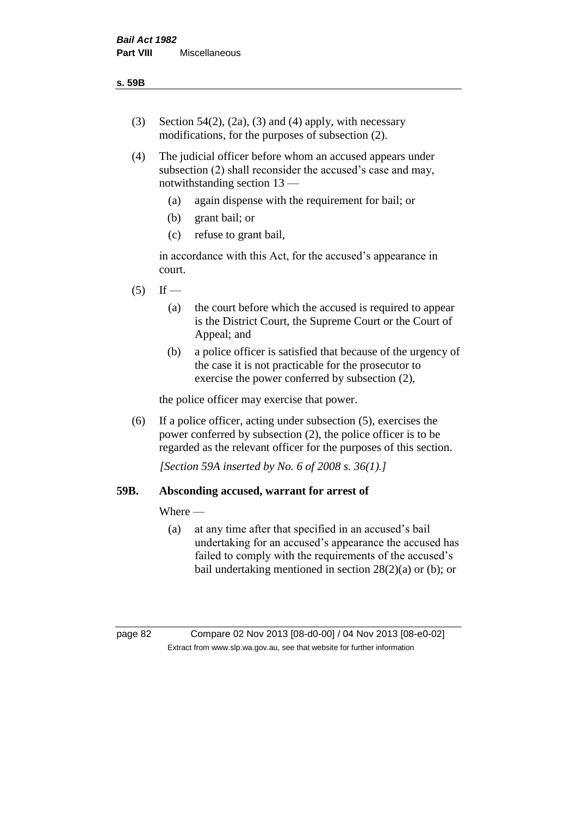- (3) Section 54(2), (2a), (3) and (4) apply, with necessary modifications, for the purposes of subsection (2).
- (4) The judicial officer before whom an accused appears under subsection (2) shall reconsider the accused's case and may, notwithstanding section 13 —
	- (a) again dispense with the requirement for bail; or
	- (b) grant bail; or
	- (c) refuse to grant bail,

in accordance with this Act, for the accused's appearance in court.

- $(5)$  If
	- (a) the court before which the accused is required to appear is the District Court, the Supreme Court or the Court of Appeal; and
	- (b) a police officer is satisfied that because of the urgency of the case it is not practicable for the prosecutor to exercise the power conferred by subsection (2),

the police officer may exercise that power.

(6) If a police officer, acting under subsection (5), exercises the power conferred by subsection (2), the police officer is to be regarded as the relevant officer for the purposes of this section.

*[Section 59A inserted by No. 6 of 2008 s. 36(1).]*

# **59B. Absconding accused, warrant for arrest of**

Where —

(a) at any time after that specified in an accused's bail undertaking for an accused's appearance the accused has failed to comply with the requirements of the accused's bail undertaking mentioned in section 28(2)(a) or (b); or

page 82 Compare 02 Nov 2013 [08-d0-00] / 04 Nov 2013 [08-e0-02] Extract from www.slp.wa.gov.au, see that website for further information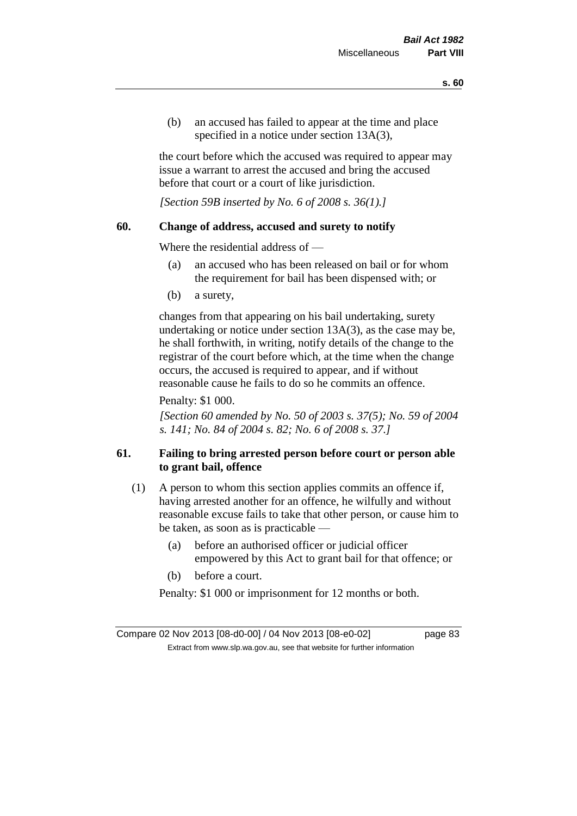(b) an accused has failed to appear at the time and place specified in a notice under section 13A(3).

the court before which the accused was required to appear may issue a warrant to arrest the accused and bring the accused before that court or a court of like jurisdiction.

*[Section 59B inserted by No. 6 of 2008 s. 36(1).]*

### **60. Change of address, accused and surety to notify**

Where the residential address of —

- (a) an accused who has been released on bail or for whom the requirement for bail has been dispensed with; or
- (b) a surety,

changes from that appearing on his bail undertaking, surety undertaking or notice under section 13A(3), as the case may be, he shall forthwith, in writing, notify details of the change to the registrar of the court before which, at the time when the change occurs, the accused is required to appear, and if without reasonable cause he fails to do so he commits an offence.

Penalty: \$1 000.

*[Section 60 amended by No. 50 of 2003 s. 37(5); No. 59 of 2004 s. 141; No. 84 of 2004 s. 82; No. 6 of 2008 s. 37.]*

# **61. Failing to bring arrested person before court or person able to grant bail, offence**

- (1) A person to whom this section applies commits an offence if, having arrested another for an offence, he wilfully and without reasonable excuse fails to take that other person, or cause him to be taken, as soon as is practicable —
	- (a) before an authorised officer or judicial officer empowered by this Act to grant bail for that offence; or
	- (b) before a court.

Penalty: \$1 000 or imprisonment for 12 months or both.

Compare 02 Nov 2013 [08-d0-00] / 04 Nov 2013 [08-e0-02] page 83 Extract from www.slp.wa.gov.au, see that website for further information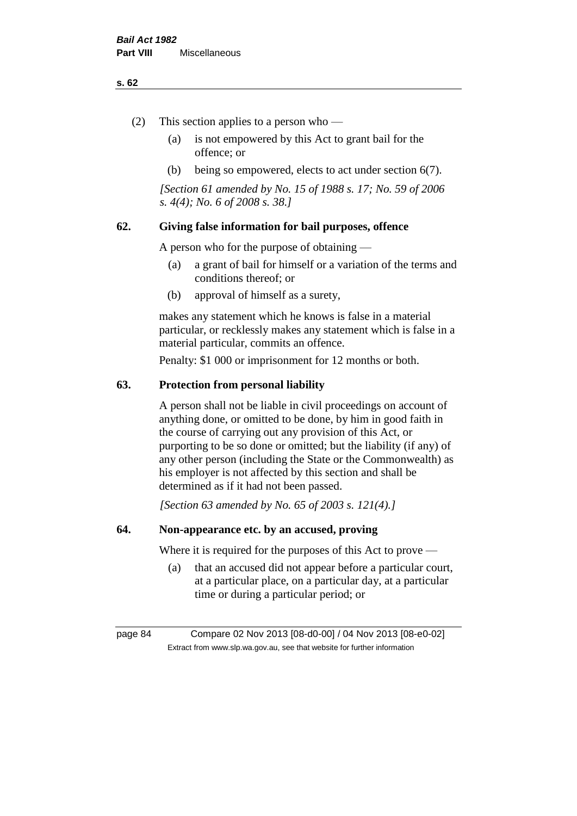#### **s. 62**

- (2) This section applies to a person who
	- (a) is not empowered by this Act to grant bail for the offence; or
	- (b) being so empowered, elects to act under section 6(7).

*[Section 61 amended by No. 15 of 1988 s. 17; No. 59 of 2006 s. 4(4); No. 6 of 2008 s. 38.]* 

# **62. Giving false information for bail purposes, offence**

A person who for the purpose of obtaining —

- (a) a grant of bail for himself or a variation of the terms and conditions thereof; or
- (b) approval of himself as a surety,

makes any statement which he knows is false in a material particular, or recklessly makes any statement which is false in a material particular, commits an offence.

Penalty: \$1 000 or imprisonment for 12 months or both.

#### **63. Protection from personal liability**

A person shall not be liable in civil proceedings on account of anything done, or omitted to be done, by him in good faith in the course of carrying out any provision of this Act, or purporting to be so done or omitted; but the liability (if any) of any other person (including the State or the Commonwealth) as his employer is not affected by this section and shall be determined as if it had not been passed.

*[Section 63 amended by No. 65 of 2003 s. 121(4).]*

# **64. Non-appearance etc. by an accused, proving**

Where it is required for the purposes of this Act to prove —

(a) that an accused did not appear before a particular court, at a particular place, on a particular day, at a particular time or during a particular period; or

page 84 Compare 02 Nov 2013 [08-d0-00] / 04 Nov 2013 [08-e0-02] Extract from www.slp.wa.gov.au, see that website for further information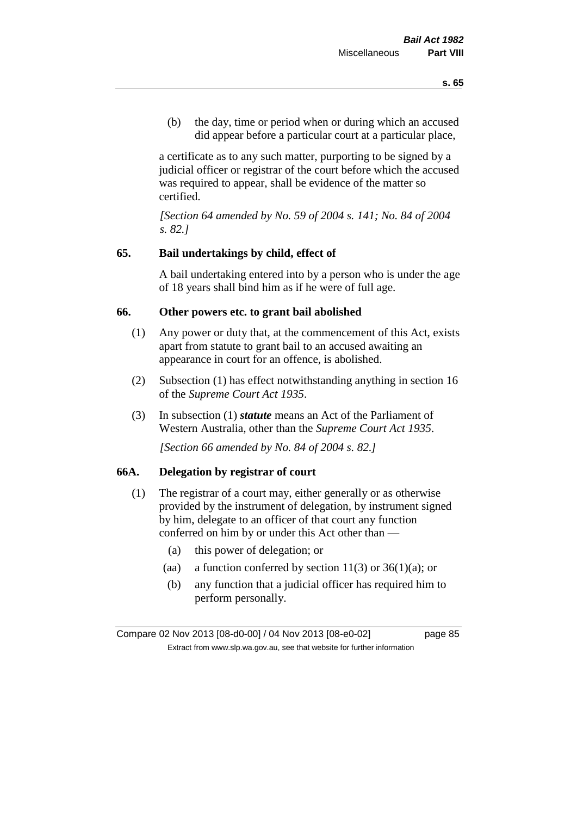(b) the day, time or period when or during which an accused did appear before a particular court at a particular place,

a certificate as to any such matter, purporting to be signed by a judicial officer or registrar of the court before which the accused was required to appear, shall be evidence of the matter so certified.

*[Section 64 amended by No. 59 of 2004 s. 141; No. 84 of 2004 s. 82.]* 

### **65. Bail undertakings by child, effect of**

A bail undertaking entered into by a person who is under the age of 18 years shall bind him as if he were of full age.

#### **66. Other powers etc. to grant bail abolished**

- (1) Any power or duty that, at the commencement of this Act, exists apart from statute to grant bail to an accused awaiting an appearance in court for an offence, is abolished.
- (2) Subsection (1) has effect notwithstanding anything in section 16 of the *Supreme Court Act 1935*.
- (3) In subsection (1) *statute* means an Act of the Parliament of Western Australia, other than the *Supreme Court Act 1935*.

*[Section 66 amended by No. 84 of 2004 s. 82.]*

### **66A. Delegation by registrar of court**

- (1) The registrar of a court may, either generally or as otherwise provided by the instrument of delegation, by instrument signed by him, delegate to an officer of that court any function conferred on him by or under this Act other than —
	- (a) this power of delegation; or
	- (aa) a function conferred by section  $11(3)$  or  $36(1)(a)$ ; or
	- (b) any function that a judicial officer has required him to perform personally.

Compare 02 Nov 2013 [08-d0-00] / 04 Nov 2013 [08-e0-02] page 85 Extract from www.slp.wa.gov.au, see that website for further information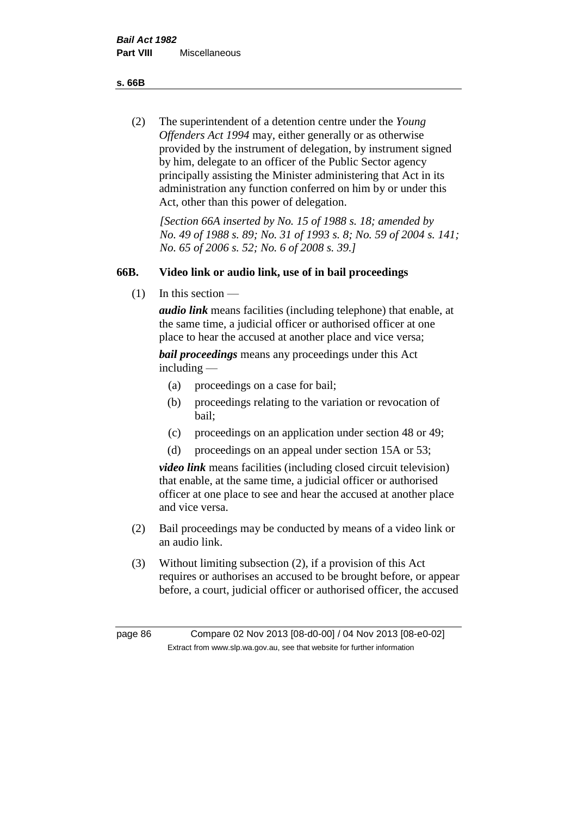**s. 66B**

(2) The superintendent of a detention centre under the *Young Offenders Act 1994* may, either generally or as otherwise provided by the instrument of delegation, by instrument signed by him, delegate to an officer of the Public Sector agency principally assisting the Minister administering that Act in its administration any function conferred on him by or under this Act, other than this power of delegation.

*[Section 66A inserted by No. 15 of 1988 s. 18; amended by No. 49 of 1988 s. 89; No. 31 of 1993 s. 8; No. 59 of 2004 s. 141; No. 65 of 2006 s. 52; No. 6 of 2008 s. 39.]* 

# **66B. Video link or audio link, use of in bail proceedings**

(1) In this section —

*audio link* means facilities (including telephone) that enable, at the same time, a judicial officer or authorised officer at one place to hear the accused at another place and vice versa;

*bail proceedings* means any proceedings under this Act including —

- (a) proceedings on a case for bail;
- (b) proceedings relating to the variation or revocation of bail;
- (c) proceedings on an application under section 48 or 49;
- (d) proceedings on an appeal under section 15A or 53;

*video link* means facilities (including closed circuit television) that enable, at the same time, a judicial officer or authorised officer at one place to see and hear the accused at another place and vice versa.

- (2) Bail proceedings may be conducted by means of a video link or an audio link.
- (3) Without limiting subsection (2), if a provision of this Act requires or authorises an accused to be brought before, or appear before, a court, judicial officer or authorised officer, the accused

page 86 Compare 02 Nov 2013 [08-d0-00] / 04 Nov 2013 [08-e0-02] Extract from www.slp.wa.gov.au, see that website for further information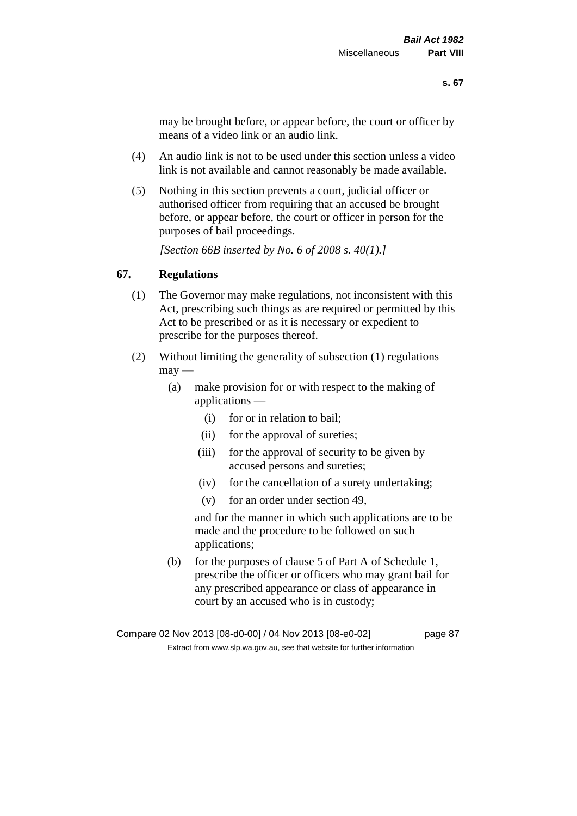may be brought before, or appear before, the court or officer by means of a video link or an audio link.

- (4) An audio link is not to be used under this section unless a video link is not available and cannot reasonably be made available.
- (5) Nothing in this section prevents a court, judicial officer or authorised officer from requiring that an accused be brought before, or appear before, the court or officer in person for the purposes of bail proceedings.

*[Section 66B inserted by No. 6 of 2008 s. 40(1).]*

# **67. Regulations**

- (1) The Governor may make regulations, not inconsistent with this Act, prescribing such things as are required or permitted by this Act to be prescribed or as it is necessary or expedient to prescribe for the purposes thereof.
- (2) Without limiting the generality of subsection (1) regulations  $\text{max}$  —
	- (a) make provision for or with respect to the making of applications —
		- (i) for or in relation to bail;
		- (ii) for the approval of sureties;
		- (iii) for the approval of security to be given by accused persons and sureties;
		- (iv) for the cancellation of a surety undertaking;
		- (v) for an order under section 49,

and for the manner in which such applications are to be made and the procedure to be followed on such applications;

(b) for the purposes of clause 5 of Part A of Schedule 1, prescribe the officer or officers who may grant bail for any prescribed appearance or class of appearance in court by an accused who is in custody;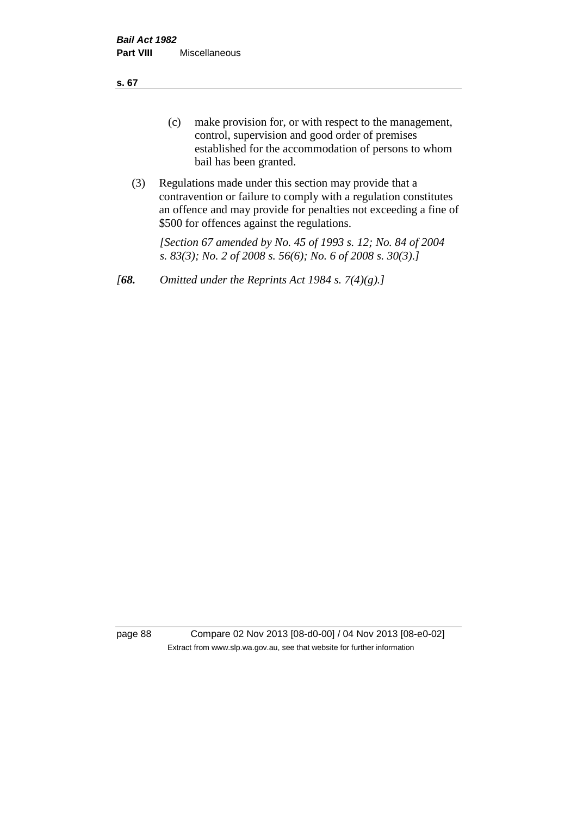**s. 67**

- (c) make provision for, or with respect to the management, control, supervision and good order of premises established for the accommodation of persons to whom bail has been granted.
- (3) Regulations made under this section may provide that a contravention or failure to comply with a regulation constitutes an offence and may provide for penalties not exceeding a fine of \$500 for offences against the regulations.

*[Section 67 amended by No. 45 of 1993 s. 12; No. 84 of 2004 s. 83(3); No. 2 of 2008 s. 56(6); No. 6 of 2008 s. 30(3).]* 

*[68. Omitted under the Reprints Act 1984 s. 7(4)(g).]*

page 88 Compare 02 Nov 2013 [08-d0-00] / 04 Nov 2013 [08-e0-02] Extract from www.slp.wa.gov.au, see that website for further information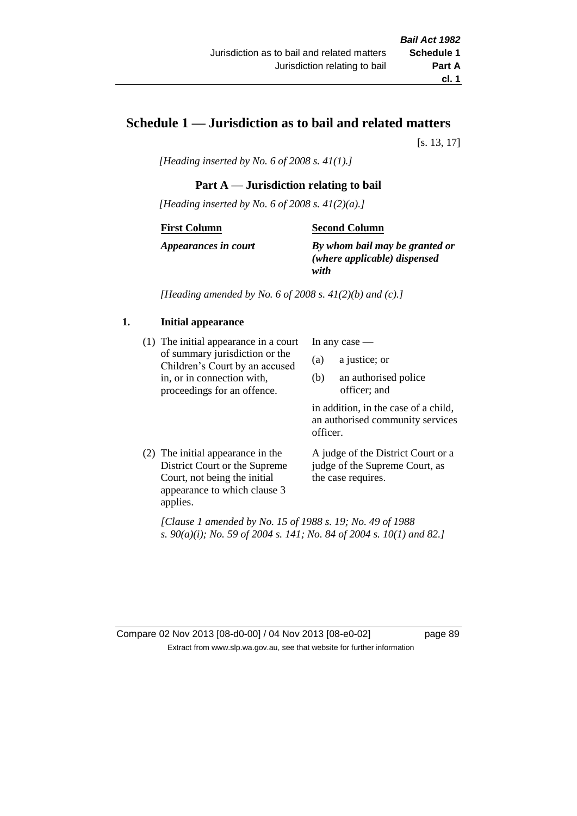# **Schedule 1 — Jurisdiction as to bail and related matters**

[s. 13, 17]

*[Heading inserted by No. 6 of 2008 s. 41(1).]*

# **Part A** — **Jurisdiction relating to bail**

*[Heading inserted by No. 6 of 2008 s. 41(2)(a).]*

#### **First Column**

### **Second Column**

*Appearances in court*

*By whom bail may be granted or (where applicable) dispensed with*

*[Heading amended by No. 6 of 2008 s. 41(2)(b) and (c).]*

# **1. Initial appearance**

(1) The initial appearance in a court of summary jurisdiction or the Children's Court by an accused in, or in connection with, proceedings for an offence.

In any case —

- (a) a justice; or
- (b) an authorised police officer; and

in addition, in the case of a child, an authorised community services officer.

(2) The initial appearance in the District Court or the Supreme Court, not being the initial appearance to which clause 3 applies.

A judge of the District Court or a judge of the Supreme Court, as the case requires.

*[Clause 1 amended by No. 15 of 1988 s. 19; No. 49 of 1988 s. 90(a)(i); No. 59 of 2004 s. 141; No. 84 of 2004 s. 10(1) and 82.]*

Compare 02 Nov 2013 [08-d0-00] / 04 Nov 2013 [08-e0-02] page 89 Extract from www.slp.wa.gov.au, see that website for further information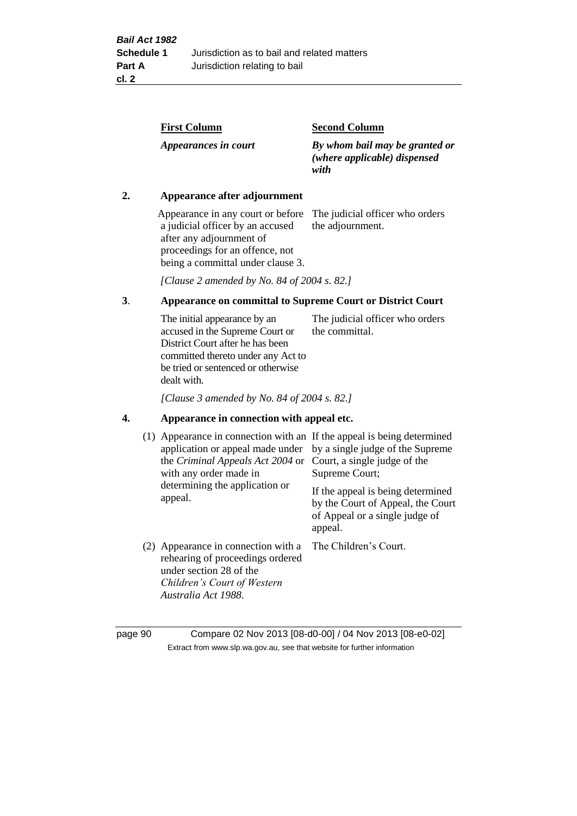| <b>First Column</b>  | <b>Second Column</b>                                                   |
|----------------------|------------------------------------------------------------------------|
| Appearances in court | By whom bail may be granted or<br>(where applicable) dispensed<br>with |

### **2. Appearance after adjournment**

Appearance in any court or before The judicial officer who orders a judicial officer by an accused after any adjournment of proceedings for an offence, not being a committal under clause 3.

the adjournment.

*[Clause 2 amended by No. 84 of 2004 s. 82.]*

# **3**. **Appearance on committal to Supreme Court or District Court**

The initial appearance by an accused in the Supreme Court or District Court after he has been committed thereto under any Act to be tried or sentenced or otherwise dealt with. The judicial officer who orders the committal.

*[Clause 3 amended by No. 84 of 2004 s. 82.]*

#### **4. Appearance in connection with appeal etc.**

| (1) Appearance in connection with an If the appeal is being determined<br>application or appeal made under<br>the <i>Criminal Appeals Act 2004</i> or Court, a single judge of the<br>with any order made in<br>determining the application or<br>appeal. | by a single judge of the Supreme<br>Supreme Court;<br>If the appeal is being determined<br>by the Court of Appeal, the Court<br>of Appeal or a single judge of<br>appeal. |
|-----------------------------------------------------------------------------------------------------------------------------------------------------------------------------------------------------------------------------------------------------------|---------------------------------------------------------------------------------------------------------------------------------------------------------------------------|
| (2) Appearance in connection with a<br>rehearing of proceedings ordered<br>under section 28 of the<br>Children's Court of Western<br>Australia Act 1988.                                                                                                  | The Children's Court.                                                                                                                                                     |

page 90 Compare 02 Nov 2013 [08-d0-00] / 04 Nov 2013 [08-e0-02] Extract from www.slp.wa.gov.au, see that website for further information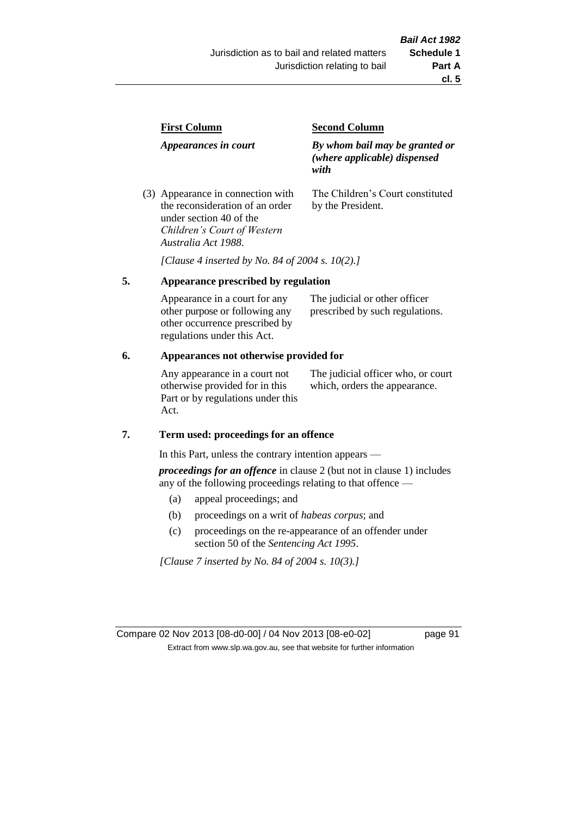| <b>First Column</b>                                                  | <b>Second Column</b>                                                   |  |
|----------------------------------------------------------------------|------------------------------------------------------------------------|--|
| Appearances in court                                                 | By whom bail may be granted or<br>(where applicable) dispensed<br>with |  |
| (3) Appearance in connection with<br>the reconsideration of an order | The Children's Court constituted<br>by the President.                  |  |

*[Clause 4 inserted by No. 84 of 2004 s. 10(2).]*

#### **5. Appearance prescribed by regulation**

under section 40 of the *Children's Court of Western* 

*Australia Act 1988*.

| Appearance in a court for any  | The judicial or other officer   |
|--------------------------------|---------------------------------|
| other purpose or following any | prescribed by such regulations. |
| other occurrence prescribed by |                                 |
| regulations under this Act.    |                                 |

### **6. Appearances not otherwise provided for**

Any appearance in a court not otherwise provided for in this Part or by regulations under this Act.

The judicial officer who, or court which, orders the appearance.

#### **7. Term used: proceedings for an offence**

In this Part, unless the contrary intention appears —

*proceedings for an offence* in clause 2 (but not in clause 1) includes any of the following proceedings relating to that offence —

- (a) appeal proceedings; and
- (b) proceedings on a writ of *habeas corpus*; and
- (c) proceedings on the re-appearance of an offender under section 50 of the *Sentencing Act 1995*.

*[Clause 7 inserted by No. 84 of 2004 s. 10(3).]*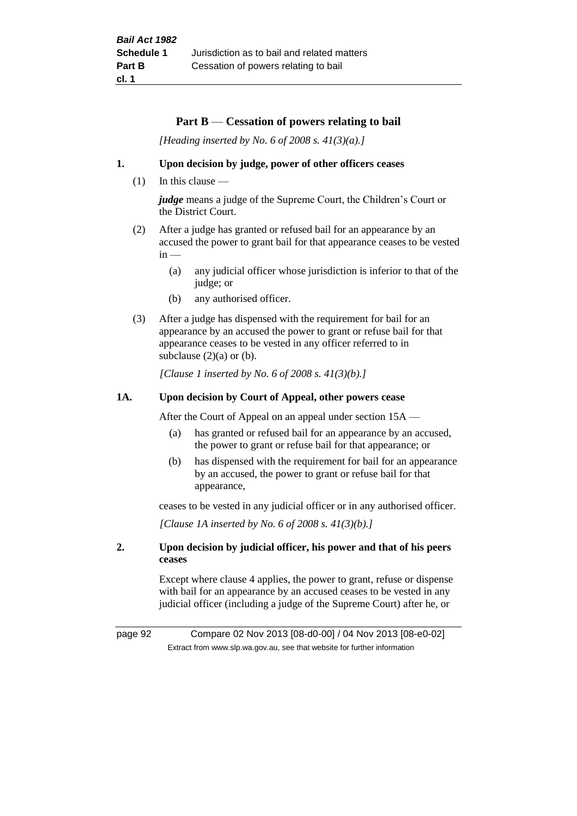#### **Part B** — **Cessation of powers relating to bail**

*[Heading inserted by No. 6 of 2008 s. 41(3)(a).]*

#### **1. Upon decision by judge, power of other officers ceases**

 $(1)$  In this clause —

*judge* means a judge of the Supreme Court, the Children's Court or the District Court.

- (2) After a judge has granted or refused bail for an appearance by an accused the power to grant bail for that appearance ceases to be vested  $in -$ 
	- (a) any judicial officer whose jurisdiction is inferior to that of the judge; or
	- (b) any authorised officer.
- (3) After a judge has dispensed with the requirement for bail for an appearance by an accused the power to grant or refuse bail for that appearance ceases to be vested in any officer referred to in subclause  $(2)(a)$  or  $(b)$ .

*[Clause 1 inserted by No. 6 of 2008 s. 41(3)(b).]*

#### **1A. Upon decision by Court of Appeal, other powers cease**

After the Court of Appeal on an appeal under section 15A —

- (a) has granted or refused bail for an appearance by an accused, the power to grant or refuse bail for that appearance; or
- (b) has dispensed with the requirement for bail for an appearance by an accused, the power to grant or refuse bail for that appearance,

ceases to be vested in any judicial officer or in any authorised officer.

*[Clause 1A inserted by No. 6 of 2008 s. 41(3)(b).]*

#### **2. Upon decision by judicial officer, his power and that of his peers ceases**

Except where clause 4 applies, the power to grant, refuse or dispense with bail for an appearance by an accused ceases to be vested in any judicial officer (including a judge of the Supreme Court) after he, or

page 92 Compare 02 Nov 2013 [08-d0-00] / 04 Nov 2013 [08-e0-02] Extract from www.slp.wa.gov.au, see that website for further information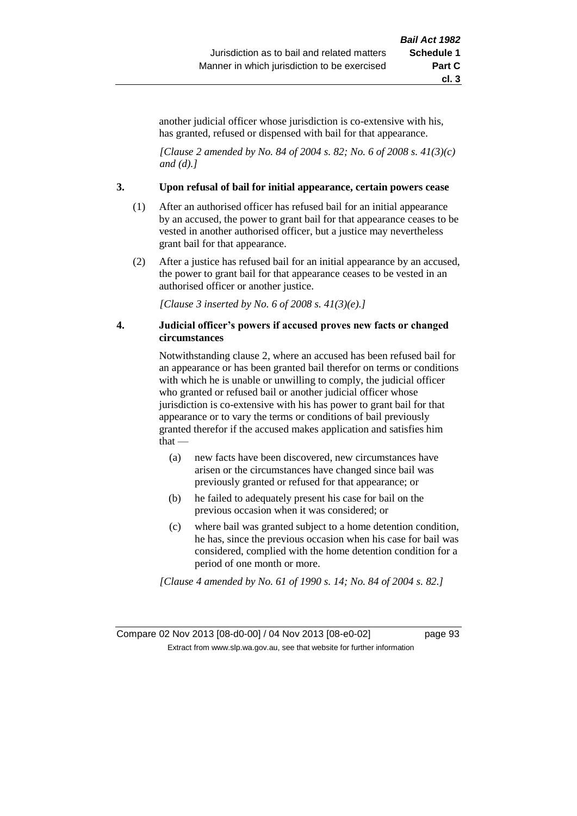another judicial officer whose jurisdiction is co-extensive with his, has granted, refused or dispensed with bail for that appearance.

*[Clause 2 amended by No. 84 of 2004 s. 82; No. 6 of 2008 s. 41(3)(c) and (d).]*

#### **3. Upon refusal of bail for initial appearance, certain powers cease**

- (1) After an authorised officer has refused bail for an initial appearance by an accused, the power to grant bail for that appearance ceases to be vested in another authorised officer, but a justice may nevertheless grant bail for that appearance.
- (2) After a justice has refused bail for an initial appearance by an accused, the power to grant bail for that appearance ceases to be vested in an authorised officer or another justice.

*[Clause 3 inserted by No. 6 of 2008 s. 41(3)(e).]*

#### **4. Judicial officer's powers if accused proves new facts or changed circumstances**

Notwithstanding clause 2, where an accused has been refused bail for an appearance or has been granted bail therefor on terms or conditions with which he is unable or unwilling to comply, the judicial officer who granted or refused bail or another judicial officer whose jurisdiction is co-extensive with his has power to grant bail for that appearance or to vary the terms or conditions of bail previously granted therefor if the accused makes application and satisfies him that —

- (a) new facts have been discovered, new circumstances have arisen or the circumstances have changed since bail was previously granted or refused for that appearance; or
- (b) he failed to adequately present his case for bail on the previous occasion when it was considered; or
- (c) where bail was granted subject to a home detention condition, he has, since the previous occasion when his case for bail was considered, complied with the home detention condition for a period of one month or more.

*[Clause 4 amended by No. 61 of 1990 s. 14; No. 84 of 2004 s. 82.]*

Compare 02 Nov 2013 [08-d0-00] / 04 Nov 2013 [08-e0-02] page 93 Extract from www.slp.wa.gov.au, see that website for further information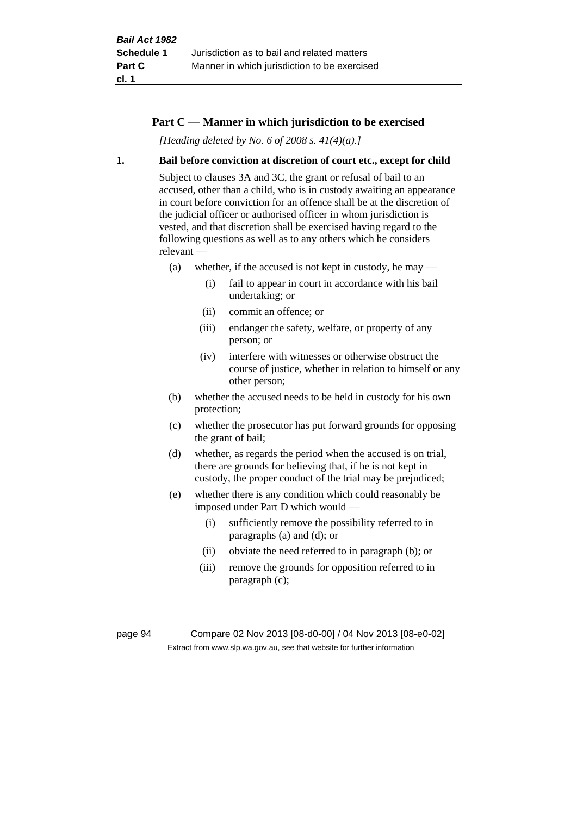### **Part C — Manner in which jurisdiction to be exercised**

*[Heading deleted by No. 6 of 2008 s. 41(4)(a).]*

#### **1. Bail before conviction at discretion of court etc., except for child**

Subject to clauses 3A and 3C, the grant or refusal of bail to an accused, other than a child, who is in custody awaiting an appearance in court before conviction for an offence shall be at the discretion of the judicial officer or authorised officer in whom jurisdiction is vested, and that discretion shall be exercised having regard to the following questions as well as to any others which he considers relevant —

- (a) whether, if the accused is not kept in custody, he may
	- (i) fail to appear in court in accordance with his bail undertaking; or
	- (ii) commit an offence; or
	- (iii) endanger the safety, welfare, or property of any person; or
	- (iv) interfere with witnesses or otherwise obstruct the course of justice, whether in relation to himself or any other person;
- (b) whether the accused needs to be held in custody for his own protection;
- (c) whether the prosecutor has put forward grounds for opposing the grant of bail;
- (d) whether, as regards the period when the accused is on trial, there are grounds for believing that, if he is not kept in custody, the proper conduct of the trial may be prejudiced;
- (e) whether there is any condition which could reasonably be imposed under Part D which would —
	- (i) sufficiently remove the possibility referred to in paragraphs (a) and (d); or
	- (ii) obviate the need referred to in paragraph (b); or
	- (iii) remove the grounds for opposition referred to in paragraph (c);

page 94 Compare 02 Nov 2013 [08-d0-00] / 04 Nov 2013 [08-e0-02] Extract from www.slp.wa.gov.au, see that website for further information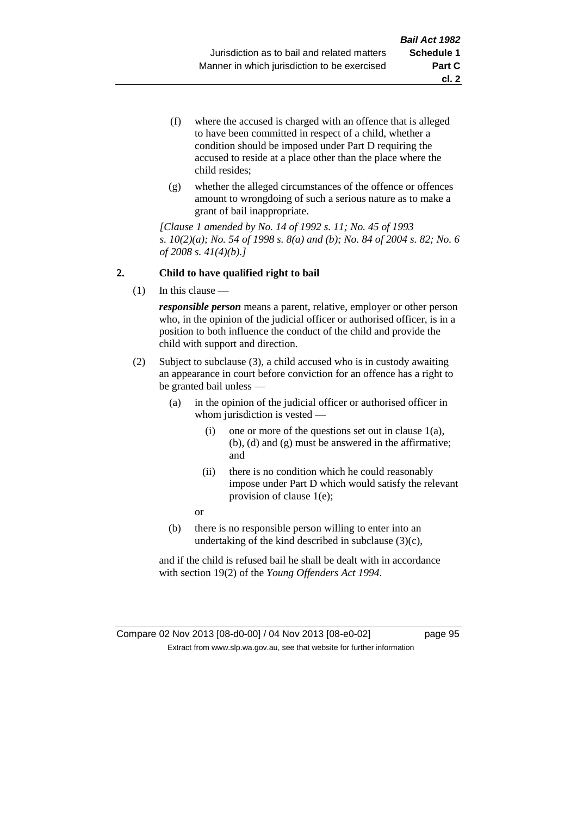- (f) where the accused is charged with an offence that is alleged to have been committed in respect of a child, whether a condition should be imposed under Part D requiring the accused to reside at a place other than the place where the child resides;
- (g) whether the alleged circumstances of the offence or offences amount to wrongdoing of such a serious nature as to make a grant of bail inappropriate.

*[Clause 1 amended by No. 14 of 1992 s. 11; No. 45 of 1993 s. 10(2)(a); No. 54 of 1998 s. 8(a) and (b); No. 84 of 2004 s. 82; No. 6 of 2008 s. 41(4)(b).]*

### **2. Child to have qualified right to bail**

(1) In this clause —

*responsible person* means a parent, relative, employer or other person who, in the opinion of the judicial officer or authorised officer, is in a position to both influence the conduct of the child and provide the child with support and direction.

- (2) Subject to subclause (3), a child accused who is in custody awaiting an appearance in court before conviction for an offence has a right to be granted bail unless —
	- (a) in the opinion of the judicial officer or authorised officer in whom jurisdiction is vested —
		- (i) one or more of the questions set out in clause 1(a), (b), (d) and (g) must be answered in the affirmative; and
		- (ii) there is no condition which he could reasonably impose under Part D which would satisfy the relevant provision of clause 1(e);
		- or
	- (b) there is no responsible person willing to enter into an undertaking of the kind described in subclause (3)(c),

and if the child is refused bail he shall be dealt with in accordance with section 19(2) of the *Young Offenders Act 1994*.

### Compare 02 Nov 2013 [08-d0-00] / 04 Nov 2013 [08-e0-02] page 95 Extract from www.slp.wa.gov.au, see that website for further information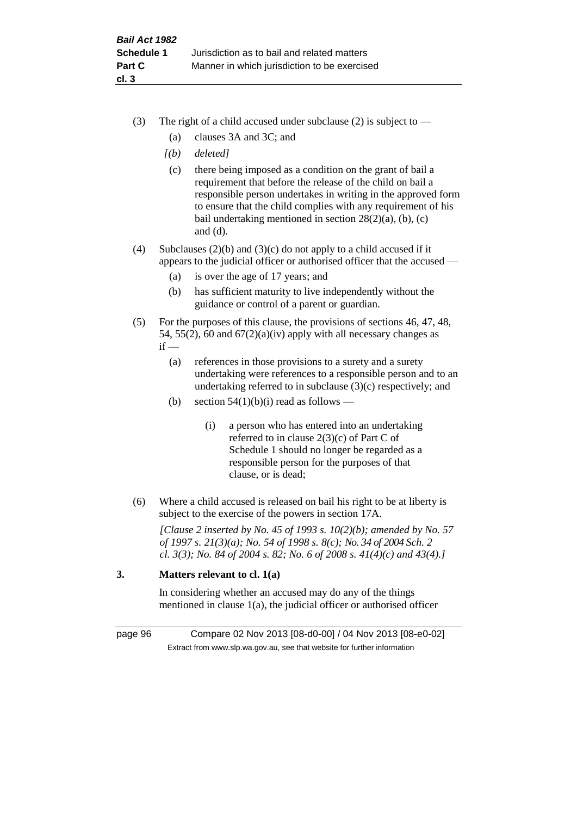- (3) The right of a child accused under subclause (2) is subject to  $-$ 
	- (a) clauses 3A and 3C; and
	- *[(b) deleted]*
	- (c) there being imposed as a condition on the grant of bail a requirement that before the release of the child on bail a responsible person undertakes in writing in the approved form to ensure that the child complies with any requirement of his bail undertaking mentioned in section 28(2)(a), (b), (c) and (d).
- (4) Subclauses (2)(b) and (3)(c) do not apply to a child accused if it appears to the judicial officer or authorised officer that the accused —
	- (a) is over the age of 17 years; and
	- (b) has sufficient maturity to live independently without the guidance or control of a parent or guardian.
- (5) For the purposes of this clause, the provisions of sections 46, 47, 48, 54, 55(2), 60 and  $67(2)(a)(iv)$  apply with all necessary changes as  $if -$ 
	- (a) references in those provisions to a surety and a surety undertaking were references to a responsible person and to an undertaking referred to in subclause (3)(c) respectively; and
	- (b) section  $54(1)(b)(i)$  read as follows
		- (i) a person who has entered into an undertaking referred to in clause 2(3)(c) of Part C of Schedule 1 should no longer be regarded as a responsible person for the purposes of that clause, or is dead;
- (6) Where a child accused is released on bail his right to be at liberty is subject to the exercise of the powers in section 17A.

*[Clause 2 inserted by No. 45 of 1993 s. 10(2)(b); amended by No. 57 of 1997 s. 21(3)(a); No. 54 of 1998 s. 8(c); No. 34 of 2004 Sch. 2 cl. 3(3); No. 84 of 2004 s. 82; No. 6 of 2008 s. 41(4)(c) and 43(4).]*

# **3. Matters relevant to cl. 1(a)**

In considering whether an accused may do any of the things mentioned in clause 1(a), the judicial officer or authorised officer

page 96 Compare 02 Nov 2013 [08-d0-00] / 04 Nov 2013 [08-e0-02] Extract from www.slp.wa.gov.au, see that website for further information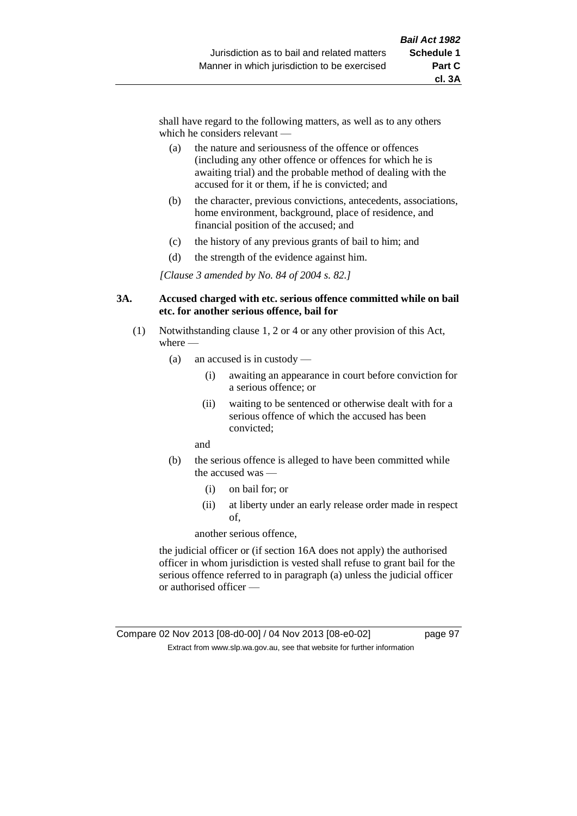shall have regard to the following matters, as well as to any others which he considers relevant —

- (a) the nature and seriousness of the offence or offences (including any other offence or offences for which he is awaiting trial) and the probable method of dealing with the accused for it or them, if he is convicted; and
- (b) the character, previous convictions, antecedents, associations, home environment, background, place of residence, and financial position of the accused; and
- (c) the history of any previous grants of bail to him; and
- (d) the strength of the evidence against him.

*[Clause 3 amended by No. 84 of 2004 s. 82.]*

#### **3A. Accused charged with etc. serious offence committed while on bail etc. for another serious offence, bail for**

- (1) Notwithstanding clause 1, 2 or 4 or any other provision of this Act, where —
	- (a) an accused is in custody
		- (i) awaiting an appearance in court before conviction for a serious offence; or
		- (ii) waiting to be sentenced or otherwise dealt with for a serious offence of which the accused has been convicted;

and

- (b) the serious offence is alleged to have been committed while the accused was —
	- (i) on bail for; or
	- (ii) at liberty under an early release order made in respect of,

another serious offence,

the judicial officer or (if section 16A does not apply) the authorised officer in whom jurisdiction is vested shall refuse to grant bail for the serious offence referred to in paragraph (a) unless the judicial officer or authorised officer —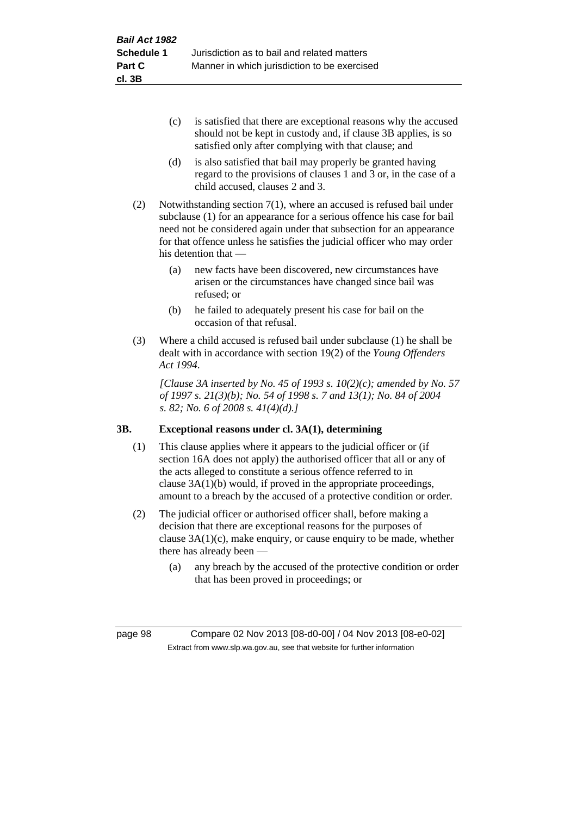- (c) is satisfied that there are exceptional reasons why the accused should not be kept in custody and, if clause 3B applies, is so satisfied only after complying with that clause; and
- (d) is also satisfied that bail may properly be granted having regard to the provisions of clauses 1 and 3 or, in the case of a child accused, clauses 2 and 3.
- (2) Notwithstanding section 7(1), where an accused is refused bail under subclause (1) for an appearance for a serious offence his case for bail need not be considered again under that subsection for an appearance for that offence unless he satisfies the judicial officer who may order his detention that —
	- (a) new facts have been discovered, new circumstances have arisen or the circumstances have changed since bail was refused; or
	- (b) he failed to adequately present his case for bail on the occasion of that refusal.
- (3) Where a child accused is refused bail under subclause (1) he shall be dealt with in accordance with section 19(2) of the *Young Offenders Act 1994*.

*[Clause 3A inserted by No. 45 of 1993 s. 10(2)(c); amended by No. 57 of 1997 s. 21(3)(b); No. 54 of 1998 s. 7 and 13(1); No. 84 of 2004 s. 82; No. 6 of 2008 s. 41(4)(d).]*

# **3B. Exceptional reasons under cl. 3A(1), determining**

- (1) This clause applies where it appears to the judicial officer or (if section 16A does not apply) the authorised officer that all or any of the acts alleged to constitute a serious offence referred to in clause 3A(1)(b) would, if proved in the appropriate proceedings, amount to a breach by the accused of a protective condition or order.
- (2) The judicial officer or authorised officer shall, before making a decision that there are exceptional reasons for the purposes of clause  $3A(1)(c)$ , make enquiry, or cause enquiry to be made, whether there has already been —
	- (a) any breach by the accused of the protective condition or order that has been proved in proceedings; or

page 98 Compare 02 Nov 2013 [08-d0-00] / 04 Nov 2013 [08-e0-02] Extract from www.slp.wa.gov.au, see that website for further information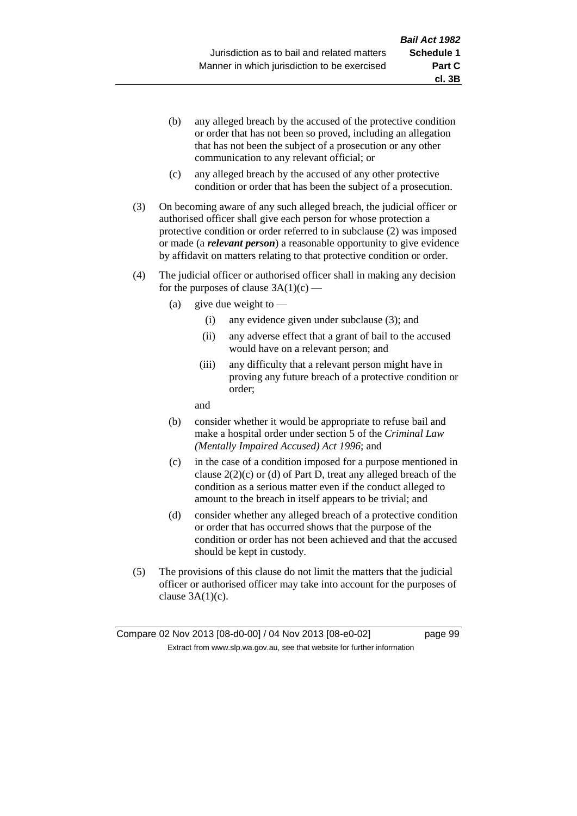- (b) any alleged breach by the accused of the protective condition or order that has not been so proved, including an allegation that has not been the subject of a prosecution or any other communication to any relevant official; or
- (c) any alleged breach by the accused of any other protective condition or order that has been the subject of a prosecution.
- (3) On becoming aware of any such alleged breach, the judicial officer or authorised officer shall give each person for whose protection a protective condition or order referred to in subclause (2) was imposed or made (a *relevant person*) a reasonable opportunity to give evidence by affidavit on matters relating to that protective condition or order.
- (4) The judicial officer or authorised officer shall in making any decision for the purposes of clause  $3A(1)(c)$  —
	- (a) give due weight to  $-$ 
		- (i) any evidence given under subclause (3); and
		- (ii) any adverse effect that a grant of bail to the accused would have on a relevant person; and
		- (iii) any difficulty that a relevant person might have in proving any future breach of a protective condition or order;

and

- (b) consider whether it would be appropriate to refuse bail and make a hospital order under section 5 of the *Criminal Law (Mentally Impaired Accused) Act 1996*; and
- (c) in the case of a condition imposed for a purpose mentioned in clause 2(2)(c) or (d) of Part D, treat any alleged breach of the condition as a serious matter even if the conduct alleged to amount to the breach in itself appears to be trivial; and
- (d) consider whether any alleged breach of a protective condition or order that has occurred shows that the purpose of the condition or order has not been achieved and that the accused should be kept in custody.
- (5) The provisions of this clause do not limit the matters that the judicial officer or authorised officer may take into account for the purposes of clause  $3A(1)(c)$ .

**cl. 3B**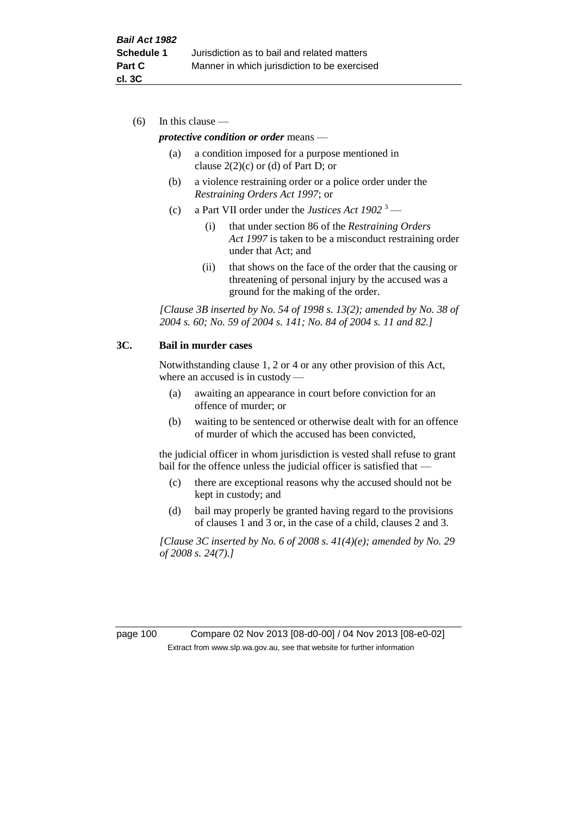(6) In this clause —

#### *protective condition or order* means —

- (a) a condition imposed for a purpose mentioned in clause  $2(2)(c)$  or (d) of Part D; or
- (b) a violence restraining order or a police order under the *Restraining Orders Act 1997*; or
- (c) a Part VII order under the *Justices Act 1902* <sup>3</sup>
	- (i) that under section 86 of the *Restraining Orders Act 1997* is taken to be a misconduct restraining order under that Act; and
	- (ii) that shows on the face of the order that the causing or threatening of personal injury by the accused was a ground for the making of the order.

*[Clause 3B inserted by No. 54 of 1998 s. 13(2); amended by No. 38 of 2004 s. 60; No. 59 of 2004 s. 141; No. 84 of 2004 s. 11 and 82.]*

#### **3C. Bail in murder cases**

Notwithstanding clause 1, 2 or 4 or any other provision of this Act, where an accused is in custody —

- (a) awaiting an appearance in court before conviction for an offence of murder; or
- (b) waiting to be sentenced or otherwise dealt with for an offence of murder of which the accused has been convicted,

the judicial officer in whom jurisdiction is vested shall refuse to grant bail for the offence unless the judicial officer is satisfied that -

- (c) there are exceptional reasons why the accused should not be kept in custody; and
- (d) bail may properly be granted having regard to the provisions of clauses 1 and 3 or, in the case of a child, clauses 2 and 3.

*[Clause 3C inserted by No. 6 of 2008 s. 41(4)(e); amended by No. 29 of 2008 s. 24(7).]*

page 100 Compare 02 Nov 2013 [08-d0-00] / 04 Nov 2013 [08-e0-02] Extract from www.slp.wa.gov.au, see that website for further information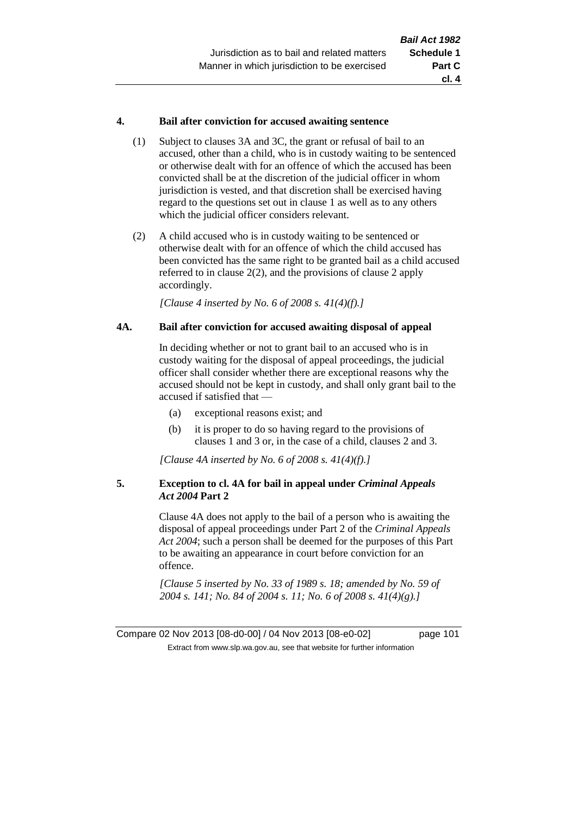#### **4. Bail after conviction for accused awaiting sentence**

- (1) Subject to clauses 3A and 3C, the grant or refusal of bail to an accused, other than a child, who is in custody waiting to be sentenced or otherwise dealt with for an offence of which the accused has been convicted shall be at the discretion of the judicial officer in whom jurisdiction is vested, and that discretion shall be exercised having regard to the questions set out in clause 1 as well as to any others which the judicial officer considers relevant.
- (2) A child accused who is in custody waiting to be sentenced or otherwise dealt with for an offence of which the child accused has been convicted has the same right to be granted bail as a child accused referred to in clause 2(2), and the provisions of clause 2 apply accordingly.

*[Clause 4 inserted by No. 6 of 2008 s. 41(4)(f).]*

### **4A. Bail after conviction for accused awaiting disposal of appeal**

In deciding whether or not to grant bail to an accused who is in custody waiting for the disposal of appeal proceedings, the judicial officer shall consider whether there are exceptional reasons why the accused should not be kept in custody, and shall only grant bail to the accused if satisfied that —

- (a) exceptional reasons exist; and
- (b) it is proper to do so having regard to the provisions of clauses 1 and 3 or, in the case of a child, clauses 2 and 3.

*[Clause 4A inserted by No. 6 of 2008 s. 41(4)(f).]*

### **5. Exception to cl. 4A for bail in appeal under** *Criminal Appeals Act 2004* **Part 2**

Clause 4A does not apply to the bail of a person who is awaiting the disposal of appeal proceedings under Part 2 of the *Criminal Appeals Act 2004*; such a person shall be deemed for the purposes of this Part to be awaiting an appearance in court before conviction for an offence.

*[Clause 5 inserted by No. 33 of 1989 s. 18; amended by No. 59 of 2004 s. 141; No. 84 of 2004 s. 11; No. 6 of 2008 s. 41(4)(g).]*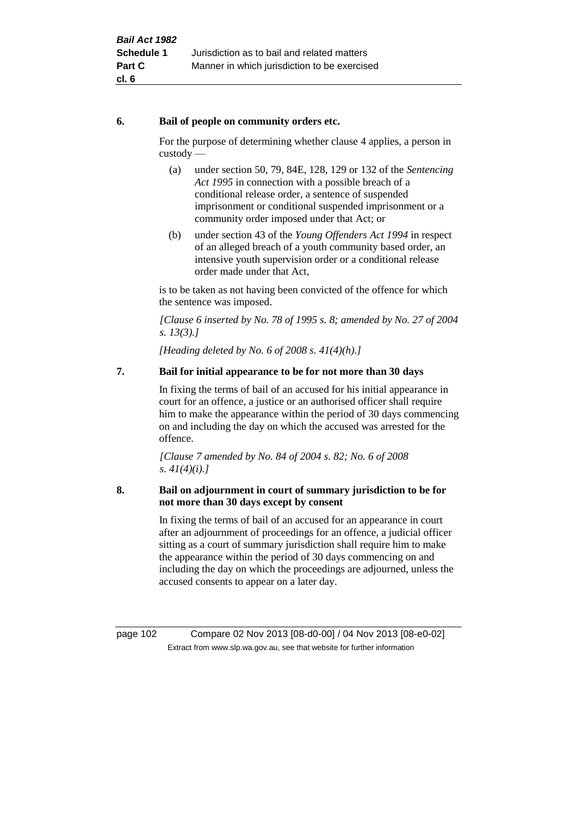### **6. Bail of people on community orders etc.**

For the purpose of determining whether clause 4 applies, a person in custody —

- (a) under section 50, 79, 84E, 128, 129 or 132 of the *Sentencing Act 1995* in connection with a possible breach of a conditional release order, a sentence of suspended imprisonment or conditional suspended imprisonment or a community order imposed under that Act; or
- (b) under section 43 of the *Young Offenders Act 1994* in respect of an alleged breach of a youth community based order, an intensive youth supervision order or a conditional release order made under that Act,

is to be taken as not having been convicted of the offence for which the sentence was imposed.

*[Clause 6 inserted by No. 78 of 1995 s. 8; amended by No. 27 of 2004 s. 13(3).]*

*[Heading deleted by No. 6 of 2008 s. 41(4)(h).]*

# **7. Bail for initial appearance to be for not more than 30 days**

In fixing the terms of bail of an accused for his initial appearance in court for an offence, a justice or an authorised officer shall require him to make the appearance within the period of 30 days commencing on and including the day on which the accused was arrested for the offence.

*[Clause 7 amended by No. 84 of 2004 s. 82; No. 6 of 2008 s. 41(4)(i).]*

### **8. Bail on adjournment in court of summary jurisdiction to be for not more than 30 days except by consent**

In fixing the terms of bail of an accused for an appearance in court after an adjournment of proceedings for an offence, a judicial officer sitting as a court of summary jurisdiction shall require him to make the appearance within the period of 30 days commencing on and including the day on which the proceedings are adjourned, unless the accused consents to appear on a later day.

page 102 Compare 02 Nov 2013 [08-d0-00] / 04 Nov 2013 [08-e0-02] Extract from www.slp.wa.gov.au, see that website for further information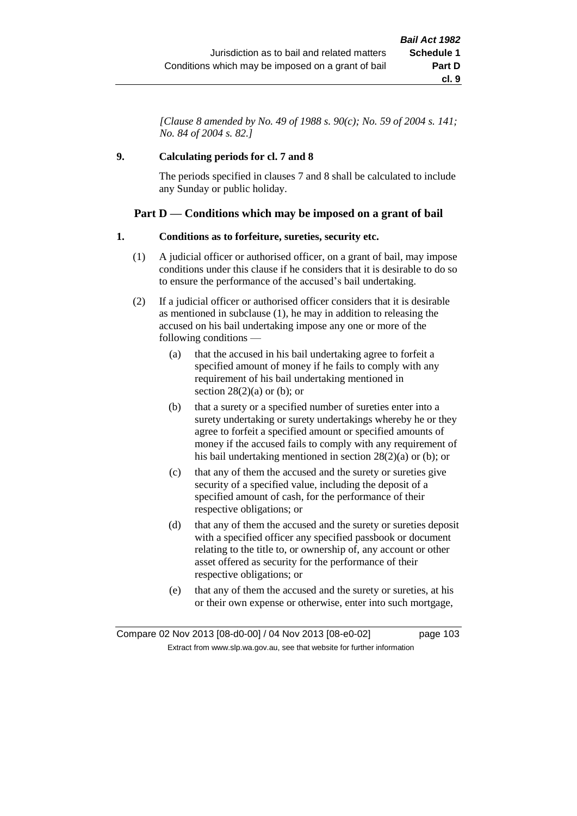*[Clause 8 amended by No. 49 of 1988 s. 90(c); No. 59 of 2004 s. 141; No. 84 of 2004 s. 82.]*

### **9. Calculating periods for cl. 7 and 8**

The periods specified in clauses 7 and 8 shall be calculated to include any Sunday or public holiday.

# **Part D — Conditions which may be imposed on a grant of bail**

### **1. Conditions as to forfeiture, sureties, security etc.**

- (1) A judicial officer or authorised officer, on a grant of bail, may impose conditions under this clause if he considers that it is desirable to do so to ensure the performance of the accused's bail undertaking.
- (2) If a judicial officer or authorised officer considers that it is desirable as mentioned in subclause (1), he may in addition to releasing the accused on his bail undertaking impose any one or more of the following conditions —
	- (a) that the accused in his bail undertaking agree to forfeit a specified amount of money if he fails to comply with any requirement of his bail undertaking mentioned in section  $28(2)(a)$  or (b); or
	- (b) that a surety or a specified number of sureties enter into a surety undertaking or surety undertakings whereby he or they agree to forfeit a specified amount or specified amounts of money if the accused fails to comply with any requirement of his bail undertaking mentioned in section 28(2)(a) or (b); or
	- (c) that any of them the accused and the surety or sureties give security of a specified value, including the deposit of a specified amount of cash, for the performance of their respective obligations; or
	- (d) that any of them the accused and the surety or sureties deposit with a specified officer any specified passbook or document relating to the title to, or ownership of, any account or other asset offered as security for the performance of their respective obligations; or
	- (e) that any of them the accused and the surety or sureties, at his or their own expense or otherwise, enter into such mortgage,

Compare 02 Nov 2013 [08-d0-00] / 04 Nov 2013 [08-e0-02] page 103 Extract from www.slp.wa.gov.au, see that website for further information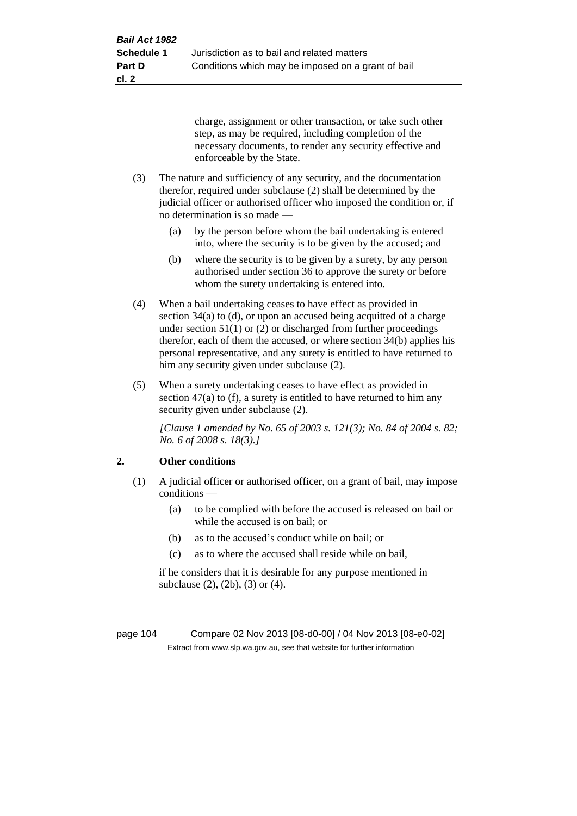charge, assignment or other transaction, or take such other step, as may be required, including completion of the necessary documents, to render any security effective and enforceable by the State.

- (3) The nature and sufficiency of any security, and the documentation therefor, required under subclause (2) shall be determined by the judicial officer or authorised officer who imposed the condition or, if no determination is so made —
	- (a) by the person before whom the bail undertaking is entered into, where the security is to be given by the accused; and
	- (b) where the security is to be given by a surety, by any person authorised under section 36 to approve the surety or before whom the surety undertaking is entered into.
- (4) When a bail undertaking ceases to have effect as provided in section 34(a) to (d), or upon an accused being acquitted of a charge under section  $51(1)$  or (2) or discharged from further proceedings therefor, each of them the accused, or where section 34(b) applies his personal representative, and any surety is entitled to have returned to him any security given under subclause (2).
- (5) When a surety undertaking ceases to have effect as provided in section 47(a) to (f), a surety is entitled to have returned to him any security given under subclause (2).

*[Clause 1 amended by No. 65 of 2003 s. 121(3); No. 84 of 2004 s. 82; No. 6 of 2008 s. 18(3).]*

# **2. Other conditions**

- (1) A judicial officer or authorised officer, on a grant of bail, may impose conditions —
	- (a) to be complied with before the accused is released on bail or while the accused is on bail; or
	- (b) as to the accused's conduct while on bail; or
	- (c) as to where the accused shall reside while on bail,

if he considers that it is desirable for any purpose mentioned in subclause (2), (2b), (3) or (4).

page 104 Compare 02 Nov 2013 [08-d0-00] / 04 Nov 2013 [08-e0-02] Extract from www.slp.wa.gov.au, see that website for further information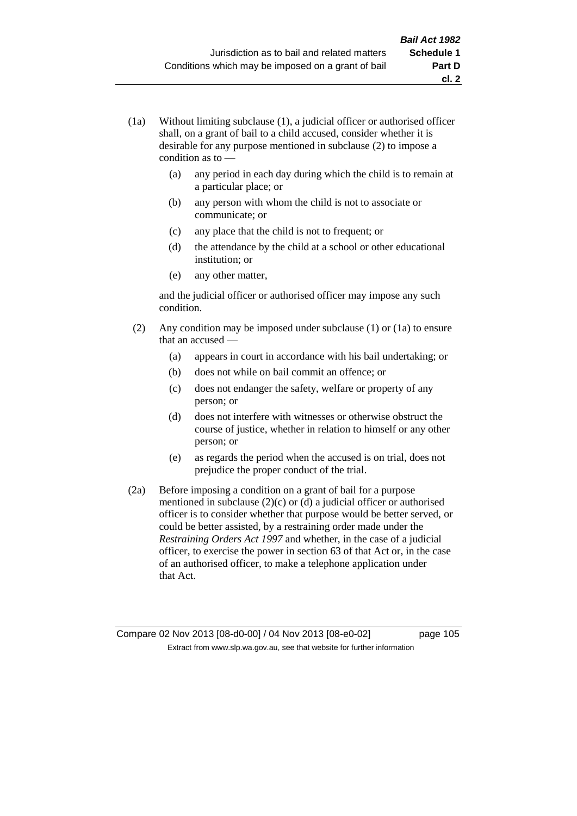- (1a) Without limiting subclause (1), a judicial officer or authorised officer shall, on a grant of bail to a child accused, consider whether it is desirable for any purpose mentioned in subclause (2) to impose a condition as to —
	- (a) any period in each day during which the child is to remain at a particular place; or
	- (b) any person with whom the child is not to associate or communicate; or
	- (c) any place that the child is not to frequent; or
	- (d) the attendance by the child at a school or other educational institution; or
	- (e) any other matter,

and the judicial officer or authorised officer may impose any such condition.

- (2) Any condition may be imposed under subclause (1) or (1a) to ensure that an accused —
	- (a) appears in court in accordance with his bail undertaking; or
	- (b) does not while on bail commit an offence; or
	- (c) does not endanger the safety, welfare or property of any person; or
	- (d) does not interfere with witnesses or otherwise obstruct the course of justice, whether in relation to himself or any other person; or
	- (e) as regards the period when the accused is on trial, does not prejudice the proper conduct of the trial.
- (2a) Before imposing a condition on a grant of bail for a purpose mentioned in subclause (2)(c) or (d) a judicial officer or authorised officer is to consider whether that purpose would be better served, or could be better assisted, by a restraining order made under the *Restraining Orders Act 1997* and whether, in the case of a judicial officer, to exercise the power in section 63 of that Act or, in the case of an authorised officer, to make a telephone application under that Act.

Compare 02 Nov 2013 [08-d0-00] / 04 Nov 2013 [08-e0-02] page 105 Extract from www.slp.wa.gov.au, see that website for further information

**cl. 2**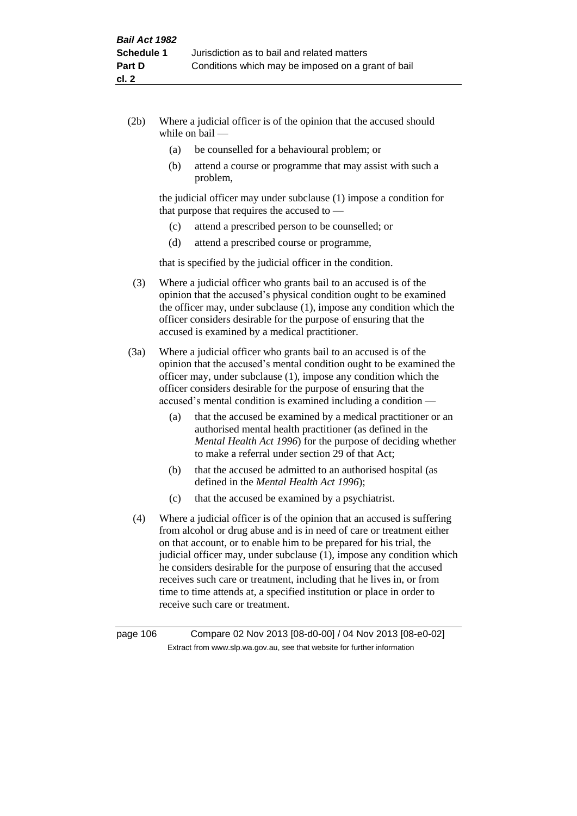- (2b) Where a judicial officer is of the opinion that the accused should while on bail —
	- (a) be counselled for a behavioural problem; or
	- (b) attend a course or programme that may assist with such a problem,

the judicial officer may under subclause (1) impose a condition for that purpose that requires the accused to —

- (c) attend a prescribed person to be counselled; or
- (d) attend a prescribed course or programme,

that is specified by the judicial officer in the condition.

- (3) Where a judicial officer who grants bail to an accused is of the opinion that the accused's physical condition ought to be examined the officer may, under subclause (1), impose any condition which the officer considers desirable for the purpose of ensuring that the accused is examined by a medical practitioner.
- (3a) Where a judicial officer who grants bail to an accused is of the opinion that the accused's mental condition ought to be examined the officer may, under subclause (1), impose any condition which the officer considers desirable for the purpose of ensuring that the accused's mental condition is examined including a condition —
	- (a) that the accused be examined by a medical practitioner or an authorised mental health practitioner (as defined in the *Mental Health Act 1996*) for the purpose of deciding whether to make a referral under section 29 of that Act;
	- (b) that the accused be admitted to an authorised hospital (as defined in the *Mental Health Act 1996*);
	- (c) that the accused be examined by a psychiatrist.
- (4) Where a judicial officer is of the opinion that an accused is suffering from alcohol or drug abuse and is in need of care or treatment either on that account, or to enable him to be prepared for his trial, the judicial officer may, under subclause (1), impose any condition which he considers desirable for the purpose of ensuring that the accused receives such care or treatment, including that he lives in, or from time to time attends at, a specified institution or place in order to receive such care or treatment.

page 106 Compare 02 Nov 2013 [08-d0-00] / 04 Nov 2013 [08-e0-02] Extract from www.slp.wa.gov.au, see that website for further information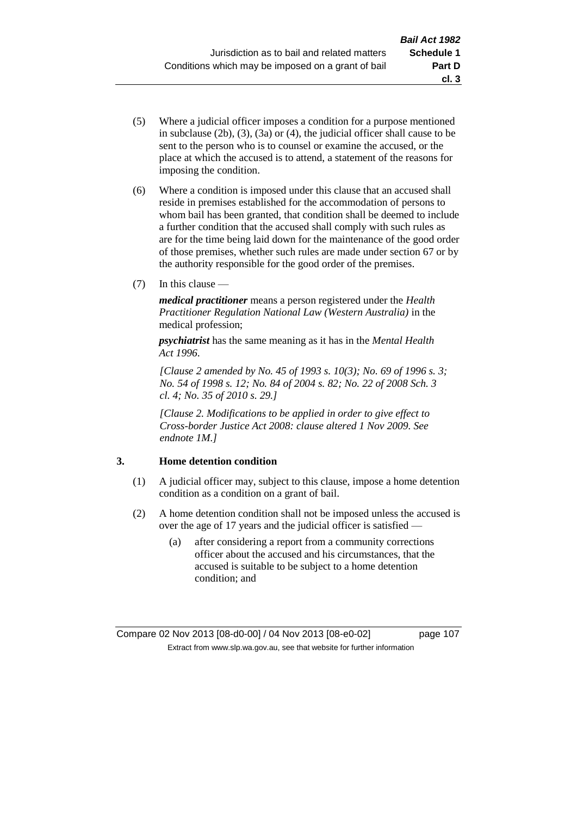- (5) Where a judicial officer imposes a condition for a purpose mentioned in subclause (2b), (3), (3a) or (4), the judicial officer shall cause to be sent to the person who is to counsel or examine the accused, or the place at which the accused is to attend, a statement of the reasons for imposing the condition.
- (6) Where a condition is imposed under this clause that an accused shall reside in premises established for the accommodation of persons to whom bail has been granted, that condition shall be deemed to include a further condition that the accused shall comply with such rules as are for the time being laid down for the maintenance of the good order of those premises, whether such rules are made under section 67 or by the authority responsible for the good order of the premises.
- (7) In this clause —

*medical practitioner* means a person registered under the *Health Practitioner Regulation National Law (Western Australia)* in the medical profession;

*psychiatrist* has the same meaning as it has in the *Mental Health Act 1996*.

*[Clause 2 amended by No. 45 of 1993 s. 10(3); No. 69 of 1996 s. 3; No. 54 of 1998 s. 12; No. 84 of 2004 s. 82; No. 22 of 2008 Sch. 3 cl. 4; No. 35 of 2010 s. 29.]*

*[Clause 2. Modifications to be applied in order to give effect to Cross-border Justice Act 2008: clause altered 1 Nov 2009. See endnote 1M.]*

### **3. Home detention condition**

- (1) A judicial officer may, subject to this clause, impose a home detention condition as a condition on a grant of bail.
- (2) A home detention condition shall not be imposed unless the accused is over the age of 17 years and the judicial officer is satisfied —
	- (a) after considering a report from a community corrections officer about the accused and his circumstances, that the accused is suitable to be subject to a home detention condition; and

**cl. 3**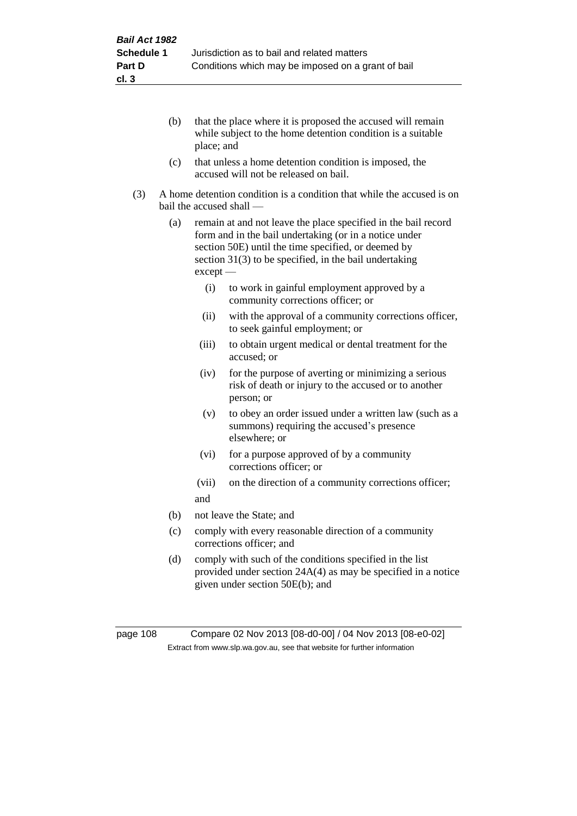- (b) that the place where it is proposed the accused will remain while subject to the home detention condition is a suitable place; and
- (c) that unless a home detention condition is imposed, the accused will not be released on bail.
- (3) A home detention condition is a condition that while the accused is on bail the accused shall —
	- (a) remain at and not leave the place specified in the bail record form and in the bail undertaking (or in a notice under section 50E) until the time specified, or deemed by section 31(3) to be specified, in the bail undertaking except —
		- (i) to work in gainful employment approved by a community corrections officer; or
		- (ii) with the approval of a community corrections officer, to seek gainful employment; or
		- (iii) to obtain urgent medical or dental treatment for the accused; or
		- (iv) for the purpose of averting or minimizing a serious risk of death or injury to the accused or to another person; or
		- (v) to obey an order issued under a written law (such as a summons) requiring the accused's presence elsewhere; or
		- (vi) for a purpose approved of by a community corrections officer; or
		- (vii) on the direction of a community corrections officer; and
	- (b) not leave the State; and
	- (c) comply with every reasonable direction of a community corrections officer; and
	- (d) comply with such of the conditions specified in the list provided under section 24A(4) as may be specified in a notice given under section 50E(b); and

page 108 Compare 02 Nov 2013 [08-d0-00] / 04 Nov 2013 [08-e0-02] Extract from www.slp.wa.gov.au, see that website for further information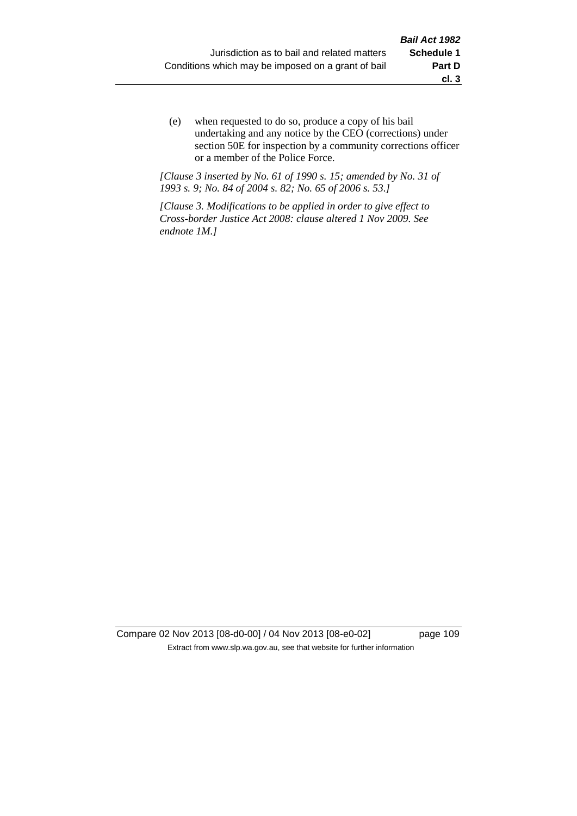(e) when requested to do so, produce a copy of his bail undertaking and any notice by the CEO (corrections) under section 50E for inspection by a community corrections officer or a member of the Police Force.

*[Clause 3 inserted by No. 61 of 1990 s. 15; amended by No. 31 of 1993 s. 9; No. 84 of 2004 s. 82; No. 65 of 2006 s. 53.]*

*[Clause 3. Modifications to be applied in order to give effect to Cross-border Justice Act 2008: clause altered 1 Nov 2009. See endnote 1M.]*

Compare 02 Nov 2013 [08-d0-00] / 04 Nov 2013 [08-e0-02] page 109 Extract from www.slp.wa.gov.au, see that website for further information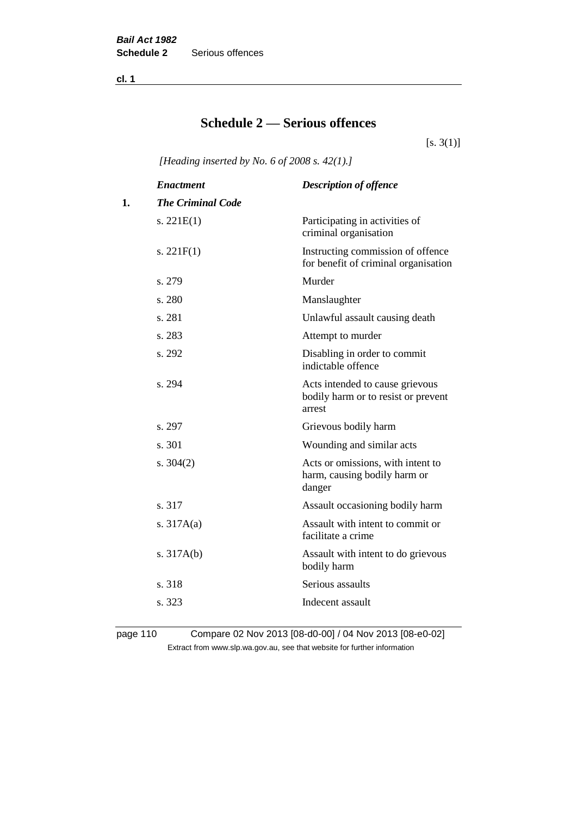**cl. 1**

# **Schedule 2 — Serious offences**

 $[s. 3(1)]$ 

*[Heading inserted by No. 6 of 2008 s. 42(1).]*

|    | <b>Enactment</b>         | <b>Description of offence</b>                                                    |
|----|--------------------------|----------------------------------------------------------------------------------|
| 1. | <b>The Criminal Code</b> |                                                                                  |
|    | s. $221E(1)$             | Participating in activities of<br>criminal organisation                          |
|    | s. $221F(1)$             | Instructing commission of offence<br>for benefit of criminal organisation        |
|    | s. 279                   | Murder                                                                           |
|    | s. 280                   | Manslaughter                                                                     |
|    | s. 281                   | Unlawful assault causing death                                                   |
|    | s. 283                   | Attempt to murder                                                                |
|    | s. 292                   | Disabling in order to commit<br>indictable offence                               |
|    | s. 294                   | Acts intended to cause grievous<br>bodily harm or to resist or prevent<br>arrest |
|    | s. 297                   | Grievous bodily harm                                                             |
|    | s. 301                   | Wounding and similar acts                                                        |
|    | s. $304(2)$              | Acts or omissions, with intent to<br>harm, causing bodily harm or<br>danger      |
|    | s. 317                   | Assault occasioning bodily harm                                                  |
|    | s. $317A(a)$             | Assault with intent to commit or<br>facilitate a crime                           |
|    | s. $317A(b)$             | Assault with intent to do grievous<br>bodily harm                                |
|    | s. 318                   | Serious assaults                                                                 |
|    | s. 323                   | Indecent assault                                                                 |
|    |                          |                                                                                  |

page 110 Compare 02 Nov 2013 [08-d0-00] / 04 Nov 2013 [08-e0-02] Extract from www.slp.wa.gov.au, see that website for further information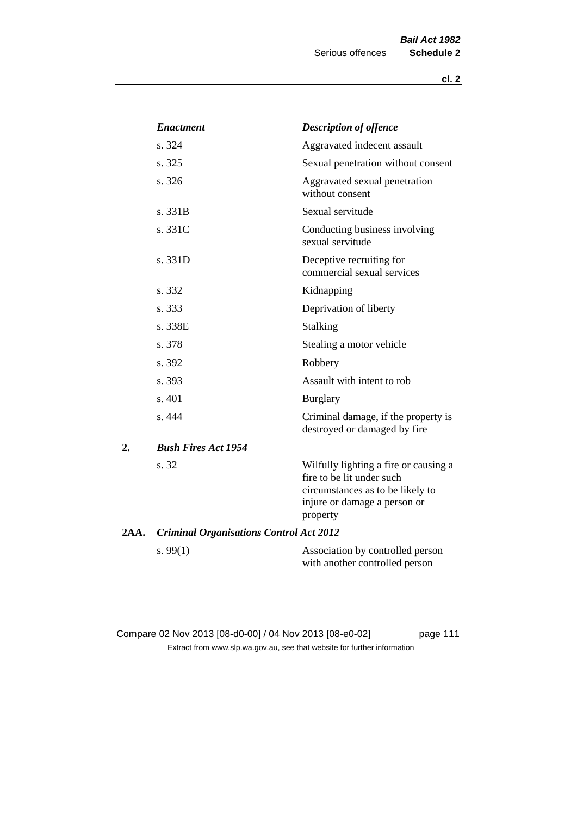|      | <b>Enactment</b>                               | <b>Description of offence</b>                                                                                                                      |
|------|------------------------------------------------|----------------------------------------------------------------------------------------------------------------------------------------------------|
|      | s. 324                                         | Aggravated indecent assault                                                                                                                        |
|      | s. 325                                         | Sexual penetration without consent                                                                                                                 |
|      | s. 326                                         | Aggravated sexual penetration<br>without consent                                                                                                   |
|      | s. 331B                                        | Sexual servitude                                                                                                                                   |
|      | s. 331C                                        | Conducting business involving<br>sexual servitude                                                                                                  |
|      | s. 331D                                        | Deceptive recruiting for<br>commercial sexual services                                                                                             |
|      | s. 332                                         | Kidnapping                                                                                                                                         |
|      | s. 333                                         | Deprivation of liberty                                                                                                                             |
|      | s. 338E                                        | <b>Stalking</b>                                                                                                                                    |
|      | s. 378                                         | Stealing a motor vehicle                                                                                                                           |
|      | s. 392                                         | Robbery                                                                                                                                            |
|      | s. 393                                         | Assault with intent to rob                                                                                                                         |
|      | s. 401                                         | <b>Burglary</b>                                                                                                                                    |
|      | s. 444                                         | Criminal damage, if the property is<br>destroyed or damaged by fire                                                                                |
| 2.   | <b>Bush Fires Act 1954</b>                     |                                                                                                                                                    |
|      | s. 32                                          | Wilfully lighting a fire or causing a<br>fire to be lit under such<br>circumstances as to be likely to<br>injure or damage a person or<br>property |
| 2AA. | <b>Criminal Organisations Control Act 2012</b> |                                                                                                                                                    |
|      | s. $99(1)$                                     | Association by controlled person<br>with another controlled person                                                                                 |

Compare 02 Nov 2013 [08-d0-00] / 04 Nov 2013 [08-e0-02] page 111 Extract from www.slp.wa.gov.au, see that website for further information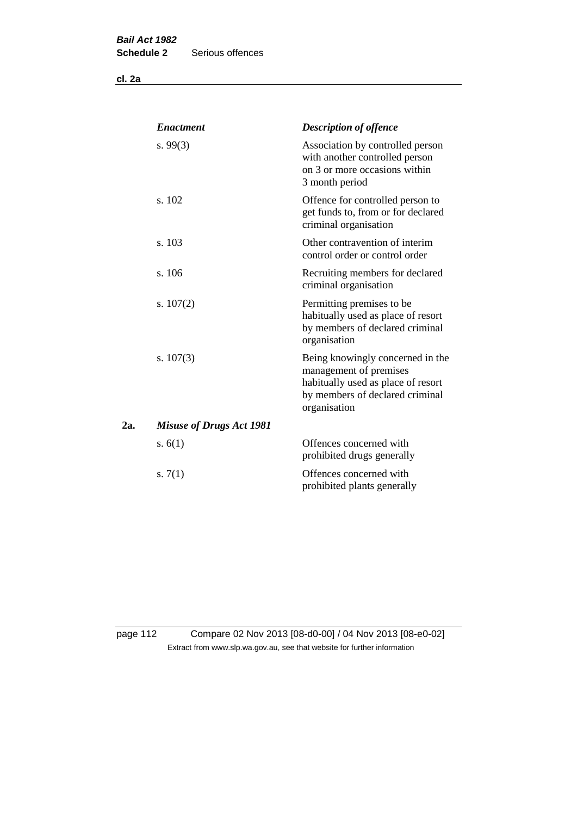**cl. 2a**

|     | <b>Enactment</b>                | <b>Description of offence</b>                                                                                                                       |
|-----|---------------------------------|-----------------------------------------------------------------------------------------------------------------------------------------------------|
|     | s.99(3)                         | Association by controlled person<br>with another controlled person<br>on 3 or more occasions within<br>3 month period                               |
|     | s. 102                          | Offence for controlled person to<br>get funds to, from or for declared<br>criminal organisation                                                     |
|     | s. 103                          | Other contravention of interim<br>control order or control order                                                                                    |
|     | s. 106                          | Recruiting members for declared<br>criminal organisation                                                                                            |
|     | s. $107(2)$                     | Permitting premises to be<br>habitually used as place of resort<br>by members of declared criminal<br>organisation                                  |
|     | s. $107(3)$                     | Being knowingly concerned in the<br>management of premises<br>habitually used as place of resort<br>by members of declared criminal<br>organisation |
| 2a. | <b>Misuse of Drugs Act 1981</b> |                                                                                                                                                     |
|     | s. $6(1)$                       | Offences concerned with<br>prohibited drugs generally                                                                                               |
|     | s. $7(1)$                       | Offences concerned with<br>prohibited plants generally                                                                                              |

page 112 Compare 02 Nov 2013 [08-d0-00] / 04 Nov 2013 [08-e0-02] Extract from www.slp.wa.gov.au, see that website for further information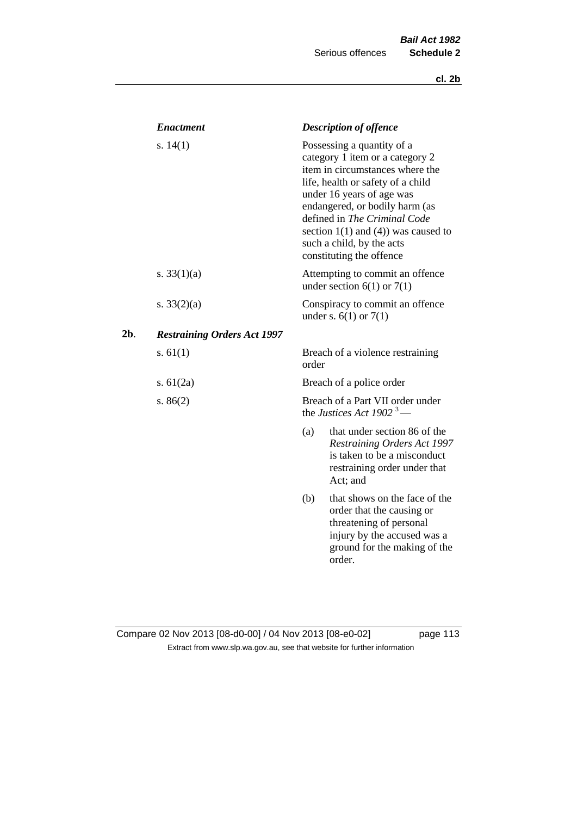|     | <b>Enactment</b>                   |       | <b>Description of offence</b>                                                                                                                                                                                                                                                                                                             |
|-----|------------------------------------|-------|-------------------------------------------------------------------------------------------------------------------------------------------------------------------------------------------------------------------------------------------------------------------------------------------------------------------------------------------|
|     | s. $14(1)$                         |       | Possessing a quantity of a<br>category 1 item or a category 2<br>item in circumstances where the<br>life, health or safety of a child<br>under 16 years of age was<br>endangered, or bodily harm (as<br>defined in The Criminal Code<br>section $1(1)$ and $(4)$ ) was caused to<br>such a child, by the acts<br>constituting the offence |
|     | s. $33(1)(a)$                      |       | Attempting to commit an offence<br>under section $6(1)$ or $7(1)$                                                                                                                                                                                                                                                                         |
|     | s. $33(2)(a)$                      |       | Conspiracy to commit an offence<br>under s. $6(1)$ or $7(1)$                                                                                                                                                                                                                                                                              |
| 2b. | <b>Restraining Orders Act 1997</b> |       |                                                                                                                                                                                                                                                                                                                                           |
|     | s. $61(1)$                         | order | Breach of a violence restraining                                                                                                                                                                                                                                                                                                          |
|     | s. $61(2a)$                        |       | Breach of a police order                                                                                                                                                                                                                                                                                                                  |
|     | s. $86(2)$                         |       | Breach of a Part VII order under<br>the Justices Act 1902 <sup>3</sup> —                                                                                                                                                                                                                                                                  |
|     |                                    | (a)   | that under section 86 of the<br><b>Restraining Orders Act 1997</b><br>is taken to be a misconduct<br>restraining order under that<br>Act; and                                                                                                                                                                                             |
|     |                                    | (b)   | that shows on the face of the<br>order that the causing or<br>threatening of personal<br>injury by the accused was a<br>ground for the making of the<br>order.                                                                                                                                                                            |

## Compare 02 Nov 2013 [08-d0-00] / 04 Nov 2013 [08-e0-02] page 113 Extract from www.slp.wa.gov.au, see that website for further information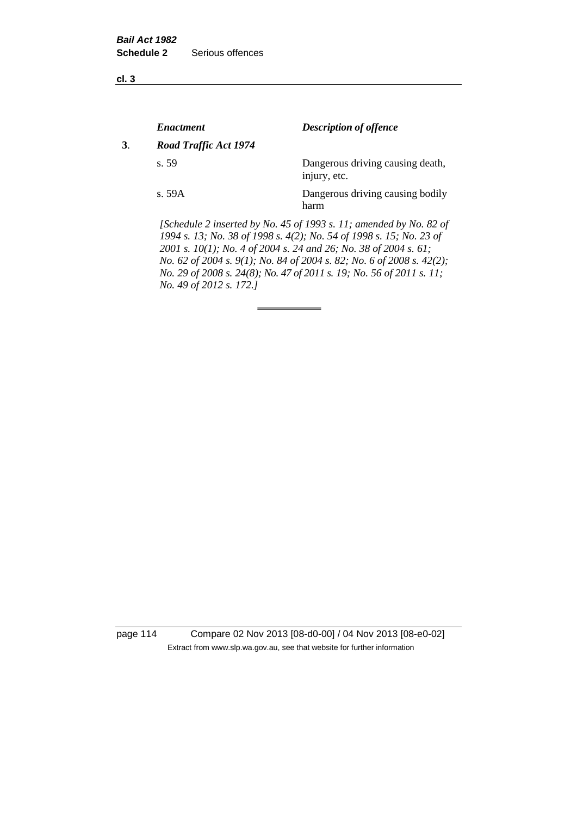**cl. 3**

|    | <i><b>Enactment</b></i> | <b>Description of offence</b>                                                                                                             |
|----|-------------------------|-------------------------------------------------------------------------------------------------------------------------------------------|
| 3. | Road Traffic Act 1974   |                                                                                                                                           |
|    | s. 59                   | Dangerous driving causing death,<br>injury, etc.                                                                                          |
|    | s. 59A                  | Dangerous driving causing bodily<br>harm                                                                                                  |
|    |                         | [Schedule 2 inserted by No. 45 of 1993 s. 11; amended by No. 82 of<br>1994 s. 13; No. 38 of 1998 s. 4(2); No. 54 of 1998 s. 15; No. 23 of |

*2001 s. 10(1); No. 4 of 2004 s. 24 and 26; No. 38 of 2004 s. 61; No. 62 of 2004 s. 9(1); No. 84 of 2004 s. 82; No. 6 of 2008 s. 42(2); No. 29 of 2008 s. 24(8); No. 47 of 2011 s. 19; No. 56 of 2011 s. 11; No. 49 of 2012 s. 172.]* 

page 114 Compare 02 Nov 2013 [08-d0-00] / 04 Nov 2013 [08-e0-02] Extract from www.slp.wa.gov.au, see that website for further information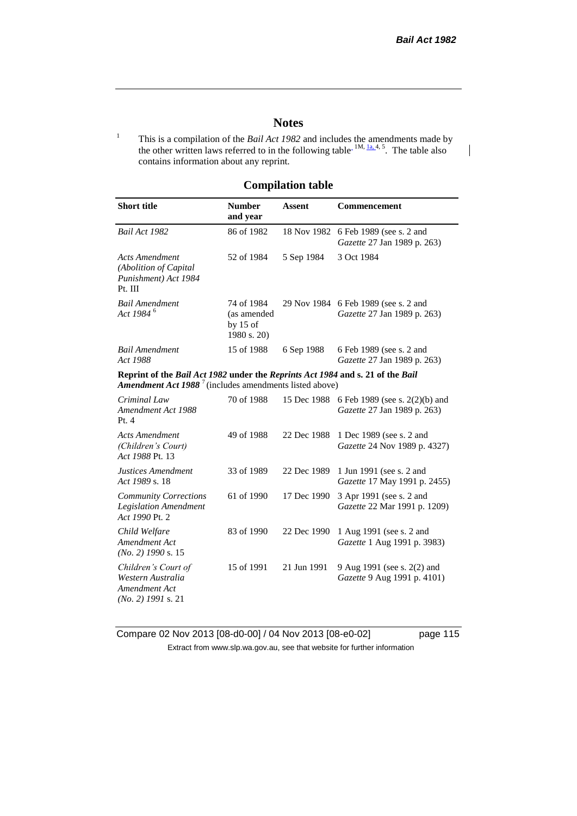$\mathsf{l}$ 

### **Notes**

<sup>1</sup> This is a compilation of the *Bail Act 1982* and includes the amendments made by the other written laws referred to in the following table<sup>-1M,  $1a, 4, 5$ . The table also</sup> contains information about any reprint.

#### **Compilation table**

| <b>Short title</b>                                                                                                                                  | <b>Number</b><br>and year                              | <b>Assent</b> | Commencement                                                  |
|-----------------------------------------------------------------------------------------------------------------------------------------------------|--------------------------------------------------------|---------------|---------------------------------------------------------------|
| Bail Act 1982                                                                                                                                       | 86 of 1982                                             | 18 Nov 1982   | 6 Feb 1989 (see s. 2 and<br>Gazette 27 Jan 1989 p. 263)       |
| <b>Acts Amendment</b><br>(Abolition of Capital<br>Punishment) Act 1984<br>Pt. III                                                                   | 52 of 1984                                             | 5 Sep 1984    | 3 Oct 1984                                                    |
| <b>Bail Amendment</b><br>Act 1984 <sup>6</sup>                                                                                                      | 74 of 1984<br>(as amended<br>by $15$ of<br>1980 s. 20) | 29 Nov 1984   | 6 Feb 1989 (see s. 2 and<br>Gazette 27 Jan 1989 p. 263)       |
| <b>Bail Amendment</b><br>Act 1988                                                                                                                   | 15 of 1988                                             | 6 Sep 1988    | 6 Feb 1989 (see s. 2 and<br>Gazette 27 Jan 1989 p. 263)       |
| Reprint of the Bail Act 1982 under the Reprints Act 1984 and s. 21 of the Bail<br><b>Amendment Act 1988</b> $^7$ (includes amendments listed above) |                                                        |               |                                                               |
| Criminal Law<br>Amendment Act 1988<br>Pt.4                                                                                                          | 70 of 1988                                             | 15 Dec 1988   | 6 Feb 1989 (see s. 2(2)(b) and<br>Gazette 27 Jan 1989 p. 263) |
| <b>Acts Amendment</b><br>(Children's Court)<br>Act 1988 Pt. 13                                                                                      | 49 of 1988                                             | 22 Dec 1988   | 1 Dec 1989 (see s. 2 and<br>Gazette 24 Nov 1989 p. 4327)      |
| Justices Amendment<br>Act 1989 s. 18                                                                                                                | 33 of 1989                                             | 22 Dec 1989   | 1 Jun 1991 (see s. 2 and<br>Gazette 17 May 1991 p. 2455)      |
| <b>Community Corrections</b><br><b>Legislation Amendment</b><br>Act 1990 Pt. 2                                                                      | 61 of 1990                                             | 17 Dec 1990   | 3 Apr 1991 (see s. 2 and<br>Gazette 22 Mar 1991 p. 1209)      |
| Child Welfare<br>Amendment Act<br>$(No. 2)$ 1990 s. 15                                                                                              | 83 of 1990                                             | 22 Dec 1990   | 1 Aug 1991 (see s. 2 and<br>Gazette 1 Aug 1991 p. 3983)       |
| Children's Court of<br>Western Australia<br>Amendment Act<br>$(No. 2)$ 1991 s. 21                                                                   | 15 of 1991                                             | 21 Jun 1991   | 9 Aug 1991 (see s. 2(2) and<br>Gazette 9 Aug 1991 p. 4101)    |

Compare 02 Nov 2013 [08-d0-00] / 04 Nov 2013 [08-e0-02] page 115 Extract from www.slp.wa.gov.au, see that website for further information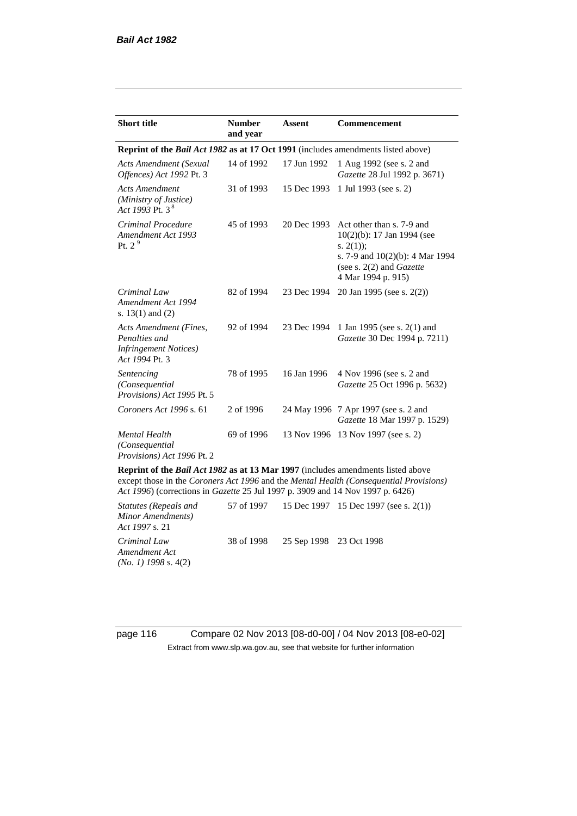| <b>Short title</b>                                                                         | <b>Number</b><br>and year | <b>Assent</b> | <b>Commencement</b>                                                                                                                                                        |
|--------------------------------------------------------------------------------------------|---------------------------|---------------|----------------------------------------------------------------------------------------------------------------------------------------------------------------------------|
| Reprint of the <i>Bail Act 1982</i> as at 17 Oct 1991 (includes amendments listed above)   |                           |               |                                                                                                                                                                            |
| Acts Amendment (Sexual<br>Offences) Act 1992 Pt. 3                                         | 14 of 1992                | 17 Jun 1992   | 1 Aug 1992 (see s. 2 and<br>Gazette 28 Jul 1992 p. 3671)                                                                                                                   |
| <b>Acts Amendment</b><br>(Ministry of Justice)<br>Act 1993 Pt. 3 <sup>8</sup>              | 31 of 1993                | 15 Dec 1993   | 1 Jul 1993 (see s. 2)                                                                                                                                                      |
| Criminal Procedure<br>Amendment Act 1993<br>Pt. $2^9$                                      | 45 of 1993                | 20 Dec 1993   | Act other than s. 7-9 and<br>$10(2)(b)$ : 17 Jan 1994 (see<br>s. $2(1)$ ;<br>s. 7-9 and $10(2)(b)$ : 4 Mar 1994<br>(see s. $2(2)$ and <i>Gazette</i><br>4 Mar 1994 p. 915) |
| Criminal Law<br>Amendment Act 1994<br>s. $13(1)$ and $(2)$                                 | 82 of 1994                | 23 Dec 1994   | 20 Jan 1995 (see s. 2(2))                                                                                                                                                  |
| Acts Amendment (Fines,<br>Penalties and<br><b>Infringement Notices</b> )<br>Act 1994 Pt. 3 | 92 of 1994                | 23 Dec 1994   | 1 Jan 1995 (see s. 2(1) and<br>Gazette 30 Dec 1994 p. 7211)                                                                                                                |
| Sentencing<br>(Consequential<br>Provisions) Act 1995 Pt. 5                                 | 78 of 1995                | 16 Jan 1996   | 4 Nov 1996 (see s. 2 and<br>Gazette 25 Oct 1996 p. 5632)                                                                                                                   |
| Coroners Act 1996 s. 61                                                                    | 2 of 1996                 |               | 24 May 1996 7 Apr 1997 (see s. 2 and<br>Gazette 18 Mar 1997 p. 1529)                                                                                                       |
| <b>Mental Health</b><br>(Consequential<br>Provisions) Act 1996 Pt. 2                       | 69 of 1996                |               | 13 Nov 1996 13 Nov 1997 (see s. 2)                                                                                                                                         |

**Reprint of the** *Bail Act 1982* **as at 13 Mar 1997** (includes amendments listed above except those in the *Coroners Act 1996* and the *Mental Health (Consequential Provisions) Act 1996*) (corrections in *Gazette* 25 Jul 1997 p. 3909 and 14 Nov 1997 p. 6426)

*Statutes (Repeals and Minor Amendments) Act 1997* s. 21 57 of 1997 15 Dec 1997 15 Dec 1997 (see s. 2(1)) *Criminal Law Amendment Act (No. 1) 1998* s. 4(2) 38 of 1998 25 Sep 1998 23 Oct 1998

page 116 Compare 02 Nov 2013 [08-d0-00] / 04 Nov 2013 [08-e0-02] Extract from www.slp.wa.gov.au, see that website for further information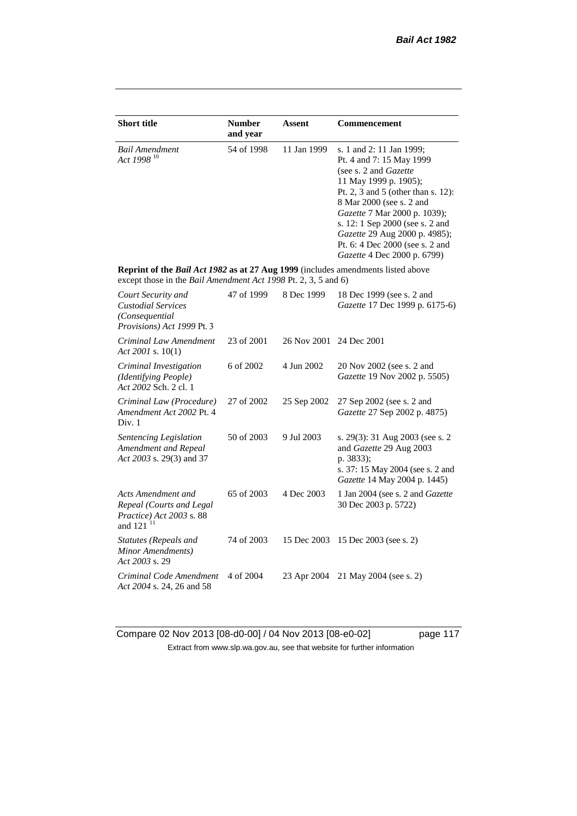| <b>Short title</b>                                                                                                                                 | <b>Number</b><br>and year | Assent      | Commencement                                                                                                                                                                                                                                                                                                                                   |
|----------------------------------------------------------------------------------------------------------------------------------------------------|---------------------------|-------------|------------------------------------------------------------------------------------------------------------------------------------------------------------------------------------------------------------------------------------------------------------------------------------------------------------------------------------------------|
| <b>Bail Amendment</b><br>Act 1998 <sup>10</sup>                                                                                                    | 54 of 1998                | 11 Jan 1999 | s. 1 and 2: 11 Jan 1999;<br>Pt. 4 and 7: 15 May 1999<br>(see s. 2 and Gazette<br>11 May 1999 p. 1905);<br>Pt. 2, 3 and 5 (other than s. 12):<br>8 Mar 2000 (see s. 2 and<br>Gazette 7 Mar 2000 p. 1039);<br>s. 12: 1 Sep 2000 (see s. 2 and<br>Gazette 29 Aug 2000 p. 4985);<br>Pt. 6: 4 Dec 2000 (see s. 2 and<br>Gazette 4 Dec 2000 p. 6799) |
| Reprint of the Bail Act 1982 as at 27 Aug 1999 (includes amendments listed above<br>except those in the Bail Amendment Act 1998 Pt. 2, 3, 5 and 6) |                           |             |                                                                                                                                                                                                                                                                                                                                                |
| Court Security and<br><b>Custodial Services</b><br>(Consequential<br>Provisions) Act 1999 Pt. 3                                                    | 47 of 1999                | 8 Dec 1999  | 18 Dec 1999 (see s. 2 and<br>Gazette 17 Dec 1999 p. 6175-6)                                                                                                                                                                                                                                                                                    |
| Criminal Law Amendment<br>Act 2001 s. $10(1)$                                                                                                      | 23 of 2001                | 26 Nov 2001 | 24 Dec 2001                                                                                                                                                                                                                                                                                                                                    |
| Criminal Investigation<br>(Identifying People)<br>Act 2002 Sch. 2 cl. 1                                                                            | 6 of 2002                 | 4 Jun 2002  | 20 Nov 2002 (see s. 2 and<br>Gazette 19 Nov 2002 p. 5505)                                                                                                                                                                                                                                                                                      |
| Criminal Law (Procedure)<br>Amendment Act 2002 Pt. 4<br>Div. 1                                                                                     | 27 of 2002                | 25 Sep 2002 | 27 Sep 2002 (see s. 2 and<br>Gazette 27 Sep 2002 p. 4875)                                                                                                                                                                                                                                                                                      |
| Sentencing Legislation<br>Amendment and Repeal<br>Act 2003 s. 29(3) and 37                                                                         | 50 of 2003                | 9 Jul 2003  | s. 29(3): 31 Aug 2003 (see s. 2<br>and Gazette 29 Aug 2003<br>p. 3833);<br>s. 37: 15 May 2004 (see s. 2 and<br>Gazette 14 May 2004 p. 1445)                                                                                                                                                                                                    |
| Acts Amendment and<br>Repeal (Courts and Legal<br>Practice) Act 2003 s. 88<br>and 121 <sup>11</sup>                                                | 65 of 2003                | 4 Dec 2003  | 1 Jan 2004 (see s. 2 and Gazette<br>30 Dec 2003 p. 5722)                                                                                                                                                                                                                                                                                       |
| Statutes (Repeals and<br>Minor Amendments)<br>Act 2003 s. 29                                                                                       | 74 of 2003                | 15 Dec 2003 | 15 Dec 2003 (see s. 2)                                                                                                                                                                                                                                                                                                                         |
| Criminal Code Amendment<br>Act 2004 s. 24, 26 and 58                                                                                               | 4 of 2004                 | 23 Apr 2004 | 21 May 2004 (see s. 2)                                                                                                                                                                                                                                                                                                                         |

Compare 02 Nov 2013 [08-d0-00] / 04 Nov 2013 [08-e0-02] page 117 Extract from www.slp.wa.gov.au, see that website for further information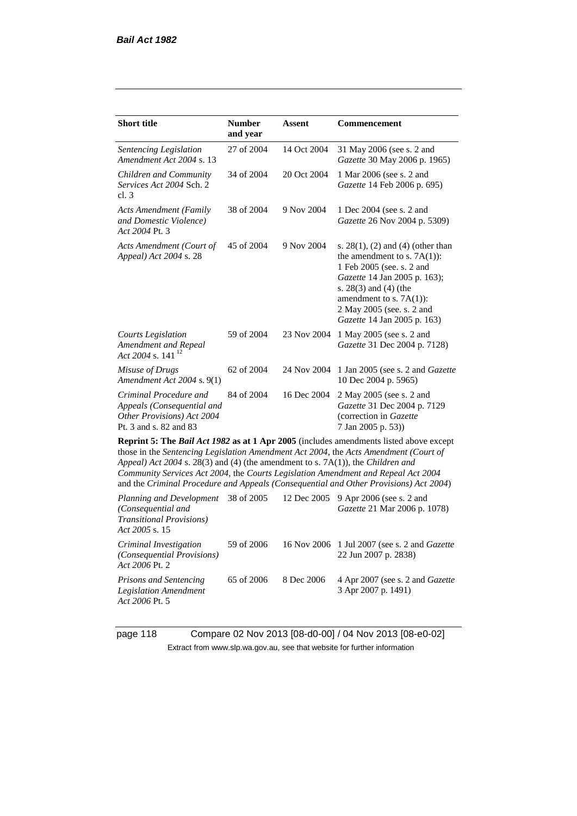*Act 2006* Pt. 5

| <b>Short title</b>                                                                                           | <b>Number</b><br>and year | Assent                                                          | Commencement                                                                                                                                                                                                                                                                                                                                                 |
|--------------------------------------------------------------------------------------------------------------|---------------------------|-----------------------------------------------------------------|--------------------------------------------------------------------------------------------------------------------------------------------------------------------------------------------------------------------------------------------------------------------------------------------------------------------------------------------------------------|
| Sentencing Legislation<br>Amendment Act 2004 s. 13                                                           | 27 of 2004                | 14 Oct 2004                                                     | 31 May 2006 (see s. 2 and<br>Gazette 30 May 2006 p. 1965)                                                                                                                                                                                                                                                                                                    |
| Children and Community<br>Services Act 2004 Sch. 2<br>cl.3                                                   | 34 of 2004                | 20 Oct 2004                                                     | 1 Mar 2006 (see s. 2 and<br>Gazette 14 Feb 2006 p. 695)                                                                                                                                                                                                                                                                                                      |
| <b>Acts Amendment (Family</b><br>and Domestic Violence)<br>Act 2004 Pt. 3                                    | 38 of 2004                | 9 Nov 2004                                                      | 1 Dec 2004 (see s. 2 and<br>Gazette 26 Nov 2004 p. 5309)                                                                                                                                                                                                                                                                                                     |
| Acts Amendment (Court of<br>Appeal) Act 2004 s. 28                                                           | 45 of 2004                | 9 Nov 2004                                                      | s. $28(1)$ , (2) and (4) (other than<br>the amendment to s. $7A(1)$ :<br>1 Feb 2005 (see. s. 2 and<br>Gazette 14 Jan 2005 p. 163);<br>s. 28(3) and (4) (the<br>amendment to s. $7A(1)$ :<br>2 May 2005 (see. s. 2 and<br>Gazette 14 Jan 2005 p. 163)                                                                                                         |
| Courts Legislation<br>Amendment and Repeal<br>Act 2004 s. 141 $^{12}$                                        | 59 of 2004                | 23 Nov 2004                                                     | 1 May 2005 (see s. 2 and<br>Gazette 31 Dec 2004 p. 7128)                                                                                                                                                                                                                                                                                                     |
| Misuse of Drugs<br>Amendment Act 2004 s. 9(1)                                                                | 62 of 2004                | 24 Nov 2004                                                     | 1 Jan 2005 (see s. 2 and Gazette<br>10 Dec 2004 p. 5965)                                                                                                                                                                                                                                                                                                     |
| Criminal Procedure and<br>Appeals (Consequential and<br>Other Provisions) Act 2004<br>Pt. 3 and s. 82 and 83 | 84 of 2004                | 16 Dec 2004                                                     | 2 May 2005 (see s. 2 and<br>Gazette 31 Dec 2004 p. 7129<br>(correction in Gazette<br>7 Jan 2005 p. 53))                                                                                                                                                                                                                                                      |
| Appeal) Act 2004 s. 28(3) and (4) (the amendment to s. 7A(1)), the Children and                              |                           |                                                                 | Reprint 5: The Bail Act 1982 as at 1 Apr 2005 (includes amendments listed above except<br>those in the Sentencing Legislation Amendment Act 2004, the Acts Amendment (Court of<br>Community Services Act 2004, the Courts Legislation Amendment and Repeal Act 2004<br>and the Criminal Procedure and Appeals (Consequential and Other Provisions) Act 2004) |
| Planning and Development<br>(Consequential and<br><b>Transitional Provisions)</b><br>Act 2005 s. 15          | 38 of 2005                | 12 Dec 2005                                                     | 9 Apr 2006 (see s. 2 and<br>Gazette 21 Mar 2006 p. 1078)                                                                                                                                                                                                                                                                                                     |
| $\sim \cdot \cdot \cdot \cdot$                                                                               | 0.0001                    | $\lambda$ $\lambda$ $\lambda$ $\lambda$<br>$\sim$ $\sim$ $\sim$ |                                                                                                                                                                                                                                                                                                                                                              |

*Criminal Investigation (Consequential Provisions) Act 2006* Pt. 2 59 of 2006 16 Nov 2006 1 Jul 2007 (see s. 2 and *Gazette* 22 Jun 2007 p. 2838) *Prisons and Sentencing Legislation Amendment*  65 of 2006 8 Dec 2006 4 Apr 2007 (see s. 2 and *Gazette* 3 Apr 2007 p. 1491)

page 118 Compare 02 Nov 2013 [08-d0-00] / 04 Nov 2013 [08-e0-02] Extract from www.slp.wa.gov.au, see that website for further information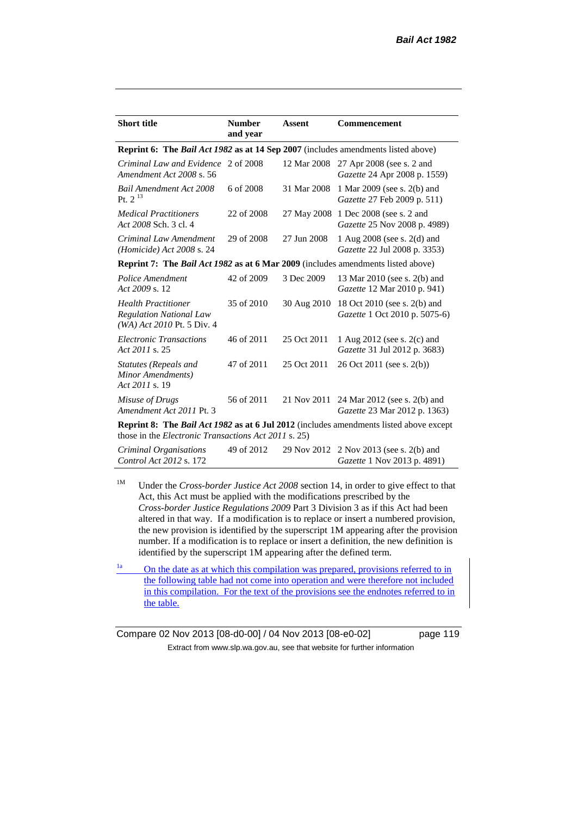| <b>Short title</b>                                                                           | <b>Number</b><br>and year | <b>Assent</b> | Commencement                                                                                         |
|----------------------------------------------------------------------------------------------|---------------------------|---------------|------------------------------------------------------------------------------------------------------|
| Reprint 6: The Bail Act 1982 as at 14 Sep 2007 (includes amendments listed above)            |                           |               |                                                                                                      |
| Criminal Law and Evidence<br>Amendment Act 2008 s. 56                                        | 2 of 2008                 | 12 Mar 2008   | 27 Apr 2008 (see s. 2 and<br>Gazette 24 Apr 2008 p. 1559)                                            |
| <b>Bail Amendment Act 2008</b><br>P <sub>t. 2</sub> <sup>13</sup>                            | 6 of 2008                 | 31 Mar 2008   | 1 Mar 2009 (see s. 2(b) and<br>Gazette 27 Feb 2009 p. 511)                                           |
| <b>Medical Practitioners</b><br>Act 2008 Sch. 3 cl. 4                                        | 22 of 2008                | 27 May 2008   | 1 Dec 2008 (see s. 2 and<br>Gazette 25 Nov 2008 p. 4989)                                             |
| Criminal Law Amendment<br>(Homicide) Act 2008 s. 24                                          | 29 of 2008                | 27 Jun 2008   | 1 Aug 2008 (see s. 2(d) and<br>Gazette 22 Jul 2008 p. 3353)                                          |
| Reprint 7: The Bail Act 1982 as at 6 Mar 2009 (includes amendments listed above)             |                           |               |                                                                                                      |
| Police Amendment<br>Act 2009 s. 12                                                           | 42 of 2009                | 3 Dec 2009    | 13 Mar 2010 (see s. 2(b) and<br>Gazette 12 Mar 2010 p. 941)                                          |
| <b>Health Practitioner</b><br><b>Regulation National Law</b><br>$(WA)$ Act 2010 Pt. 5 Div. 4 | 35 of 2010                | 30 Aug 2010   | 18 Oct 2010 (see s. 2(b) and<br>Gazette 1 Oct 2010 p. 5075-6)                                        |
| Electronic Transactions<br>Act 2011 s. 25                                                    | 46 of 2011                | 25 Oct 2011   | 1 Aug 2012 (see s. 2(c) and<br>Gazette 31 Jul 2012 p. 3683)                                          |
| Statutes (Repeals and<br>Minor Amendments)<br>Act 2011 s. 19                                 | 47 of 2011                | 25 Oct 2011   | 26 Oct 2011 (see s. 2(b))                                                                            |
| Misuse of Drugs<br>Amendment Act 2011 Pt. 3                                                  | 56 of 2011                | 21 Nov 2011   | 24 Mar 2012 (see s. 2(b) and<br>Gazette 23 Mar 2012 p. 1363)                                         |
| those in the <i>Electronic Transactions Act 2011</i> s. 25)                                  |                           |               | <b>Reprint 8:</b> The <i>Bail Act 1982</i> as at 6 Jul 2012 (includes amendments listed above except |
|                                                                                              |                           |               |                                                                                                      |

*Criminal Organisations Control Act 2012* s. 172 49 of 2012 29 Nov 2012 2 Nov 2013 (see s. 2(b) and *Gazette* 1 Nov 2013 p. 4891)

<sup>1M</sup> Under the *Cross-border Justice Act 2008* section 14, in order to give effect to that Act, this Act must be applied with the modifications prescribed by the *Cross-border Justice Regulations 2009* Part 3 Division 3 as if this Act had been altered in that way. If a modification is to replace or insert a numbered provision, the new provision is identified by the superscript 1M appearing after the provision number. If a modification is to replace or insert a definition, the new definition is identified by the superscript 1M appearing after the defined term.

 $\frac{1a}{2}$  On the date as at which this compilation was prepared, provisions referred to in the following table had not come into operation and were therefore not included in this compilation. For the text of the provisions see the endnotes referred to in the table.

Compare 02 Nov 2013 [08-d0-00] / 04 Nov 2013 [08-e0-02] page 119 Extract from www.slp.wa.gov.au, see that website for further information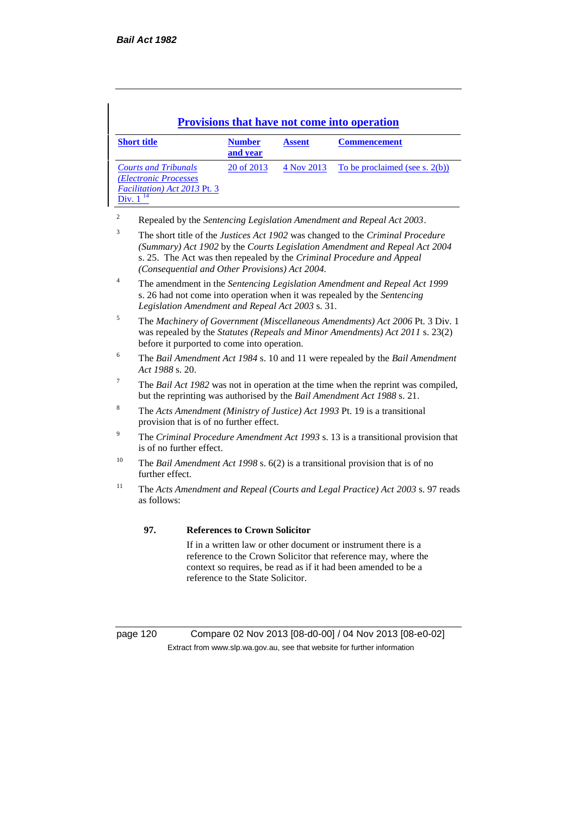| <b>Short title</b>                                                                                     | <b>Number</b><br>and year | <b>Assent</b> | <b>Commencement</b>            |
|--------------------------------------------------------------------------------------------------------|---------------------------|---------------|--------------------------------|
| <b>Courts and Tribunals</b><br>(Electronic Processes)<br>Facilitation) Act 2013 Pt. 3<br>Div. $1^{14}$ | 20 of 2013                | 4 Nov 2013    | To be proclaimed (see s. 2(b)) |

<sup>2</sup> Repealed by the *Sentencing Legislation Amendment and Repeal Act 2003*.

<sup>3</sup> The short title of the *Justices Act 1902* was changed to the *Criminal Procedure (Summary) Act 1902* by the *Courts Legislation Amendment and Repeal Act 2004*  s. 25. The Act was then repealed by the *Criminal Procedure and Appeal (Consequential and Other Provisions) Act 2004.*

<sup>4</sup> The amendment in the *Sentencing Legislation Amendment and Repeal Act 1999* s. 26 had not come into operation when it was repealed by the *Sentencing Legislation Amendment and Repeal Act 2003* s. 31.

<sup>5</sup> The *Machinery of Government (Miscellaneous Amendments) Act 2006* Pt. 3 Div. 1 was repealed by the *Statutes (Repeals and Minor Amendments) Act 2011* s. 23(2) before it purported to come into operation.

- <sup>6</sup> The *Bail Amendment Act 1984* s. 10 and 11 were repealed by the *Bail Amendment Act 1988* s. 20.
- <sup>7</sup> The *Bail Act 1982* was not in operation at the time when the reprint was compiled, but the reprinting was authorised by the *Bail Amendment Act 1988* s. 21.
- <sup>8</sup> The *Acts Amendment (Ministry of Justice) Act 1993* Pt. 19 is a transitional provision that is of no further effect.
- <sup>9</sup> The *Criminal Procedure Amendment Act 1993* s. 13 is a transitional provision that is of no further effect.
- <sup>10</sup> The *Bail Amendment Act 1998* s. 6(2) is a transitional provision that is of no further effect.
- <sup>11</sup> The *Acts Amendment and Repeal (Courts and Legal Practice) Act 2003* s. 97 reads as follows:

#### **97. References to Crown Solicitor**

If in a written law or other document or instrument there is a reference to the Crown Solicitor that reference may, where the context so requires, be read as if it had been amended to be a reference to the State Solicitor.

page 120 Compare 02 Nov 2013 [08-d0-00] / 04 Nov 2013 [08-e0-02] Extract from www.slp.wa.gov.au, see that website for further information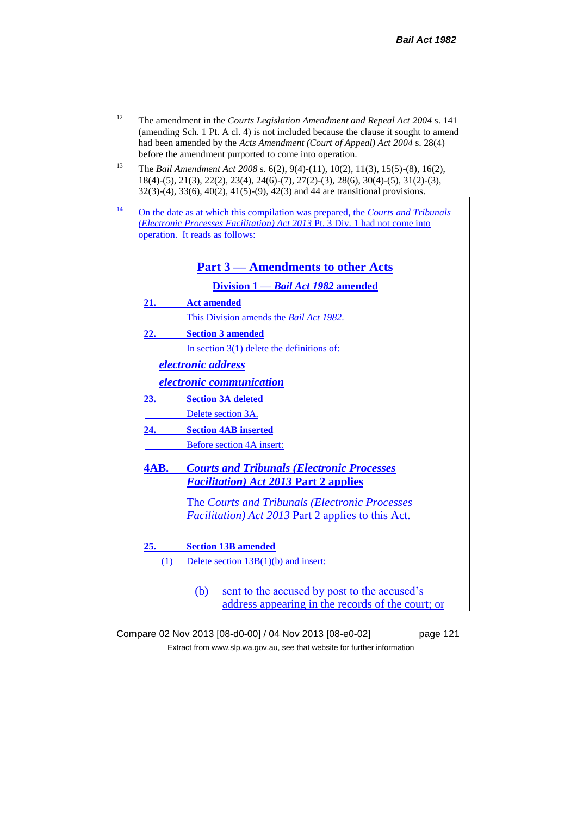- <sup>12</sup> The amendment in the *Courts Legislation Amendment and Repeal Act 2004* s. 141 (amending Sch. 1 Pt. A cl. 4) is not included because the clause it sought to amend had been amended by the *Acts Amendment (Court of Appeal) Act 2004* s. 28(4) before the amendment purported to come into operation.
- <sup>13</sup> The *Bail Amendment Act 2008* s. 6(2), 9(4)-(11), 10(2), 11(3), 15(5)-(8), 16(2), 18(4)-(5), 21(3), 22(2), 23(4), 24(6)-(7), 27(2)-(3), 28(6), 30(4)-(5), 31(2)-(3), 32(3)-(4), 33(6), 40(2), 41(5)-(9), 42(3) and 44 are transitional provisions.
- <sup>14</sup> On the date as at which this compilation was prepared, the *Courts and Tribunals (Electronic Processes Facilitation) Act 2013* Pt. 3 Div. 1 had not come into operation. It reads as follows:

#### **Part 3 — Amendments to other Acts**

**Division 1 —** *Bail Act 1982* **amended**

- **21. Act amended**
- This Division amends the *Bail Act 1982*.
- **22. Section 3 amended**

In section 3(1) delete the definitions of:

*electronic address*

*electronic communication*

**23. Section 3A deleted**

Delete section 3A.

- **24. Section 4AB inserted** Before section 4A insert:
- **4AB.** *Courts and Tribunals (Electronic Processes Facilitation) Act 2013* **Part 2 applies**
	- The *Courts and Tribunals (Electronic Processes Facilitation) Act 2013* Part 2 applies to this Act.
- **25. Section 13B amended**
- (1) Delete section 13B(1)(b) and insert:
	- (b) sent to the accused by post to the accused's address appearing in the records of the court; or

Compare 02 Nov 2013 [08-d0-00] / 04 Nov 2013 [08-e0-02] page 121 Extract from www.slp.wa.gov.au, see that website for further information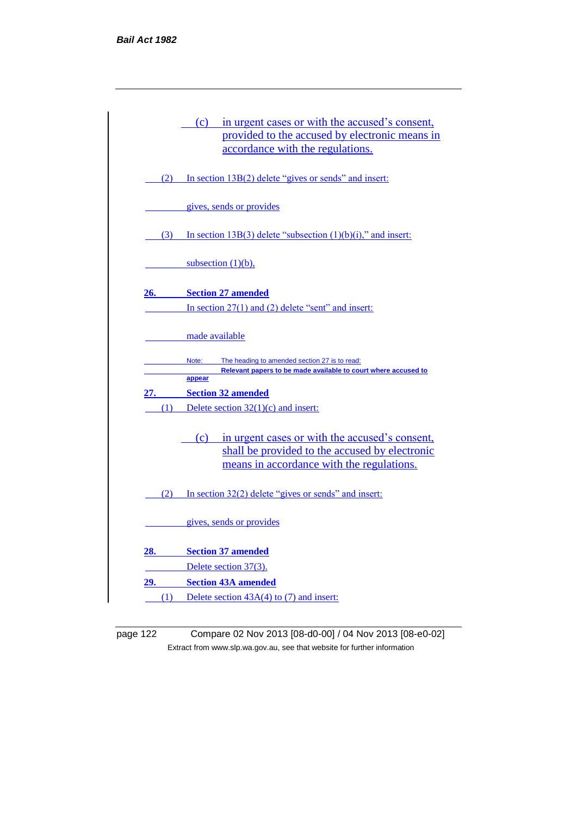|     | (c) in urgent cases or with the accused's consent,<br>provided to the accused by electronic means in<br>accordance with the regulations.          |
|-----|---------------------------------------------------------------------------------------------------------------------------------------------------|
| (2) | In section 13B(2) delete "gives or sends" and insert:                                                                                             |
|     | gives, sends or provides                                                                                                                          |
| (3) | In section 13B(3) delete "subsection $(1)(b)(i)$ ," and insert:                                                                                   |
|     | subsection $(1)(b)$ ,                                                                                                                             |
| 26. | <b>Section 27 amended</b>                                                                                                                         |
|     | In section $27(1)$ and $(2)$ delete "sent" and insert:                                                                                            |
|     | made available                                                                                                                                    |
|     | Note:<br>The heading to amended section 27 is to read:<br>Relevant papers to be made available to court where accused to                          |
| 27. | appear<br><b>Section 32 amended</b>                                                                                                               |
| (1) | Delete section $32(1)(c)$ and insert:                                                                                                             |
|     | (c) in urgent cases or with the accused's consent,<br>shall be provided to the accused by electronic<br>means in accordance with the regulations. |
|     | (2) In section $32(2)$ delete "gives or sends" and insert:                                                                                        |
|     | gives, sends or provides                                                                                                                          |
| 28. | <b>Section 37 amended</b>                                                                                                                         |
|     | Delete section 37(3).                                                                                                                             |
|     |                                                                                                                                                   |
|     | 29. Section 43A amended                                                                                                                           |

page 122 Compare 02 Nov 2013 [08-d0-00] / 04 Nov 2013 [08-e0-02] Extract from www.slp.wa.gov.au, see that website for further information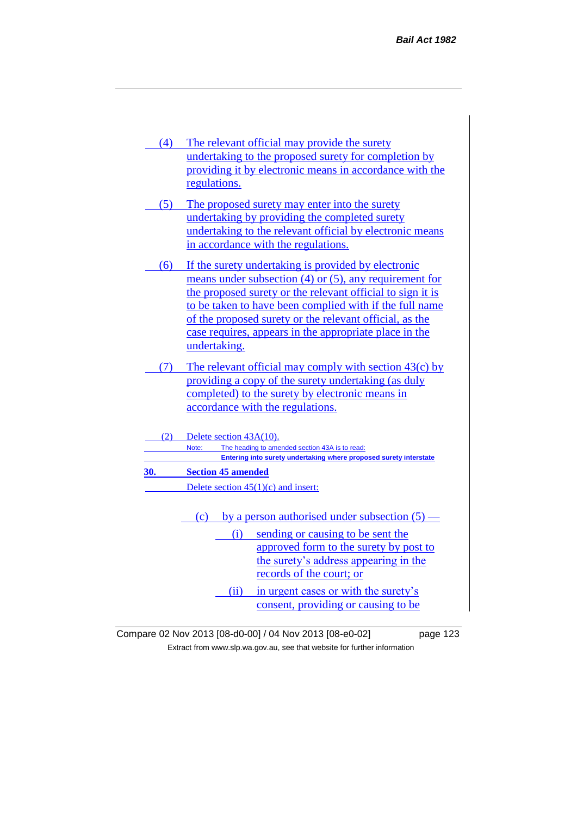- (4) The relevant official may provide the surety undertaking to the proposed surety for completion by providing it by electronic means in accordance with the regulations.
- (5) The proposed surety may enter into the surety undertaking by providing the completed surety undertaking to the relevant official by electronic means in accordance with the regulations.
- (6) If the surety undertaking is provided by electronic means under subsection (4) or (5), any requirement for the proposed surety or the relevant official to sign it is to be taken to have been complied with if the full name of the proposed surety or the relevant official, as the case requires, appears in the appropriate place in the undertaking.
- (7) The relevant official may comply with section 43(c) by providing a copy of the surety undertaking (as duly completed) to the surety by electronic means in accordance with the regulations.

|     | Delete section $43A(10)$ .                                        |
|-----|-------------------------------------------------------------------|
|     | The heading to amended section 43A is to read:<br>Note:           |
|     | Entering into surety undertaking where proposed surety interstate |
| 30. | <b>Section 45 amended</b>                                         |
|     | Delete section $45(1)(c)$ and insert:                             |
|     |                                                                   |
|     | by a person authorised under subsection $(5)$ —<br>(c)            |
|     | sending or causing to be sent the<br>(1)                          |

- approved form to the surety by post to the surety's address appearing in the records of the court; or
- (ii) in urgent cases or with the surety's consent, providing or causing to be
- Compare 02 Nov 2013 [08-d0-00] / 04 Nov 2013 [08-e0-02] page 123 Extract from www.slp.wa.gov.au, see that website for further information